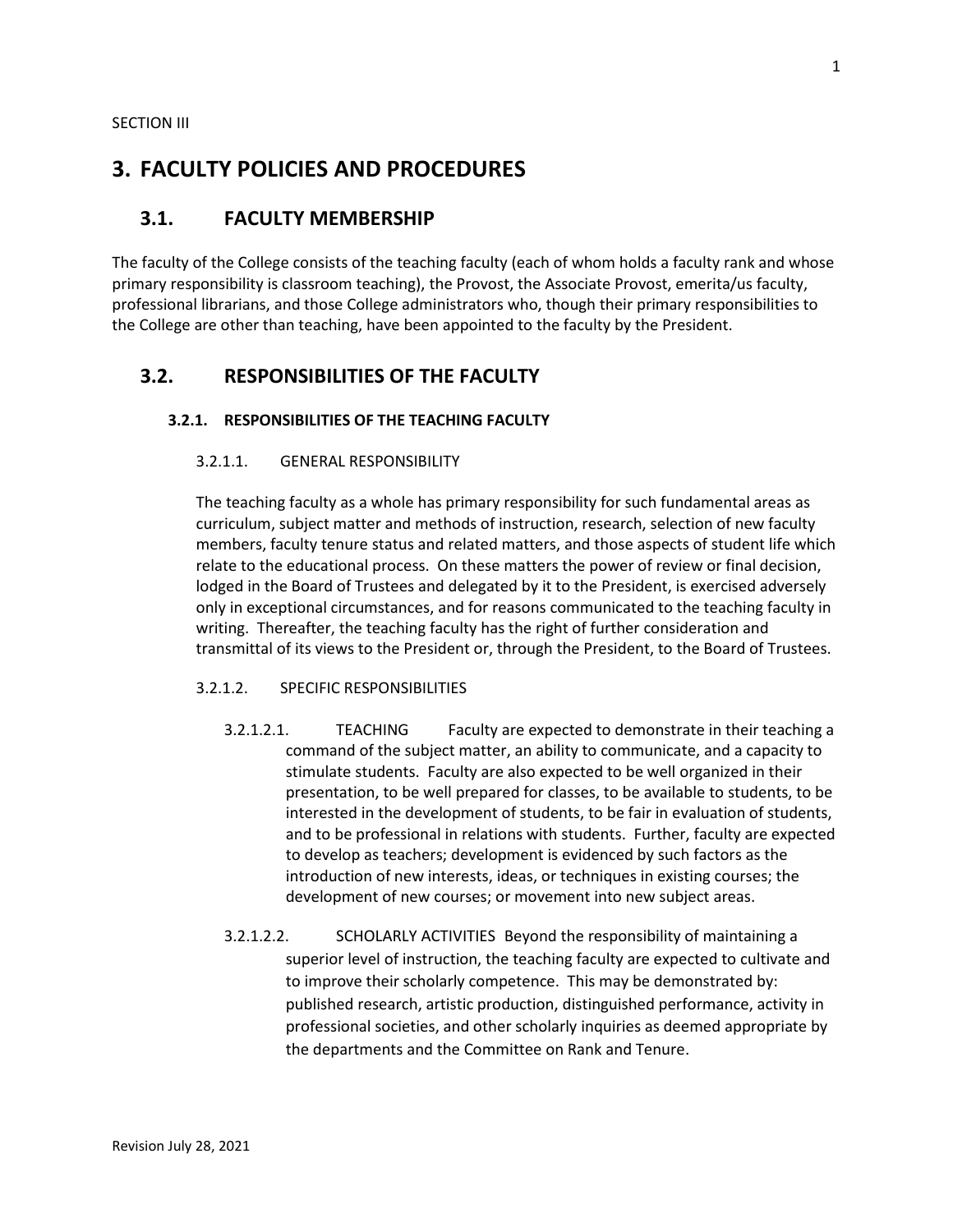## **3. FACULTY POLICIES AND PROCEDURES**

## **3.1. FACULTY MEMBERSHIP**

The faculty of the College consists of the teaching faculty (each of whom holds a faculty rank and whose primary responsibility is classroom teaching), the Provost, the Associate Provost, emerita/us faculty, professional librarians, and those College administrators who, though their primary responsibilities to the College are other than teaching, have been appointed to the faculty by the President.

## **3.2. RESPONSIBILITIES OF THE FACULTY**

#### **3.2.1. RESPONSIBILITIES OF THE TEACHING FACULTY**

#### 3.2.1.1. GENERAL RESPONSIBILITY

The teaching faculty as a whole has primary responsibility for such fundamental areas as curriculum, subject matter and methods of instruction, research, selection of new faculty members, faculty tenure status and related matters, and those aspects of student life which relate to the educational process. On these matters the power of review or final decision, lodged in the Board of Trustees and delegated by it to the President, is exercised adversely only in exceptional circumstances, and for reasons communicated to the teaching faculty in writing. Thereafter, the teaching faculty has the right of further consideration and transmittal of its views to the President or, through the President, to the Board of Trustees.

#### 3.2.1.2. SPECIFIC RESPONSIBILITIES

- 3.2.1.2.1. TEACHING Faculty are expected to demonstrate in their teaching a command of the subject matter, an ability to communicate, and a capacity to stimulate students. Faculty are also expected to be well organized in their presentation, to be well prepared for classes, to be available to students, to be interested in the development of students, to be fair in evaluation of students, and to be professional in relations with students. Further, faculty are expected to develop as teachers; development is evidenced by such factors as the introduction of new interests, ideas, or techniques in existing courses; the development of new courses; or movement into new subject areas.
- 3.2.1.2.2. SCHOLARLY ACTIVITIES Beyond the responsibility of maintaining a superior level of instruction, the teaching faculty are expected to cultivate and to improve their scholarly competence. This may be demonstrated by: published research, artistic production, distinguished performance, activity in professional societies, and other scholarly inquiries as deemed appropriate by the departments and the Committee on Rank and Tenure.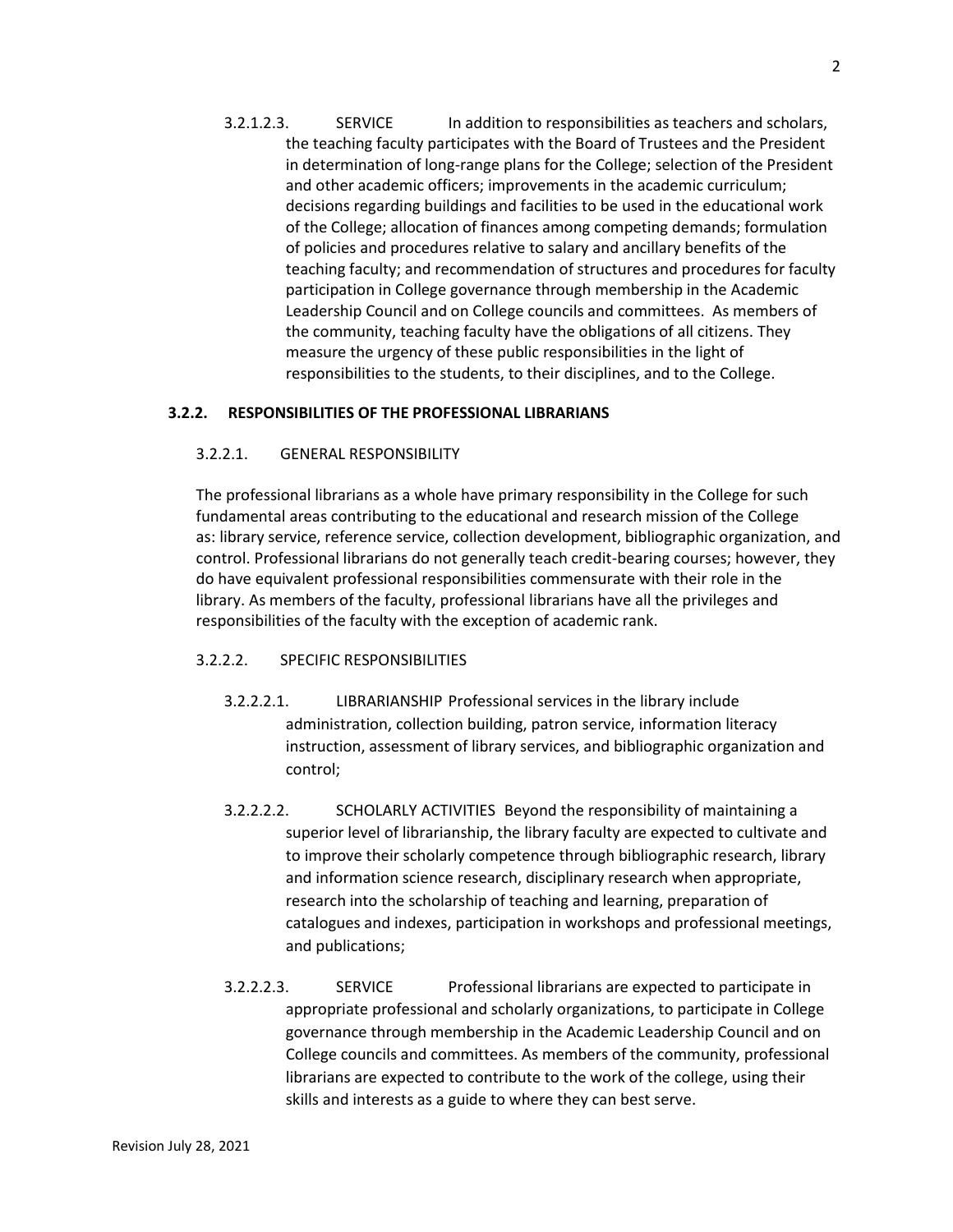3.2.1.2.3. SERVICE In addition to responsibilities as teachers and scholars, the teaching faculty participates with the Board of Trustees and the President in determination of long-range plans for the College; selection of the President and other academic officers; improvements in the academic curriculum; decisions regarding buildings and facilities to be used in the educational work of the College; allocation of finances among competing demands; formulation of policies and procedures relative to salary and ancillary benefits of the teaching faculty; and recommendation of structures and procedures for faculty participation in College governance through membership in the Academic Leadership Council and on College councils and committees. As members of the community, teaching faculty have the obligations of all citizens. They measure the urgency of these public responsibilities in the light of responsibilities to the students, to their disciplines, and to the College.

### **3.2.2. RESPONSIBILITIES OF THE PROFESSIONAL LIBRARIANS**

#### 3.2.2.1. GENERAL RESPONSIBILITY

The professional librarians as a whole have primary responsibility in the College for such fundamental areas contributing to the educational and research mission of the College as: library service, reference service, collection development, bibliographic organization, and control. Professional librarians do not generally teach credit-bearing courses; however, they do have equivalent professional responsibilities commensurate with their role in the library. As members of the faculty, professional librarians have all the privileges and responsibilities of the faculty with the exception of academic rank.

#### 3.2.2.2. SPECIFIC RESPONSIBILITIES

- 3.2.2.2.1. LIBRARIANSHIP Professional services in the library include administration, collection building, patron service, information literacy instruction, assessment of library services, and bibliographic organization and control;
- 3.2.2.2.2. SCHOLARLY ACTIVITIES Beyond the responsibility of maintaining a superior level of librarianship, the library faculty are expected to cultivate and to improve their scholarly competence through bibliographic research, library and information science research, disciplinary research when appropriate, research into the scholarship of teaching and learning, preparation of catalogues and indexes, participation in workshops and professional meetings, and publications;
- 3.2.2.2.3. SERVICE Professional librarians are expected to participate in appropriate professional and scholarly organizations, to participate in College governance through membership in the Academic Leadership Council and on College councils and committees. As members of the community, professional librarians are expected to contribute to the work of the college, using their skills and interests as a guide to where they can best serve.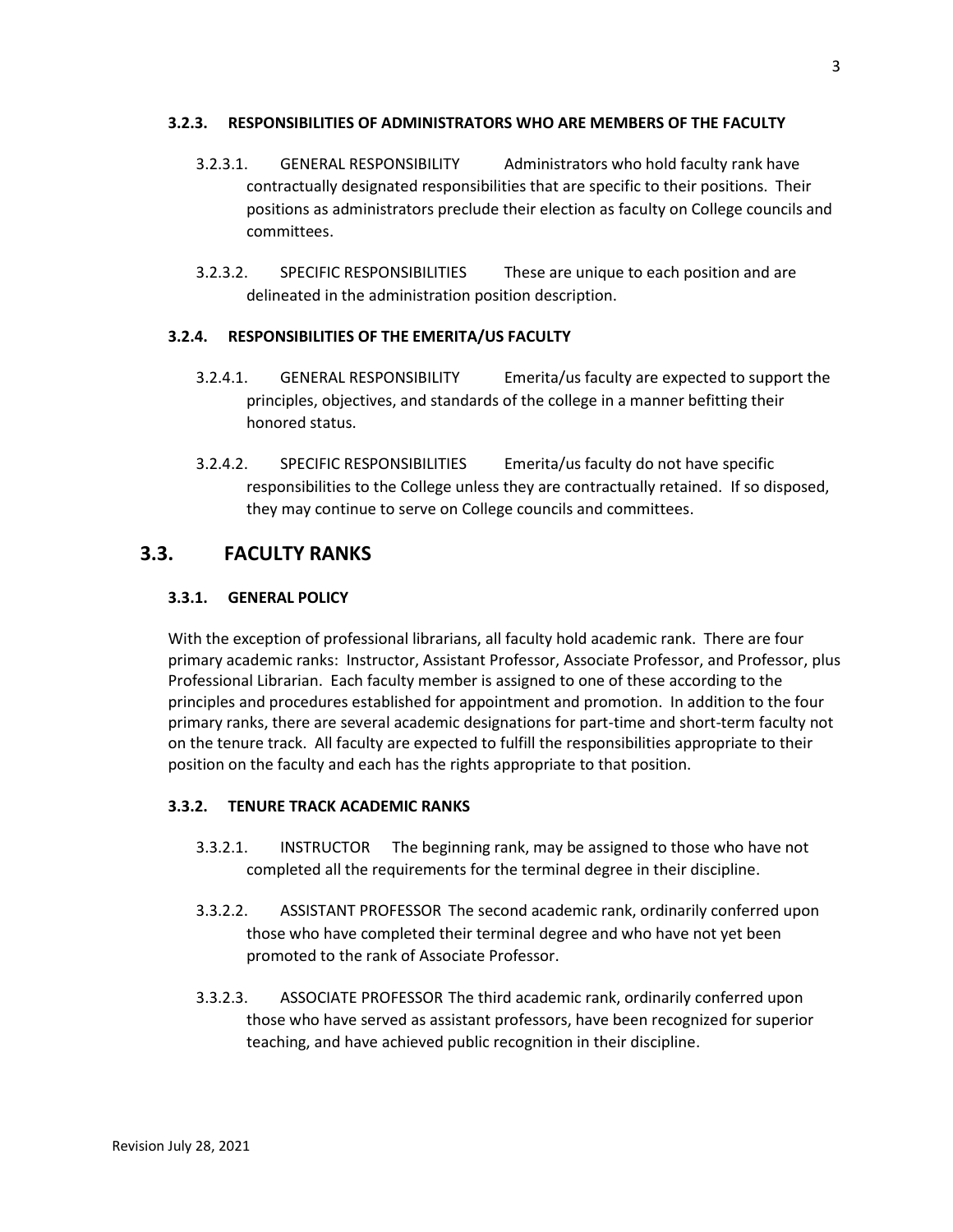## **3.2.3. RESPONSIBILITIES OF ADMINISTRATORS WHO ARE MEMBERS OF THE FACULTY**

- 3.2.3.1. GENERAL RESPONSIBILITY Administrators who hold faculty rank have contractually designated responsibilities that are specific to their positions. Their positions as administrators preclude their election as faculty on College councils and committees.
- 3.2.3.2. SPECIFIC RESPONSIBILITIES These are unique to each position and are delineated in the administration position description.

## **3.2.4. RESPONSIBILITIES OF THE EMERITA/US FACULTY**

- 3.2.4.1. GENERAL RESPONSIBILITY Emerita/us faculty are expected to support the principles, objectives, and standards of the college in a manner befitting their honored status.
- 3.2.4.2. SPECIFIC RESPONSIBILITIES Emerita/us faculty do not have specific responsibilities to the College unless they are contractually retained. If so disposed, they may continue to serve on College councils and committees.

## **3.3. FACULTY RANKS**

## **3.3.1. GENERAL POLICY**

With the exception of professional librarians, all faculty hold academic rank. There are four primary academic ranks: Instructor, Assistant Professor, Associate Professor, and Professor, plus Professional Librarian. Each faculty member is assigned to one of these according to the principles and procedures established for appointment and promotion. In addition to the four primary ranks, there are several academic designations for part-time and short-term faculty not on the tenure track. All faculty are expected to fulfill the responsibilities appropriate to their position on the faculty and each has the rights appropriate to that position.

## **3.3.2. TENURE TRACK ACADEMIC RANKS**

- 3.3.2.1. INSTRUCTOR The beginning rank, may be assigned to those who have not completed all the requirements for the terminal degree in their discipline.
- 3.3.2.2. ASSISTANT PROFESSOR The second academic rank, ordinarily conferred upon those who have completed their terminal degree and who have not yet been promoted to the rank of Associate Professor.
- 3.3.2.3. ASSOCIATE PROFESSOR The third academic rank, ordinarily conferred upon those who have served as assistant professors, have been recognized for superior teaching, and have achieved public recognition in their discipline.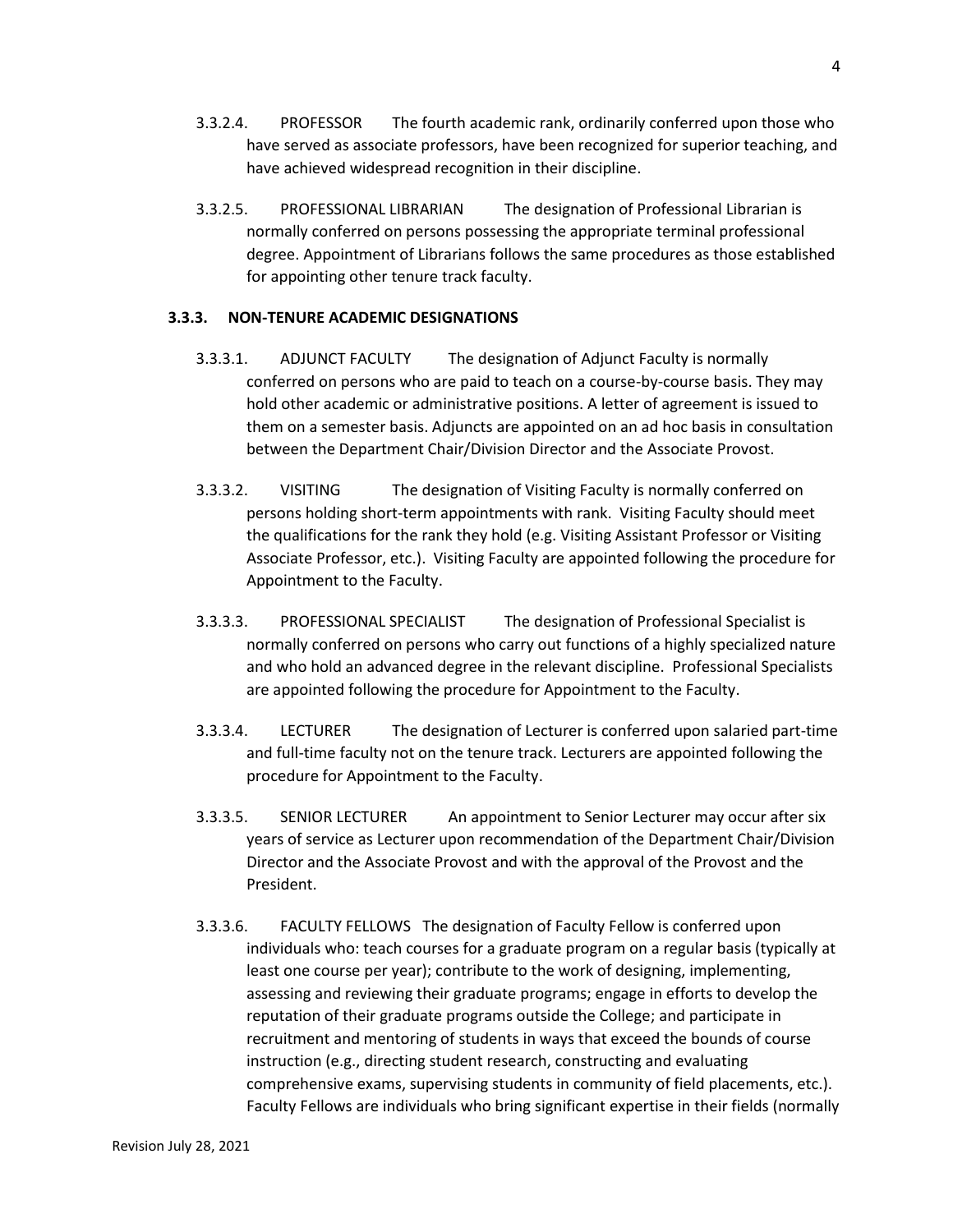- 3.3.2.4. PROFESSOR The fourth academic rank, ordinarily conferred upon those who have served as associate professors, have been recognized for superior teaching, and have achieved widespread recognition in their discipline.
- 3.3.2.5. PROFESSIONAL LIBRARIAN The designation of Professional Librarian is normally conferred on persons possessing the appropriate terminal professional degree. Appointment of Librarians follows the same procedures as those established for appointing other tenure track faculty.

#### **3.3.3. NON-TENURE ACADEMIC DESIGNATIONS**

- 3.3.3.1. ADJUNCT FACULTY The designation of Adjunct Faculty is normally conferred on persons who are paid to teach on a course-by-course basis. They may hold other academic or administrative positions. A letter of agreement is issued to them on a semester basis. Adjuncts are appointed on an ad hoc basis in consultation between the Department Chair/Division Director and the Associate Provost.
- 3.3.3.2. VISITING The designation of Visiting Faculty is normally conferred on persons holding short-term appointments with rank. Visiting Faculty should meet the qualifications for the rank they hold (e.g. Visiting Assistant Professor or Visiting Associate Professor, etc.). Visiting Faculty are appointed following the procedure for Appointment to the Faculty.
- 3.3.3.3. PROFESSIONAL SPECIALIST The designation of Professional Specialist is normally conferred on persons who carry out functions of a highly specialized nature and who hold an advanced degree in the relevant discipline. Professional Specialists are appointed following the procedure for Appointment to the Faculty.
- 3.3.3.4. LECTURER The designation of Lecturer is conferred upon salaried part-time and full-time faculty not on the tenure track. Lecturers are appointed following the procedure for Appointment to the Faculty.
- 3.3.3.5. SENIOR LECTURER An appointment to Senior Lecturer may occur after six years of service as Lecturer upon recommendation of the Department Chair/Division Director and the Associate Provost and with the approval of the Provost and the President.
- 3.3.3.6. FACULTY FELLOWS The designation of Faculty Fellow is conferred upon individuals who: teach courses for a graduate program on a regular basis (typically at least one course per year); contribute to the work of designing, implementing, assessing and reviewing their graduate programs; engage in efforts to develop the reputation of their graduate programs outside the College; and participate in recruitment and mentoring of students in ways that exceed the bounds of course instruction (e.g., directing student research, constructing and evaluating comprehensive exams, supervising students in community of field placements, etc.). Faculty Fellows are individuals who bring significant expertise in their fields (normally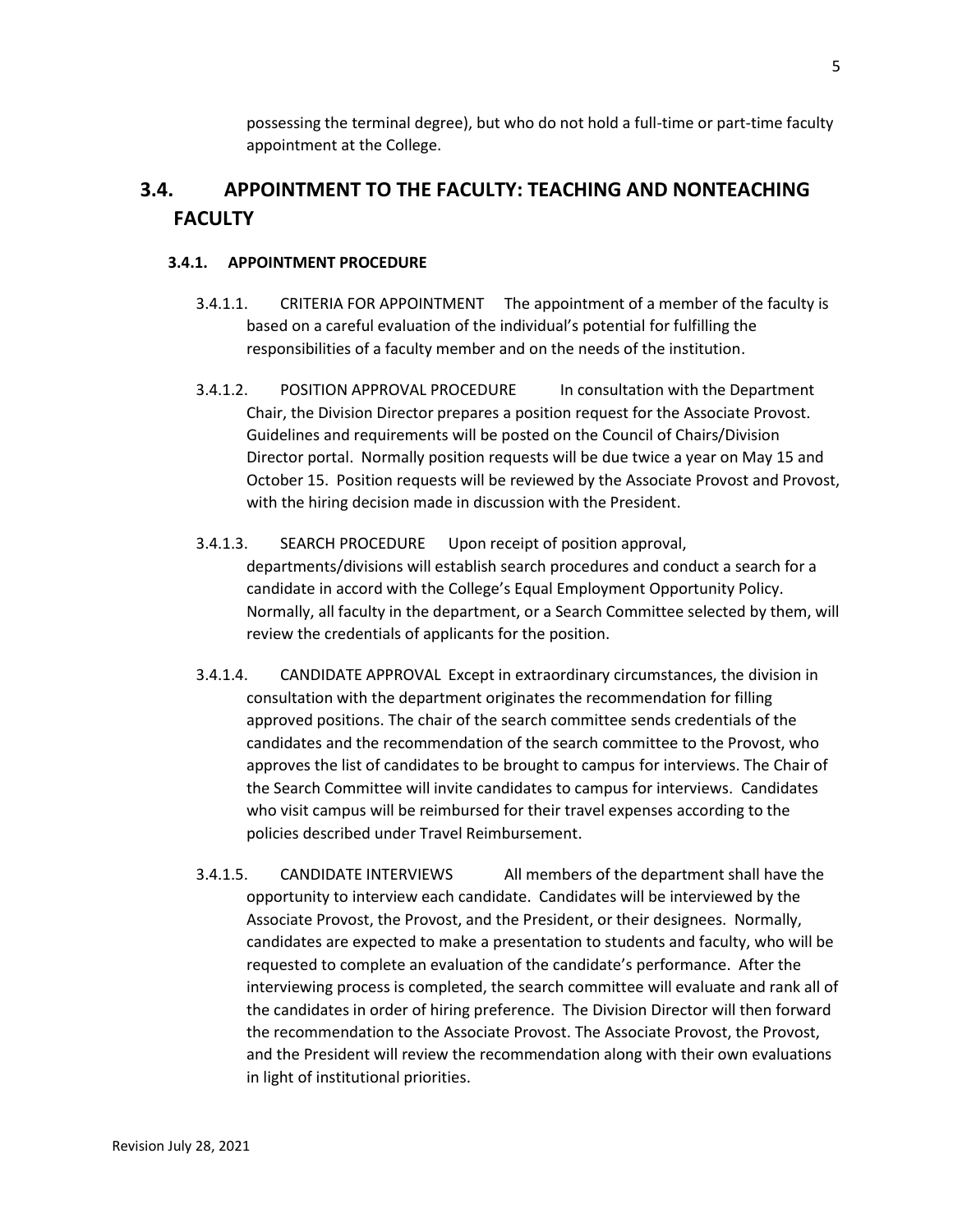possessing the terminal degree), but who do not hold a full-time or part-time faculty appointment at the College.

# **3.4. APPOINTMENT TO THE FACULTY: TEACHING AND NONTEACHING FACULTY**

## **3.4.1. APPOINTMENT PROCEDURE**

- 3.4.1.1. CRITERIA FOR APPOINTMENT The appointment of a member of the faculty is based on a careful evaluation of the individual's potential for fulfilling the responsibilities of a faculty member and on the needs of the institution.
- 3.4.1.2. POSITION APPROVAL PROCEDURE In consultation with the Department Chair, the Division Director prepares a position request for the Associate Provost. Guidelines and requirements will be posted on the Council of Chairs/Division Director portal. Normally position requests will be due twice a year on May 15 and October 15. Position requests will be reviewed by the Associate Provost and Provost, with the hiring decision made in discussion with the President.
- 3.4.1.3. SEARCH PROCEDURE Upon receipt of position approval, departments/divisions will establish search procedures and conduct a search for a candidate in accord with the College's Equal Employment Opportunity Policy. Normally, all faculty in the department, or a Search Committee selected by them, will review the credentials of applicants for the position.
- 3.4.1.4. CANDIDATE APPROVAL Except in extraordinary circumstances, the division in consultation with the department originates the recommendation for filling approved positions. The chair of the search committee sends credentials of the candidates and the recommendation of the search committee to the Provost, who approves the list of candidates to be brought to campus for interviews. The Chair of the Search Committee will invite candidates to campus for interviews. Candidates who visit campus will be reimbursed for their travel expenses according to the policies described under Travel Reimbursement.
- 3.4.1.5. CANDIDATE INTERVIEWS All members of the department shall have the opportunity to interview each candidate. Candidates will be interviewed by the Associate Provost, the Provost, and the President, or their designees. Normally, candidates are expected to make a presentation to students and faculty, who will be requested to complete an evaluation of the candidate's performance. After the interviewing process is completed, the search committee will evaluate and rank all of the candidates in order of hiring preference. The Division Director will then forward the recommendation to the Associate Provost. The Associate Provost, the Provost, and the President will review the recommendation along with their own evaluations in light of institutional priorities.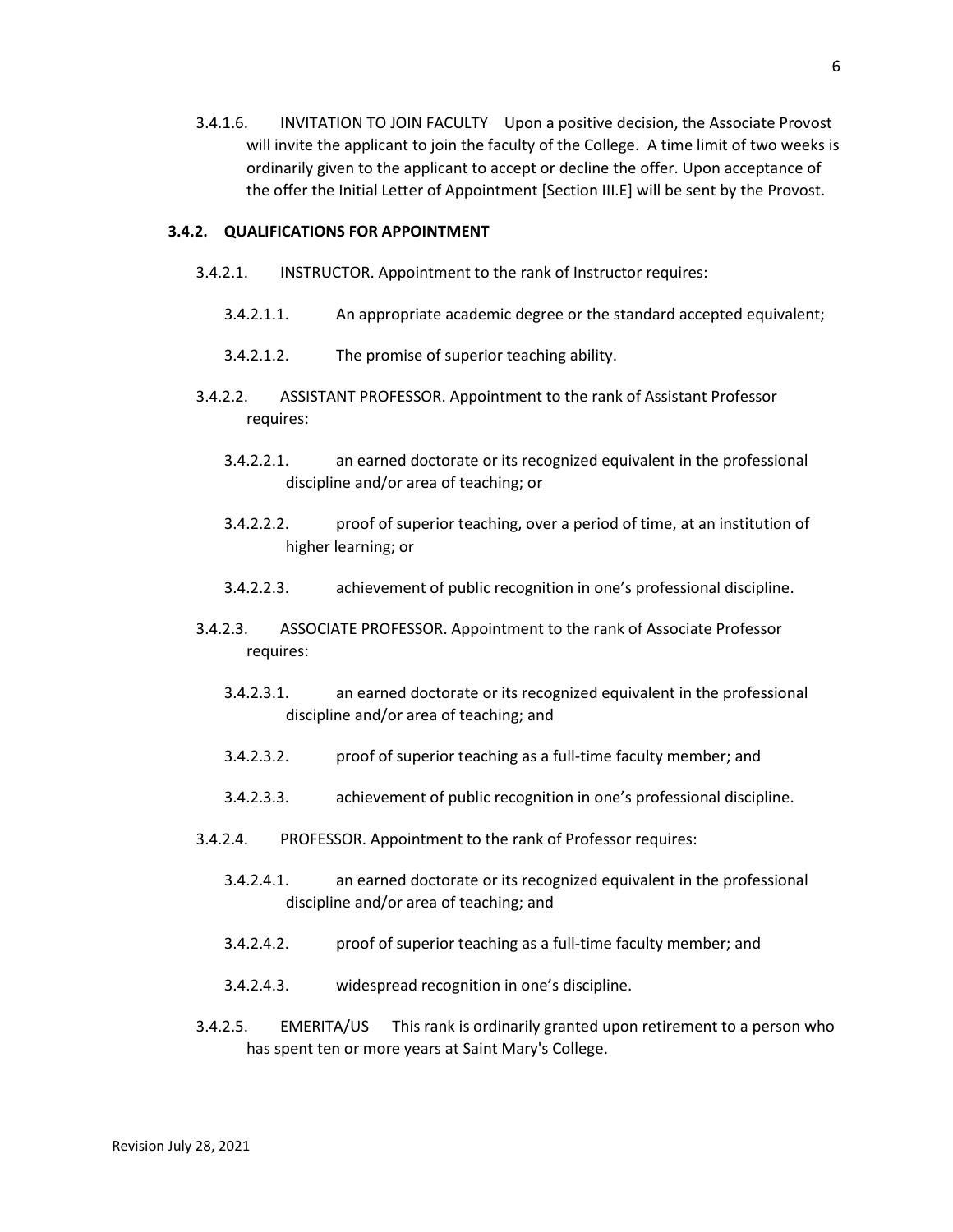3.4.1.6. INVITATION TO JOIN FACULTY Upon a positive decision, the Associate Provost will invite the applicant to join the faculty of the College. A time limit of two weeks is ordinarily given to the applicant to accept or decline the offer. Upon acceptance of the offer the Initial Letter of Appointment [Section III.E] will be sent by the Provost.

#### **3.4.2. QUALIFICATIONS FOR APPOINTMENT**

- 3.4.2.1. INSTRUCTOR. Appointment to the rank of Instructor requires:
	- 3.4.2.1.1. An appropriate academic degree or the standard accepted equivalent;
	- 3.4.2.1.2. The promise of superior teaching ability.
- 3.4.2.2. ASSISTANT PROFESSOR. Appointment to the rank of Assistant Professor requires:
	- 3.4.2.2.1. an earned doctorate or its recognized equivalent in the professional discipline and/or area of teaching; or
	- 3.4.2.2.2. proof of superior teaching, over a period of time, at an institution of higher learning; or
	- 3.4.2.2.3. achievement of public recognition in one's professional discipline.
- 3.4.2.3. ASSOCIATE PROFESSOR. Appointment to the rank of Associate Professor requires:
	- 3.4.2.3.1. an earned doctorate or its recognized equivalent in the professional discipline and/or area of teaching; and
	- 3.4.2.3.2. proof of superior teaching as a full-time faculty member; and
	- 3.4.2.3.3. achievement of public recognition in one's professional discipline.
- 3.4.2.4. PROFESSOR. Appointment to the rank of Professor requires:
	- 3.4.2.4.1. an earned doctorate or its recognized equivalent in the professional discipline and/or area of teaching; and
	- 3.4.2.4.2. proof of superior teaching as a full-time faculty member; and
	- 3.4.2.4.3. widespread recognition in one's discipline.
- 3.4.2.5. EMERITA/US This rank is ordinarily granted upon retirement to a person who has spent ten or more years at Saint Mary's College.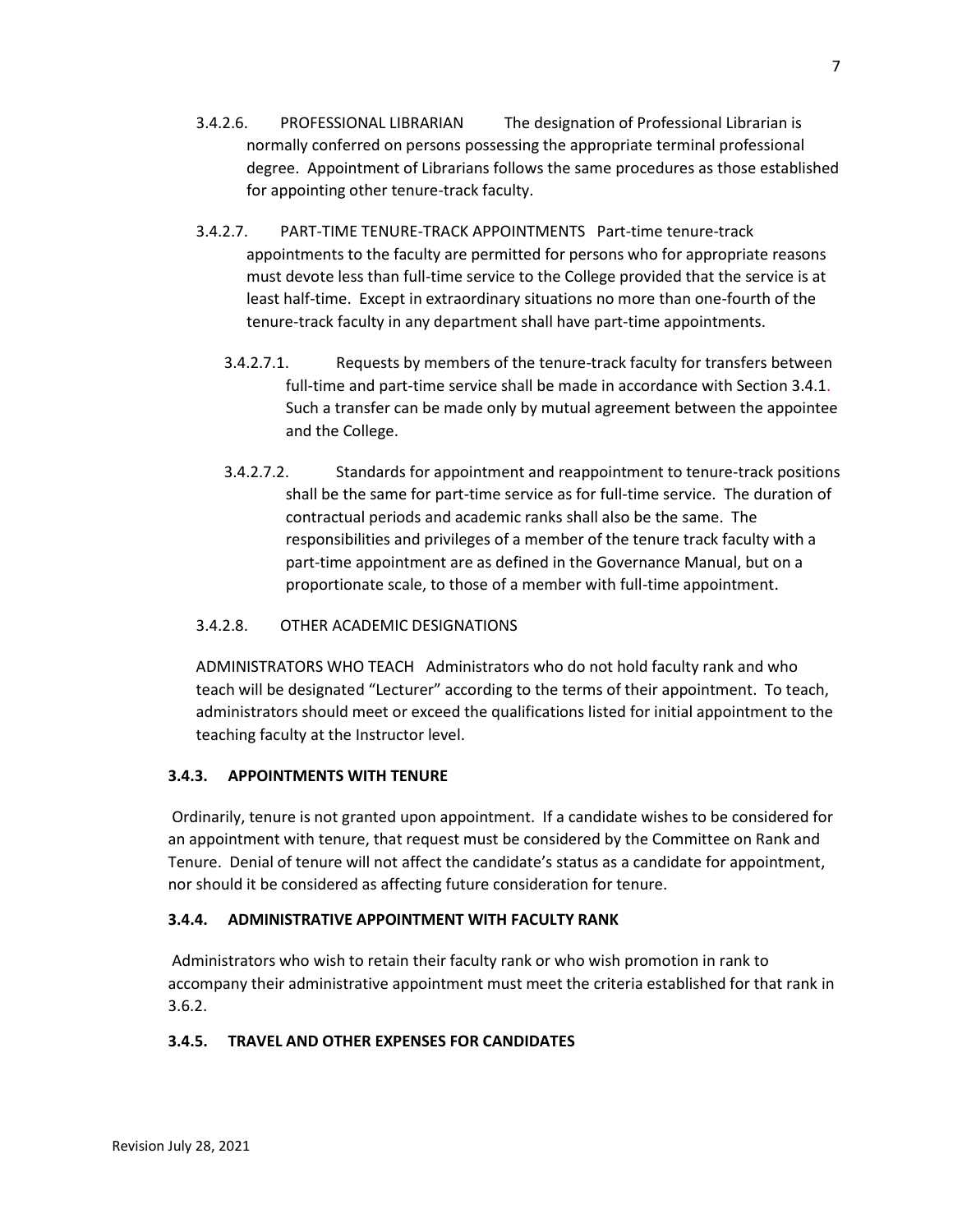- 3.4.2.6. PROFESSIONAL LIBRARIAN The designation of Professional Librarian is normally conferred on persons possessing the appropriate terminal professional degree. Appointment of Librarians follows the same procedures as those established for appointing other tenure-track faculty.
- 3.4.2.7. PART-TIME TENURE-TRACK APPOINTMENTS Part-time tenure-track appointments to the faculty are permitted for persons who for appropriate reasons must devote less than full-time service to the College provided that the service is at least half-time. Except in extraordinary situations no more than one-fourth of the tenure-track faculty in any department shall have part-time appointments.
	- 3.4.2.7.1. Requests by members of the tenure-track faculty for transfers between full-time and part-time service shall be made in accordance with Section 3.4.1. Such a transfer can be made only by mutual agreement between the appointee and the College.
	- 3.4.2.7.2. Standards for appointment and reappointment to tenure-track positions shall be the same for part-time service as for full-time service. The duration of contractual periods and academic ranks shall also be the same. The responsibilities and privileges of a member of the tenure track faculty with a part-time appointment are as defined in the Governance Manual, but on a proportionate scale, to those of a member with full-time appointment.

## 3.4.2.8. OTHER ACADEMIC DESIGNATIONS

ADMINISTRATORS WHO TEACH Administrators who do not hold faculty rank and who teach will be designated "Lecturer" according to the terms of their appointment. To teach, administrators should meet or exceed the qualifications listed for initial appointment to the teaching faculty at the Instructor level.

## **3.4.3. APPOINTMENTS WITH TENURE**

Ordinarily, tenure is not granted upon appointment. If a candidate wishes to be considered for an appointment with tenure, that request must be considered by the Committee on Rank and Tenure. Denial of tenure will not affect the candidate's status as a candidate for appointment, nor should it be considered as affecting future consideration for tenure.

## **3.4.4. ADMINISTRATIVE APPOINTMENT WITH FACULTY RANK**

Administrators who wish to retain their faculty rank or who wish promotion in rank to accompany their administrative appointment must meet the criteria established for that rank in 3.6.2.

## **3.4.5. TRAVEL AND OTHER EXPENSES FOR CANDIDATES**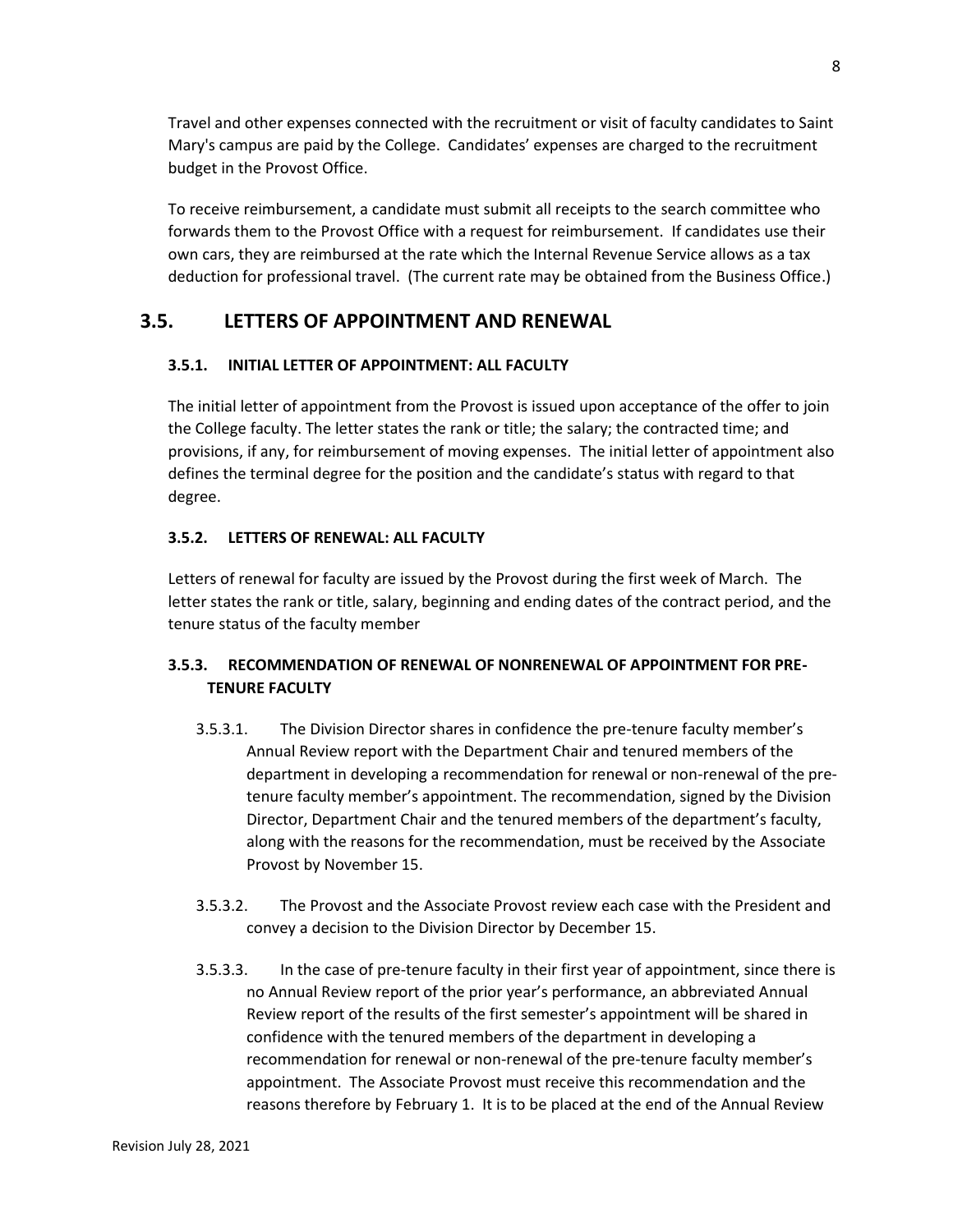Travel and other expenses connected with the recruitment or visit of faculty candidates to Saint Mary's campus are paid by the College. Candidates' expenses are charged to the recruitment budget in the Provost Office.

To receive reimbursement, a candidate must submit all receipts to the search committee who forwards them to the Provost Office with a request for reimbursement. If candidates use their own cars, they are reimbursed at the rate which the Internal Revenue Service allows as a tax deduction for professional travel. (The current rate may be obtained from the Business Office.)

## **3.5. LETTERS OF APPOINTMENT AND RENEWAL**

## **3.5.1. INITIAL LETTER OF APPOINTMENT: ALL FACULTY**

The initial letter of appointment from the Provost is issued upon acceptance of the offer to join the College faculty. The letter states the rank or title; the salary; the contracted time; and provisions, if any, for reimbursement of moving expenses. The initial letter of appointment also defines the terminal degree for the position and the candidate's status with regard to that degree.

## **3.5.2. LETTERS OF RENEWAL: ALL FACULTY**

Letters of renewal for faculty are issued by the Provost during the first week of March. The letter states the rank or title, salary, beginning and ending dates of the contract period, and the tenure status of the faculty member

## **3.5.3. RECOMMENDATION OF RENEWAL OF NONRENEWAL OF APPOINTMENT FOR PRE-TENURE FACULTY**

- 3.5.3.1. The Division Director shares in confidence the pre-tenure faculty member's Annual Review report with the Department Chair and tenured members of the department in developing a recommendation for renewal or non-renewal of the pretenure faculty member's appointment. The recommendation, signed by the Division Director, Department Chair and the tenured members of the department's faculty, along with the reasons for the recommendation, must be received by the Associate Provost by November 15.
- 3.5.3.2. The Provost and the Associate Provost review each case with the President and convey a decision to the Division Director by December 15.
- 3.5.3.3. In the case of pre-tenure faculty in their first year of appointment, since there is no Annual Review report of the prior year's performance, an abbreviated Annual Review report of the results of the first semester's appointment will be shared in confidence with the tenured members of the department in developing a recommendation for renewal or non-renewal of the pre-tenure faculty member's appointment. The Associate Provost must receive this recommendation and the reasons therefore by February 1. It is to be placed at the end of the Annual Review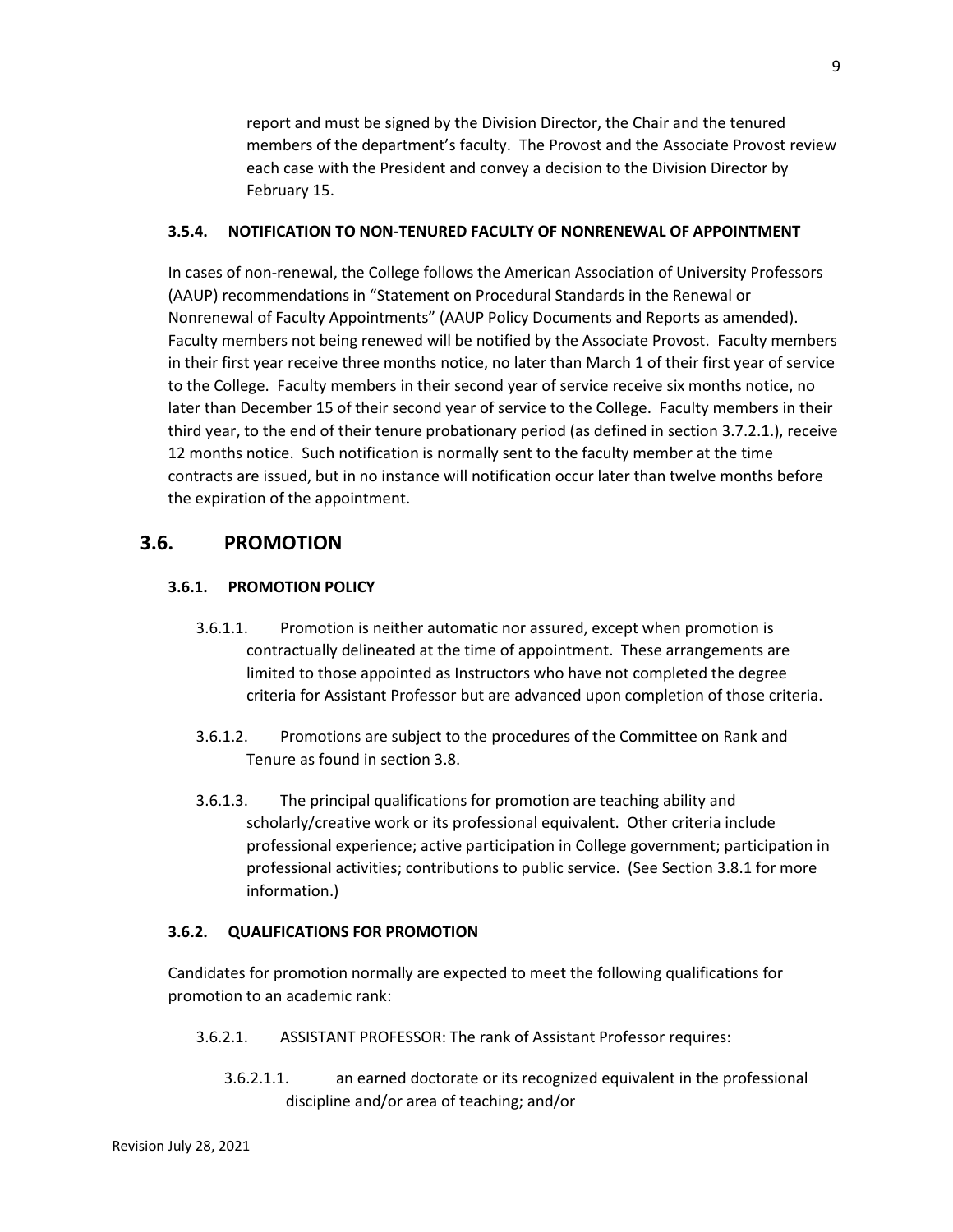report and must be signed by the Division Director, the Chair and the tenured members of the department's faculty. The Provost and the Associate Provost review each case with the President and convey a decision to the Division Director by February 15.

### **3.5.4. NOTIFICATION TO NON-TENURED FACULTY OF NONRENEWAL OF APPOINTMENT**

In cases of non-renewal, the College follows the American Association of University Professors (AAUP) recommendations in "Statement on Procedural Standards in the Renewal or Nonrenewal of Faculty Appointments" (AAUP Policy Documents and Reports as amended). Faculty members not being renewed will be notified by the Associate Provost. Faculty members in their first year receive three months notice, no later than March 1 of their first year of service to the College. Faculty members in their second year of service receive six months notice, no later than December 15 of their second year of service to the College. Faculty members in their third year, to the end of their tenure probationary period (as defined in section 3.7.2.1.), receive 12 months notice. Such notification is normally sent to the faculty member at the time contracts are issued, but in no instance will notification occur later than twelve months before the expiration of the appointment.

## **3.6. PROMOTION**

## **3.6.1. PROMOTION POLICY**

- 3.6.1.1. Promotion is neither automatic nor assured, except when promotion is contractually delineated at the time of appointment. These arrangements are limited to those appointed as Instructors who have not completed the degree criteria for Assistant Professor but are advanced upon completion of those criteria.
- 3.6.1.2. Promotions are subject to the procedures of the Committee on Rank and Tenure as found in section 3.8.
- 3.6.1.3. The principal qualifications for promotion are teaching ability and scholarly/creative work or its professional equivalent. Other criteria include professional experience; active participation in College government; participation in professional activities; contributions to public service. (See Section 3.8.1 for more information.)

## **3.6.2. QUALIFICATIONS FOR PROMOTION**

Candidates for promotion normally are expected to meet the following qualifications for promotion to an academic rank:

- 3.6.2.1. ASSISTANT PROFESSOR: The rank of Assistant Professor requires:
	- 3.6.2.1.1. an earned doctorate or its recognized equivalent in the professional discipline and/or area of teaching; and/or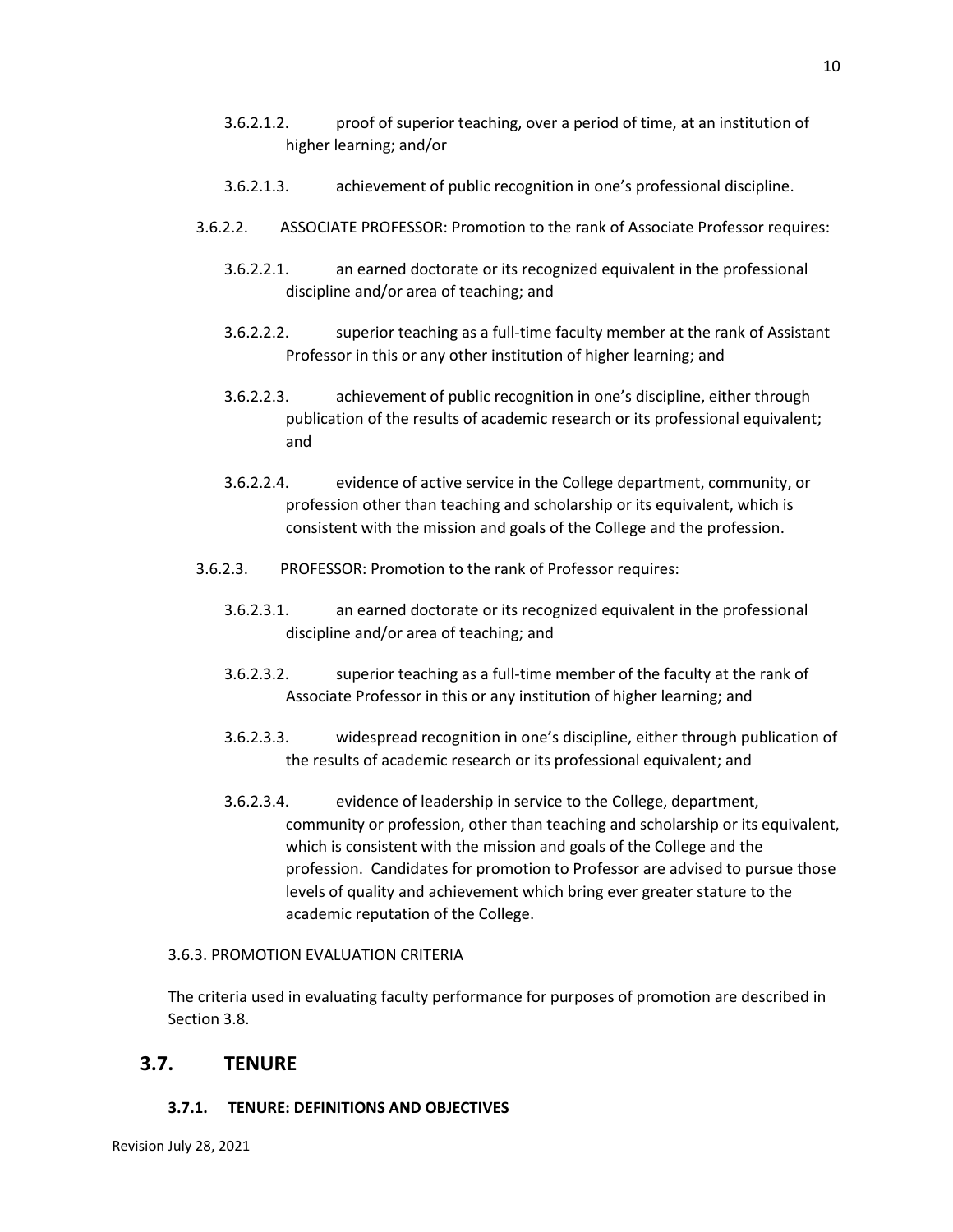- 3.6.2.1.2. proof of superior teaching, over a period of time, at an institution of higher learning; and/or
- 3.6.2.1.3. achievement of public recognition in one's professional discipline.
- 3.6.2.2. ASSOCIATE PROFESSOR: Promotion to the rank of Associate Professor requires:
	- 3.6.2.2.1. an earned doctorate or its recognized equivalent in the professional discipline and/or area of teaching; and
	- 3.6.2.2.2. superior teaching as a full-time faculty member at the rank of Assistant Professor in this or any other institution of higher learning; and
	- 3.6.2.2.3. achievement of public recognition in one's discipline, either through publication of the results of academic research or its professional equivalent; and
	- 3.6.2.2.4. evidence of active service in the College department, community, or profession other than teaching and scholarship or its equivalent, which is consistent with the mission and goals of the College and the profession.
- 3.6.2.3. PROFESSOR: Promotion to the rank of Professor requires:
	- 3.6.2.3.1. an earned doctorate or its recognized equivalent in the professional discipline and/or area of teaching; and
	- 3.6.2.3.2. superior teaching as a full-time member of the faculty at the rank of Associate Professor in this or any institution of higher learning; and
	- 3.6.2.3.3. widespread recognition in one's discipline, either through publication of the results of academic research or its professional equivalent; and
	- 3.6.2.3.4. evidence of leadership in service to the College, department, community or profession, other than teaching and scholarship or its equivalent, which is consistent with the mission and goals of the College and the profession. Candidates for promotion to Professor are advised to pursue those levels of quality and achievement which bring ever greater stature to the academic reputation of the College.

#### 3.6.3. PROMOTION EVALUATION CRITERIA

The criteria used in evaluating faculty performance for purposes of promotion are described in Section 3.8.

## **3.7. TENURE**

## **3.7.1. TENURE: DEFINITIONS AND OBJECTIVES**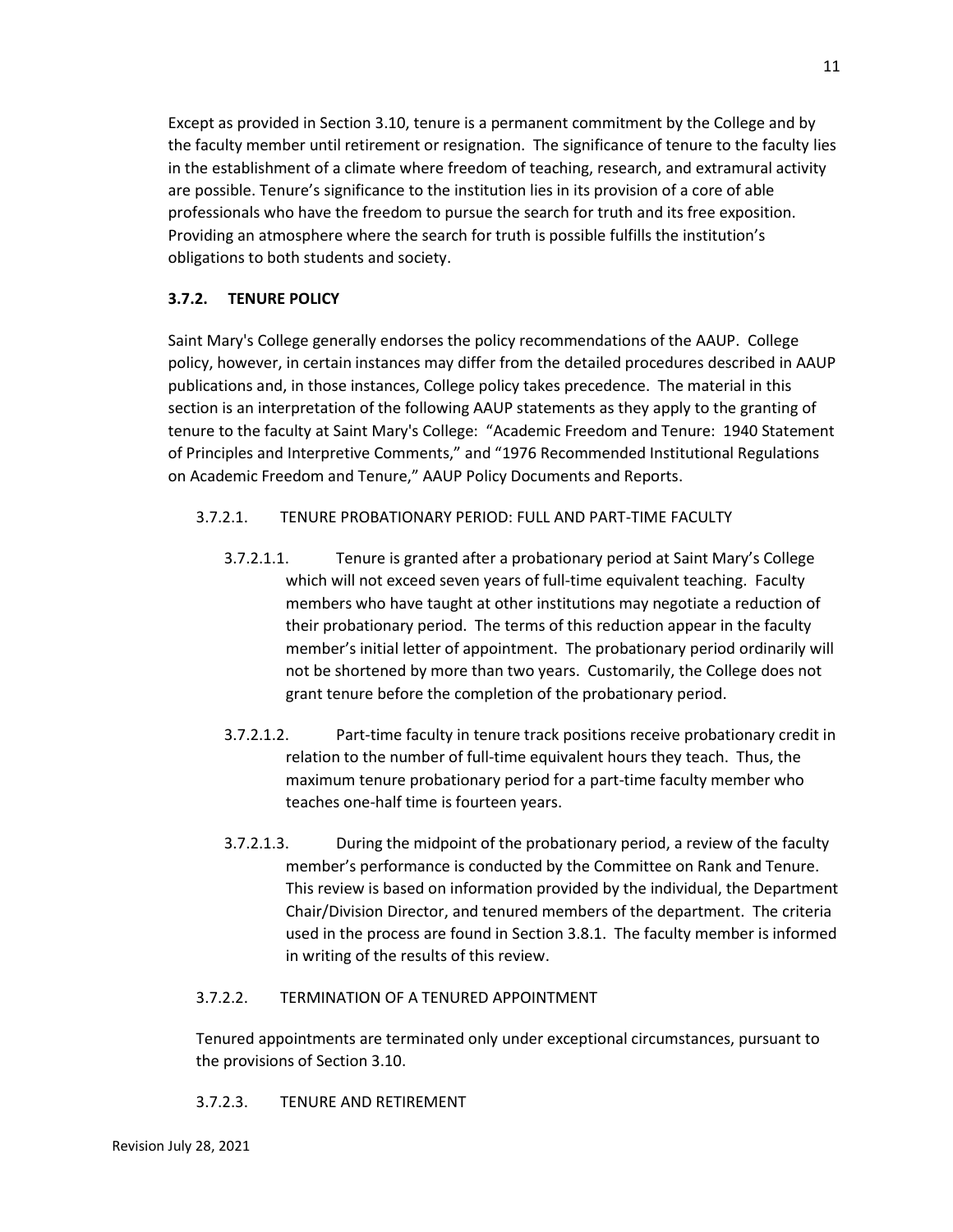Except as provided in Section 3.10, tenure is a permanent commitment by the College and by the faculty member until retirement or resignation. The significance of tenure to the faculty lies in the establishment of a climate where freedom of teaching, research, and extramural activity are possible. Tenure's significance to the institution lies in its provision of a core of able professionals who have the freedom to pursue the search for truth and its free exposition. Providing an atmosphere where the search for truth is possible fulfills the institution's obligations to both students and society.

## **3.7.2. TENURE POLICY**

Saint Mary's College generally endorses the policy recommendations of the AAUP. College policy, however, in certain instances may differ from the detailed procedures described in AAUP publications and, in those instances, College policy takes precedence. The material in this section is an interpretation of the following AAUP statements as they apply to the granting of tenure to the faculty at Saint Mary's College: "Academic Freedom and Tenure: 1940 Statement of Principles and Interpretive Comments," and "1976 Recommended Institutional Regulations on Academic Freedom and Tenure," AAUP Policy Documents and Reports.

## 3.7.2.1. TENURE PROBATIONARY PERIOD: FULL AND PART-TIME FACULTY

- 3.7.2.1.1. Tenure is granted after a probationary period at Saint Mary's College which will not exceed seven years of full-time equivalent teaching. Faculty members who have taught at other institutions may negotiate a reduction of their probationary period. The terms of this reduction appear in the faculty member's initial letter of appointment. The probationary period ordinarily will not be shortened by more than two years. Customarily, the College does not grant tenure before the completion of the probationary period.
- 3.7.2.1.2. Part-time faculty in tenure track positions receive probationary credit in relation to the number of full-time equivalent hours they teach. Thus, the maximum tenure probationary period for a part-time faculty member who teaches one-half time is fourteen years.
- 3.7.2.1.3. During the midpoint of the probationary period, a review of the faculty member's performance is conducted by the Committee on Rank and Tenure. This review is based on information provided by the individual, the Department Chair/Division Director, and tenured members of the department. The criteria used in the process are found in Section 3.8.1. The faculty member is informed in writing of the results of this review.

## 3.7.2.2. TERMINATION OF A TENURED APPOINTMENT

Tenured appointments are terminated only under exceptional circumstances, pursuant to the provisions of Section 3.10.

## 3.7.2.3. TENURE AND RETIREMENT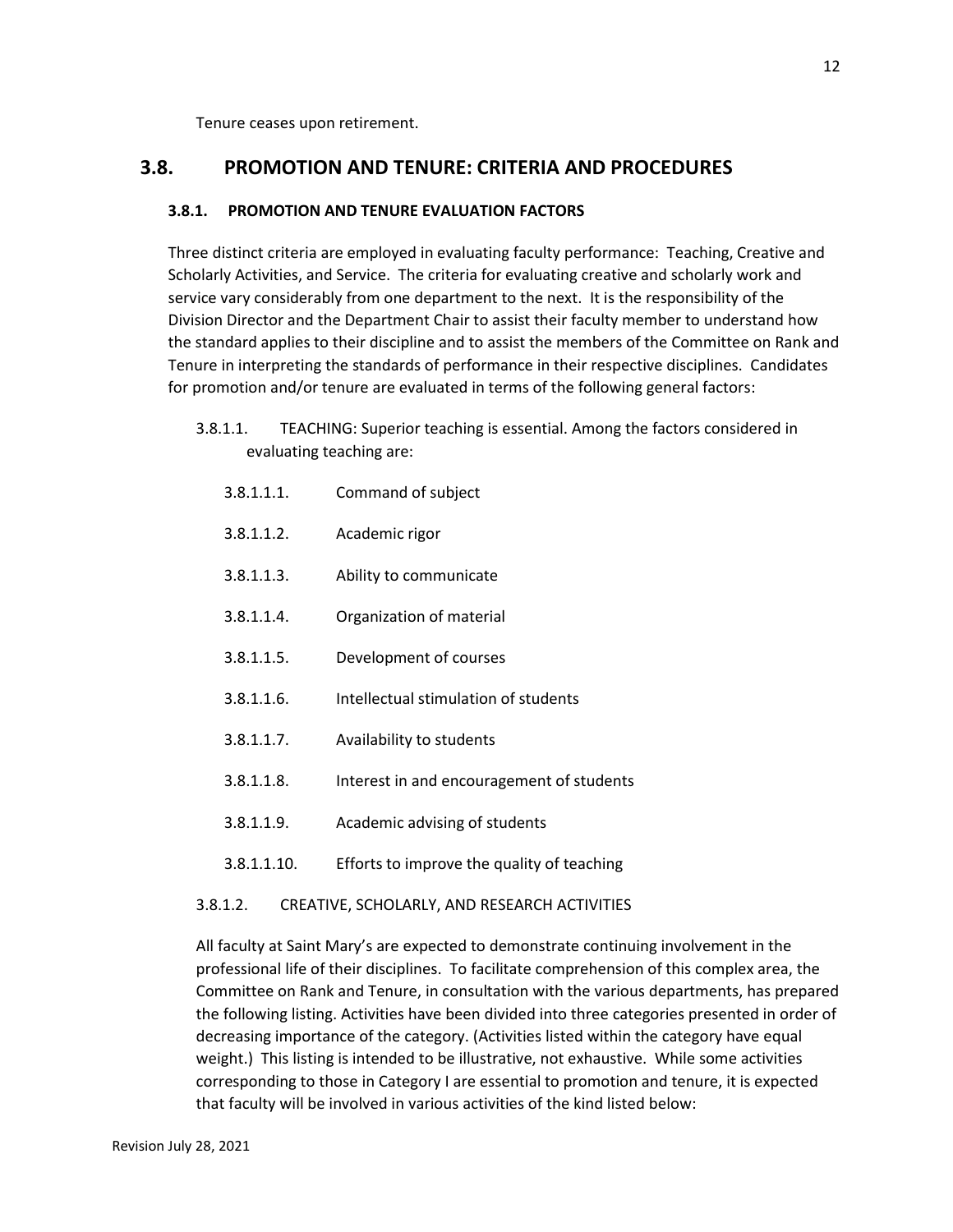Tenure ceases upon retirement.

## **3.8. PROMOTION AND TENURE: CRITERIA AND PROCEDURES**

## **3.8.1. PROMOTION AND TENURE EVALUATION FACTORS**

Three distinct criteria are employed in evaluating faculty performance: Teaching, Creative and Scholarly Activities, and Service. The criteria for evaluating creative and scholarly work and service vary considerably from one department to the next. It is the responsibility of the Division Director and the Department Chair to assist their faculty member to understand how the standard applies to their discipline and to assist the members of the Committee on Rank and Tenure in interpreting the standards of performance in their respective disciplines. Candidates for promotion and/or tenure are evaluated in terms of the following general factors:

- 3.8.1.1. TEACHING: Superior teaching is essential. Among the factors considered in evaluating teaching are:
	- 3.8.1.1.1. Command of subject
	- 3.8.1.1.2. Academic rigor
	- 3.8.1.1.3. Ability to communicate
	- 3.8.1.1.4. Organization of material
	- 3.8.1.1.5. Development of courses
	- 3.8.1.1.6. Intellectual stimulation of students
	- 3.8.1.1.7. Availability to students
	- 3.8.1.1.8. Interest in and encouragement of students
	- 3.8.1.1.9. Academic advising of students
	- 3.8.1.1.10. Efforts to improve the quality of teaching
- 3.8.1.2. CREATIVE, SCHOLARLY, AND RESEARCH ACTIVITIES

All faculty at Saint Mary's are expected to demonstrate continuing involvement in the professional life of their disciplines. To facilitate comprehension of this complex area, the Committee on Rank and Tenure, in consultation with the various departments, has prepared the following listing. Activities have been divided into three categories presented in order of decreasing importance of the category. (Activities listed within the category have equal weight.) This listing is intended to be illustrative, not exhaustive. While some activities corresponding to those in Category I are essential to promotion and tenure, it is expected that faculty will be involved in various activities of the kind listed below: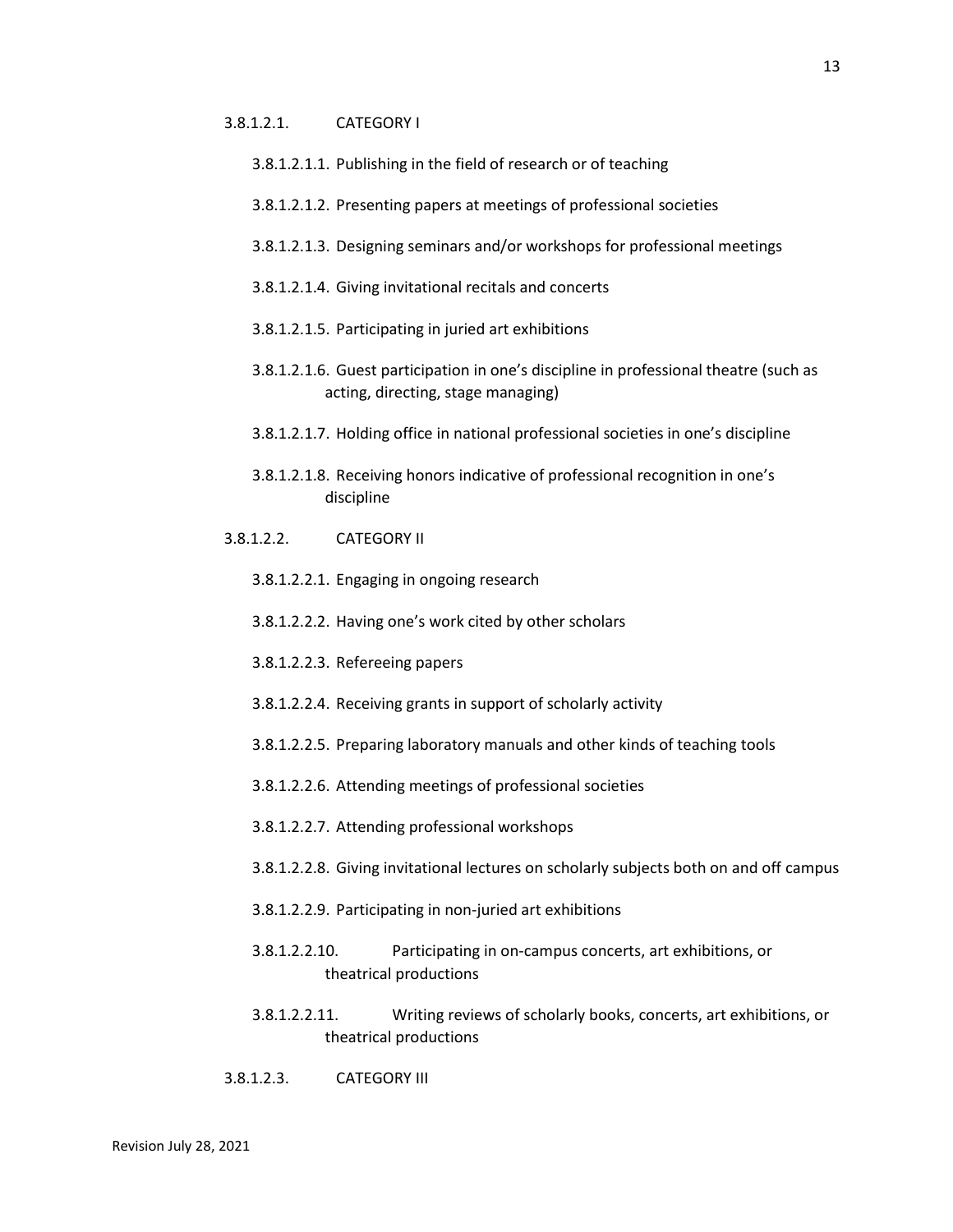### 3.8.1.2.1. CATEGORY I

- 3.8.1.2.1.1. Publishing in the field of research or of teaching
- 3.8.1.2.1.2. Presenting papers at meetings of professional societies
- 3.8.1.2.1.3. Designing seminars and/or workshops for professional meetings
- 3.8.1.2.1.4. Giving invitational recitals and concerts
- 3.8.1.2.1.5. Participating in juried art exhibitions
- 3.8.1.2.1.6. Guest participation in one's discipline in professional theatre (such as acting, directing, stage managing)
- 3.8.1.2.1.7. Holding office in national professional societies in one's discipline
- 3.8.1.2.1.8. Receiving honors indicative of professional recognition in one's discipline
- 3.8.1.2.2. CATEGORY II
	- 3.8.1.2.2.1. Engaging in ongoing research
	- 3.8.1.2.2.2. Having one's work cited by other scholars
	- 3.8.1.2.2.3. Refereeing papers
	- 3.8.1.2.2.4. Receiving grants in support of scholarly activity
	- 3.8.1.2.2.5. Preparing laboratory manuals and other kinds of teaching tools
	- 3.8.1.2.2.6. Attending meetings of professional societies
	- 3.8.1.2.2.7. Attending professional workshops
	- 3.8.1.2.2.8. Giving invitational lectures on scholarly subjects both on and off campus
	- 3.8.1.2.2.9. Participating in non-juried art exhibitions
	- 3.8.1.2.2.10. Participating in on-campus concerts, art exhibitions, or theatrical productions
	- 3.8.1.2.2.11. Writing reviews of scholarly books, concerts, art exhibitions, or theatrical productions
- 3.8.1.2.3. CATEGORY III

13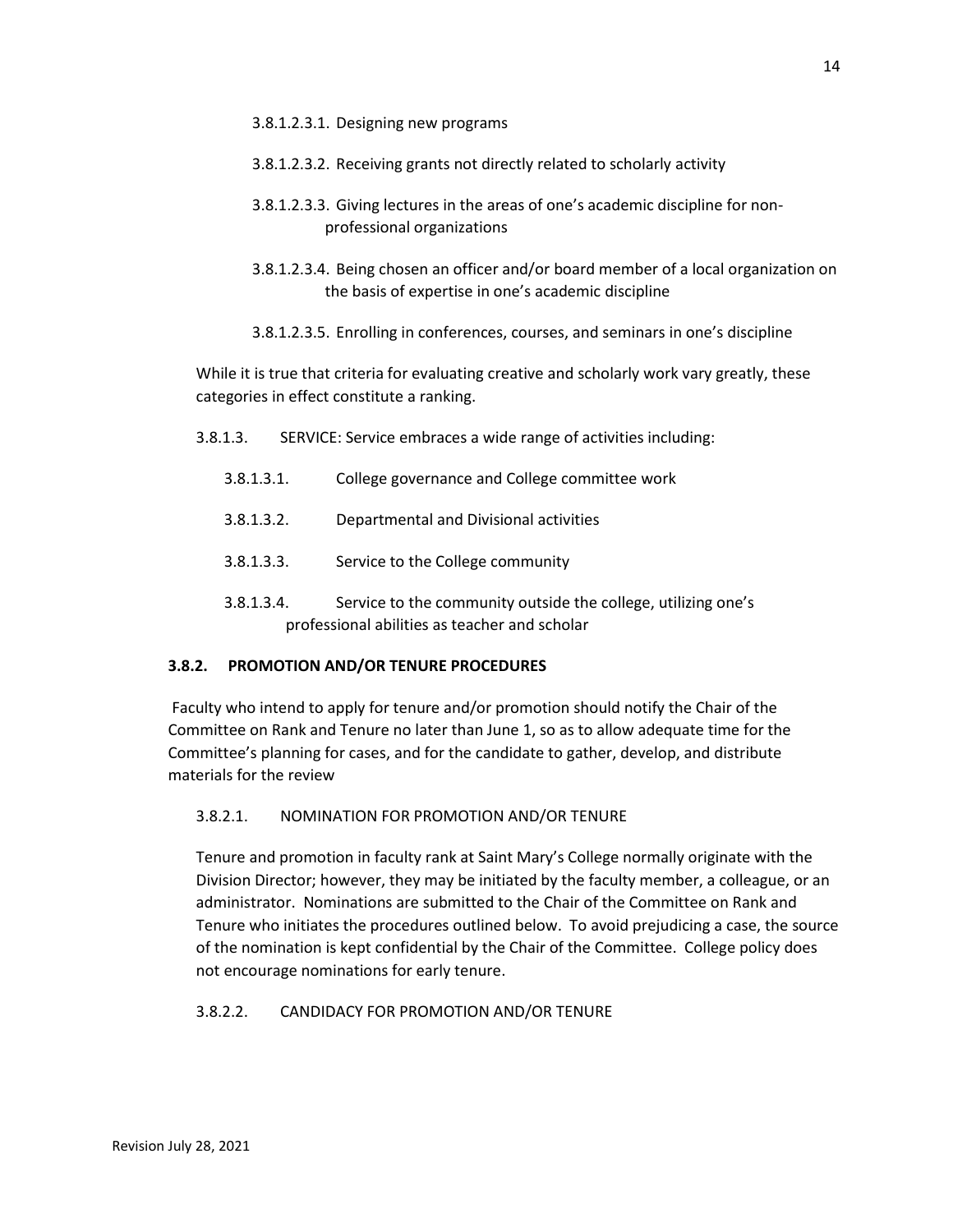- 3.8.1.2.3.2. Receiving grants not directly related to scholarly activity
- 3.8.1.2.3.3. Giving lectures in the areas of one's academic discipline for nonprofessional organizations
- 3.8.1.2.3.4. Being chosen an officer and/or board member of a local organization on the basis of expertise in one's academic discipline
- 3.8.1.2.3.5. Enrolling in conferences, courses, and seminars in one's discipline

While it is true that criteria for evaluating creative and scholarly work vary greatly, these categories in effect constitute a ranking.

- 3.8.1.3. SERVICE: Service embraces a wide range of activities including:
	- 3.8.1.3.1. College governance and College committee work
	- 3.8.1.3.2. Departmental and Divisional activities
	- 3.8.1.3.3. Service to the College community
	- 3.8.1.3.4. Service to the community outside the college, utilizing one's professional abilities as teacher and scholar

### **3.8.2. PROMOTION AND/OR TENURE PROCEDURES**

Faculty who intend to apply for tenure and/or promotion should notify the Chair of the Committee on Rank and Tenure no later than June 1, so as to allow adequate time for the Committee's planning for cases, and for the candidate to gather, develop, and distribute materials for the review

### 3.8.2.1. NOMINATION FOR PROMOTION AND/OR TENURE

Tenure and promotion in faculty rank at Saint Mary's College normally originate with the Division Director; however, they may be initiated by the faculty member, a colleague, or an administrator. Nominations are submitted to the Chair of the Committee on Rank and Tenure who initiates the procedures outlined below. To avoid prejudicing a case, the source of the nomination is kept confidential by the Chair of the Committee. College policy does not encourage nominations for early tenure.

#### 3.8.2.2. CANDIDACY FOR PROMOTION AND/OR TENURE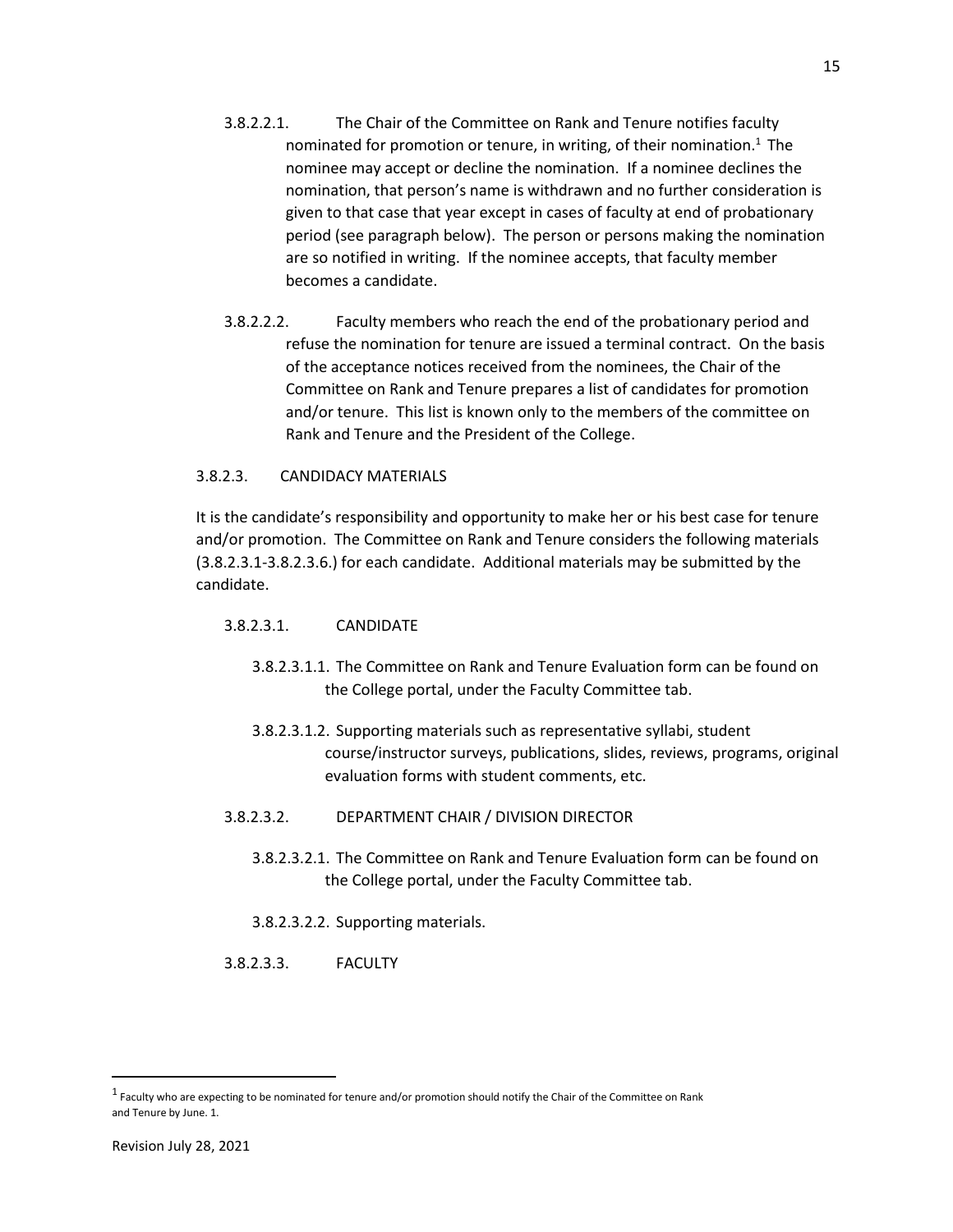- 3.8.2.2.1. The Chair of the Committee on Rank and Tenure notifies faculty nominated for promotion or tenure, in writing, of their nomination.<sup>1</sup> The nominee may accept or decline the nomination. If a nominee declines the nomination, that person's name is withdrawn and no further consideration is given to that case that year except in cases of faculty at end of probationary period (see paragraph below). The person or persons making the nomination are so notified in writing. If the nominee accepts, that faculty member becomes a candidate.
- 3.8.2.2.2. Faculty members who reach the end of the probationary period and refuse the nomination for tenure are issued a terminal contract. On the basis of the acceptance notices received from the nominees, the Chair of the Committee on Rank and Tenure prepares a list of candidates for promotion and/or tenure. This list is known only to the members of the committee on Rank and Tenure and the President of the College.

### 3.8.2.3. CANDIDACY MATERIALS

It is the candidate's responsibility and opportunity to make her or his best case for tenure and/or promotion. The Committee on Rank and Tenure considers the following materials (3.8.2.3.1-3.8.2.3.6.) for each candidate. Additional materials may be submitted by the candidate.

### 3.8.2.3.1. CANDIDATE

- 3.8.2.3.1.1. The Committee on Rank and Tenure Evaluation form can be found on the College portal, under the Faculty Committee tab.
- 3.8.2.3.1.2. Supporting materials such as representative syllabi, student course/instructor surveys, publications, slides, reviews, programs, original evaluation forms with student comments, etc.
- 3.8.2.3.2. DEPARTMENT CHAIR / DIVISION DIRECTOR
	- 3.8.2.3.2.1. The Committee on Rank and Tenure Evaluation form can be found on the College portal, under the Faculty Committee tab.
	- 3.8.2.3.2.2. Supporting materials.

#### 3.8.2.3.3. FACULTY

 $\overline{\phantom{a}}$ 

 $^1$  Faculty who are expecting to be nominated for tenure and/or promotion should notify the Chair of the Committee on Rank and Tenure by June. 1.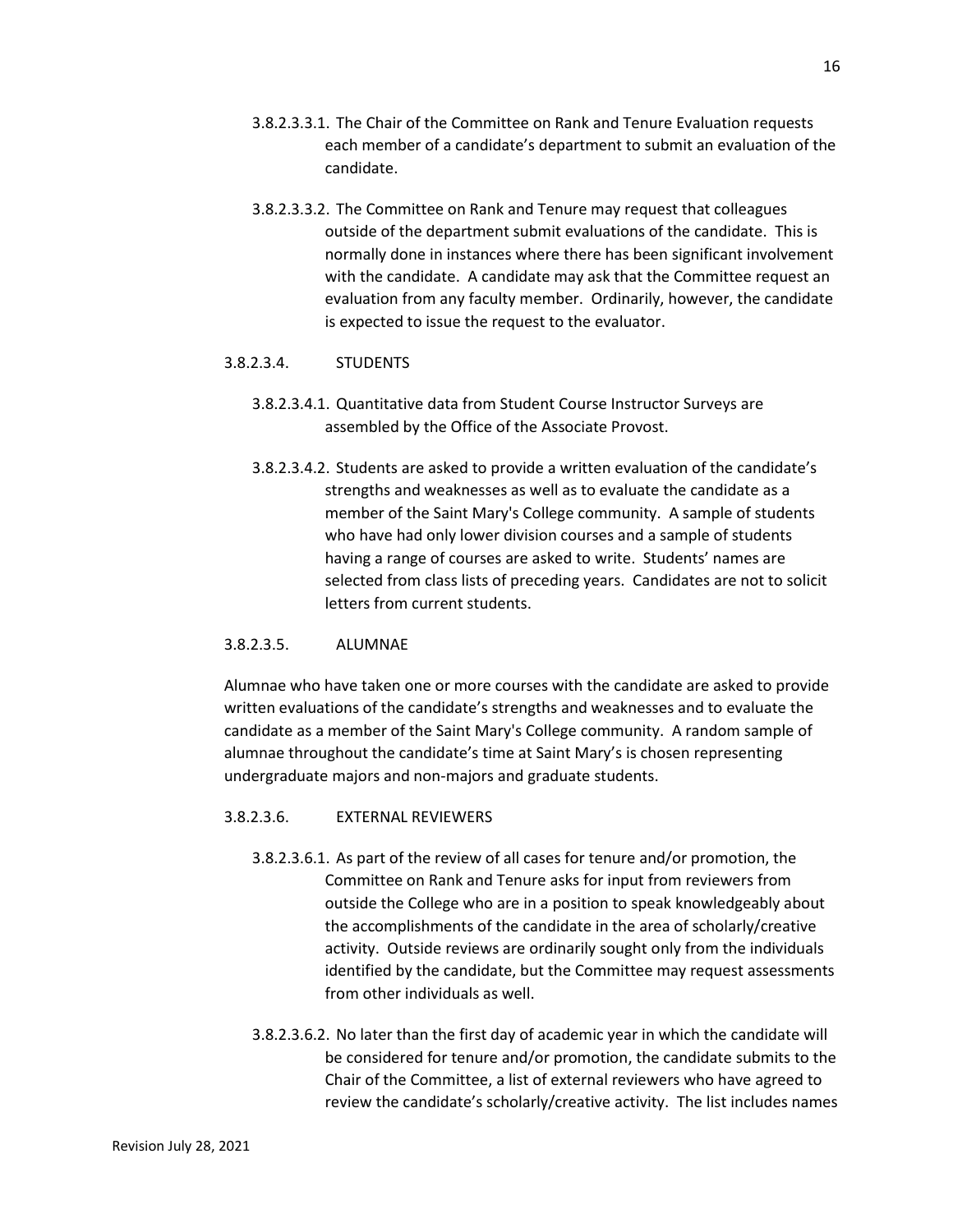- 3.8.2.3.3.1. The Chair of the Committee on Rank and Tenure Evaluation requests each member of a candidate's department to submit an evaluation of the candidate.
- 3.8.2.3.3.2. The Committee on Rank and Tenure may request that colleagues outside of the department submit evaluations of the candidate. This is normally done in instances where there has been significant involvement with the candidate. A candidate may ask that the Committee request an evaluation from any faculty member. Ordinarily, however, the candidate is expected to issue the request to the evaluator.

#### 3.8.2.3.4. STUDENTS

- 3.8.2.3.4.1. Quantitative data from Student Course Instructor Surveys are assembled by the Office of the Associate Provost.
- 3.8.2.3.4.2. Students are asked to provide a written evaluation of the candidate's strengths and weaknesses as well as to evaluate the candidate as a member of the Saint Mary's College community. A sample of students who have had only lower division courses and a sample of students having a range of courses are asked to write. Students' names are selected from class lists of preceding years. Candidates are not to solicit letters from current students.

#### 3.8.2.3.5. ALUMNAE

Alumnae who have taken one or more courses with the candidate are asked to provide written evaluations of the candidate's strengths and weaknesses and to evaluate the candidate as a member of the Saint Mary's College community. A random sample of alumnae throughout the candidate's time at Saint Mary's is chosen representing undergraduate majors and non-majors and graduate students.

#### 3.8.2.3.6. EXTERNAL REVIEWERS

- 3.8.2.3.6.1. As part of the review of all cases for tenure and/or promotion, the Committee on Rank and Tenure asks for input from reviewers from outside the College who are in a position to speak knowledgeably about the accomplishments of the candidate in the area of scholarly/creative activity. Outside reviews are ordinarily sought only from the individuals identified by the candidate, but the Committee may request assessments from other individuals as well.
- 3.8.2.3.6.2. No later than the first day of academic year in which the candidate will be considered for tenure and/or promotion, the candidate submits to the Chair of the Committee, a list of external reviewers who have agreed to review the candidate's scholarly/creative activity. The list includes names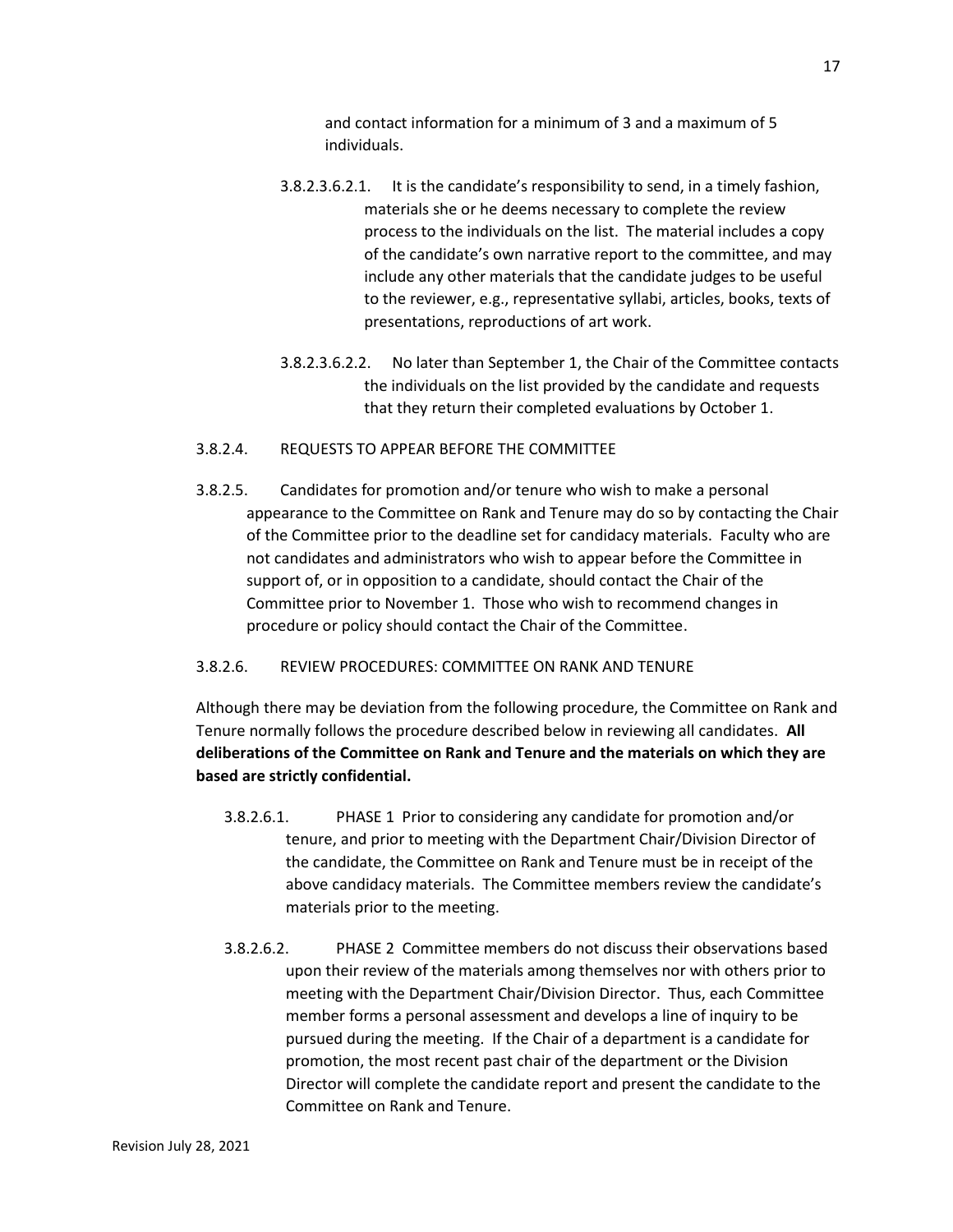and contact information for a minimum of 3 and a maximum of 5 individuals.

- 3.8.2.3.6.2.1. It is the candidate's responsibility to send, in a timely fashion, materials she or he deems necessary to complete the review process to the individuals on the list. The material includes a copy of the candidate's own narrative report to the committee, and may include any other materials that the candidate judges to be useful to the reviewer, e.g., representative syllabi, articles, books, texts of presentations, reproductions of art work.
- 3.8.2.3.6.2.2. No later than September 1, the Chair of the Committee contacts the individuals on the list provided by the candidate and requests that they return their completed evaluations by October 1.

#### 3.8.2.4. REQUESTS TO APPEAR BEFORE THE COMMITTEE

3.8.2.5. Candidates for promotion and/or tenure who wish to make a personal appearance to the Committee on Rank and Tenure may do so by contacting the Chair of the Committee prior to the deadline set for candidacy materials. Faculty who are not candidates and administrators who wish to appear before the Committee in support of, or in opposition to a candidate, should contact the Chair of the Committee prior to November 1. Those who wish to recommend changes in procedure or policy should contact the Chair of the Committee.

### 3.8.2.6. REVIEW PROCEDURES: COMMITTEE ON RANK AND TENURE

Although there may be deviation from the following procedure, the Committee on Rank and Tenure normally follows the procedure described below in reviewing all candidates. **All deliberations of the Committee on Rank and Tenure and the materials on which they are based are strictly confidential.**

- 3.8.2.6.1. PHASE 1 Prior to considering any candidate for promotion and/or tenure, and prior to meeting with the Department Chair/Division Director of the candidate, the Committee on Rank and Tenure must be in receipt of the above candidacy materials. The Committee members review the candidate's materials prior to the meeting.
- 3.8.2.6.2. PHASE 2 Committee members do not discuss their observations based upon their review of the materials among themselves nor with others prior to meeting with the Department Chair/Division Director. Thus, each Committee member forms a personal assessment and develops a line of inquiry to be pursued during the meeting. If the Chair of a department is a candidate for promotion, the most recent past chair of the department or the Division Director will complete the candidate report and present the candidate to the Committee on Rank and Tenure.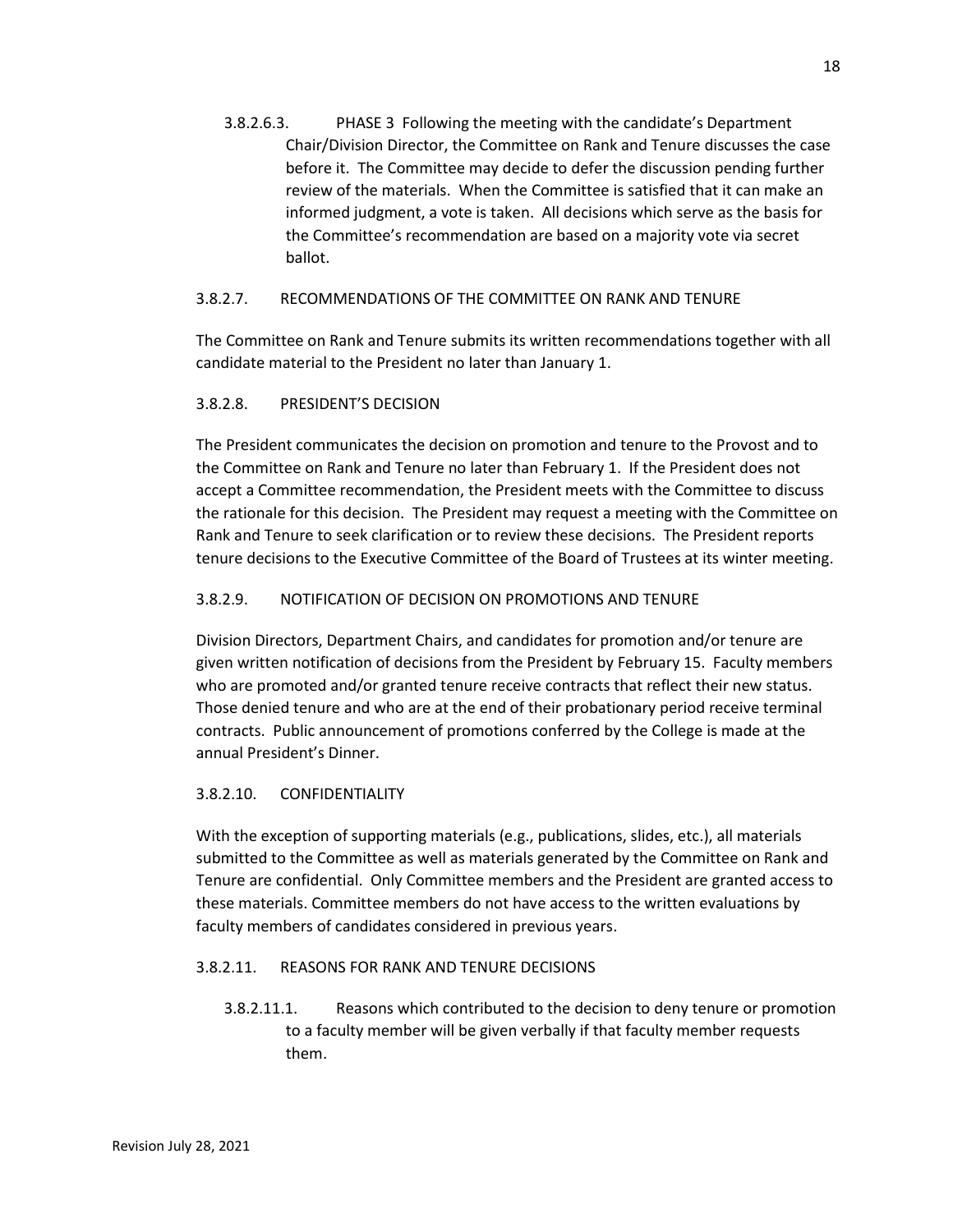3.8.2.6.3. PHASE 3 Following the meeting with the candidate's Department Chair/Division Director, the Committee on Rank and Tenure discusses the case before it. The Committee may decide to defer the discussion pending further review of the materials. When the Committee is satisfied that it can make an informed judgment, a vote is taken. All decisions which serve as the basis for the Committee's recommendation are based on a majority vote via secret ballot.

## 3.8.2.7. RECOMMENDATIONS OF THE COMMITTEE ON RANK AND TENURE

The Committee on Rank and Tenure submits its written recommendations together with all candidate material to the President no later than January 1.

## 3.8.2.8. PRESIDENT'S DECISION

The President communicates the decision on promotion and tenure to the Provost and to the Committee on Rank and Tenure no later than February 1. If the President does not accept a Committee recommendation, the President meets with the Committee to discuss the rationale for this decision. The President may request a meeting with the Committee on Rank and Tenure to seek clarification or to review these decisions. The President reports tenure decisions to the Executive Committee of the Board of Trustees at its winter meeting.

## 3.8.2.9. NOTIFICATION OF DECISION ON PROMOTIONS AND TENURE

Division Directors, Department Chairs, and candidates for promotion and/or tenure are given written notification of decisions from the President by February 15. Faculty members who are promoted and/or granted tenure receive contracts that reflect their new status. Those denied tenure and who are at the end of their probationary period receive terminal contracts. Public announcement of promotions conferred by the College is made at the annual President's Dinner.

## 3.8.2.10. CONFIDENTIALITY

With the exception of supporting materials (e.g., publications, slides, etc.), all materials submitted to the Committee as well as materials generated by the Committee on Rank and Tenure are confidential. Only Committee members and the President are granted access to these materials. Committee members do not have access to the written evaluations by faculty members of candidates considered in previous years.

## 3.8.2.11. REASONS FOR RANK AND TENURE DECISIONS

3.8.2.11.1. Reasons which contributed to the decision to deny tenure or promotion to a faculty member will be given verbally if that faculty member requests them.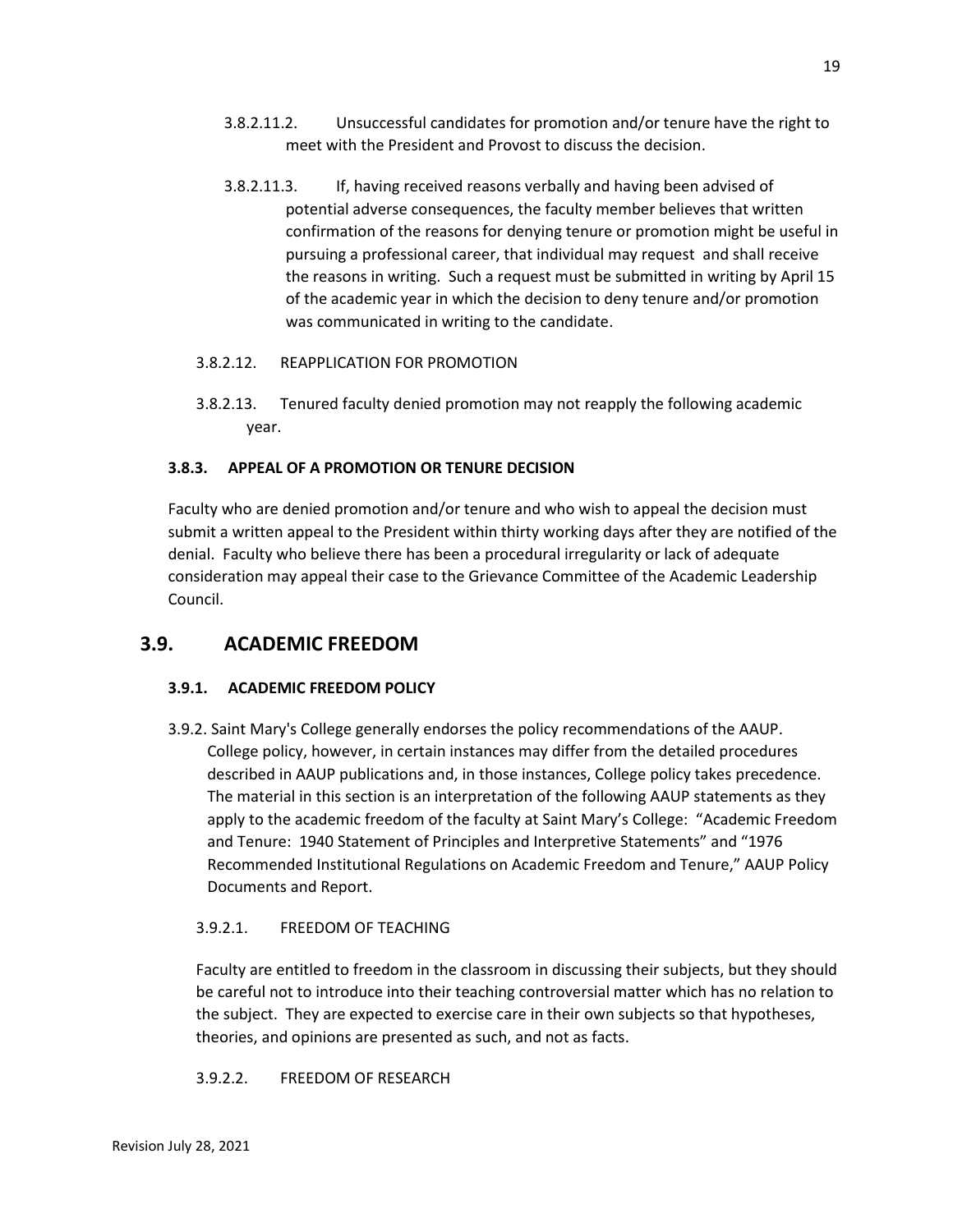- 3.8.2.11.2. Unsuccessful candidates for promotion and/or tenure have the right to meet with the President and Provost to discuss the decision.
- 3.8.2.11.3. If, having received reasons verbally and having been advised of potential adverse consequences, the faculty member believes that written confirmation of the reasons for denying tenure or promotion might be useful in pursuing a professional career, that individual may request and shall receive the reasons in writing. Such a request must be submitted in writing by April 15 of the academic year in which the decision to deny tenure and/or promotion was communicated in writing to the candidate.
- 3.8.2.12. REAPPLICATION FOR PROMOTION
- 3.8.2.13. Tenured faculty denied promotion may not reapply the following academic year.

## **3.8.3. APPEAL OF A PROMOTION OR TENURE DECISION**

Faculty who are denied promotion and/or tenure and who wish to appeal the decision must submit a written appeal to the President within thirty working days after they are notified of the denial. Faculty who believe there has been a procedural irregularity or lack of adequate consideration may appeal their case to the Grievance Committee of the Academic Leadership Council.

## **3.9. ACADEMIC FREEDOM**

## **3.9.1. ACADEMIC FREEDOM POLICY**

3.9.2. Saint Mary's College generally endorses the policy recommendations of the AAUP. College policy, however, in certain instances may differ from the detailed procedures described in AAUP publications and, in those instances, College policy takes precedence. The material in this section is an interpretation of the following AAUP statements as they apply to the academic freedom of the faculty at Saint Mary's College: "Academic Freedom and Tenure: 1940 Statement of Principles and Interpretive Statements" and "1976 Recommended Institutional Regulations on Academic Freedom and Tenure," AAUP Policy Documents and Report.

## 3.9.2.1. FREEDOM OF TEACHING

Faculty are entitled to freedom in the classroom in discussing their subjects, but they should be careful not to introduce into their teaching controversial matter which has no relation to the subject. They are expected to exercise care in their own subjects so that hypotheses, theories, and opinions are presented as such, and not as facts.

3.9.2.2. FREEDOM OF RESEARCH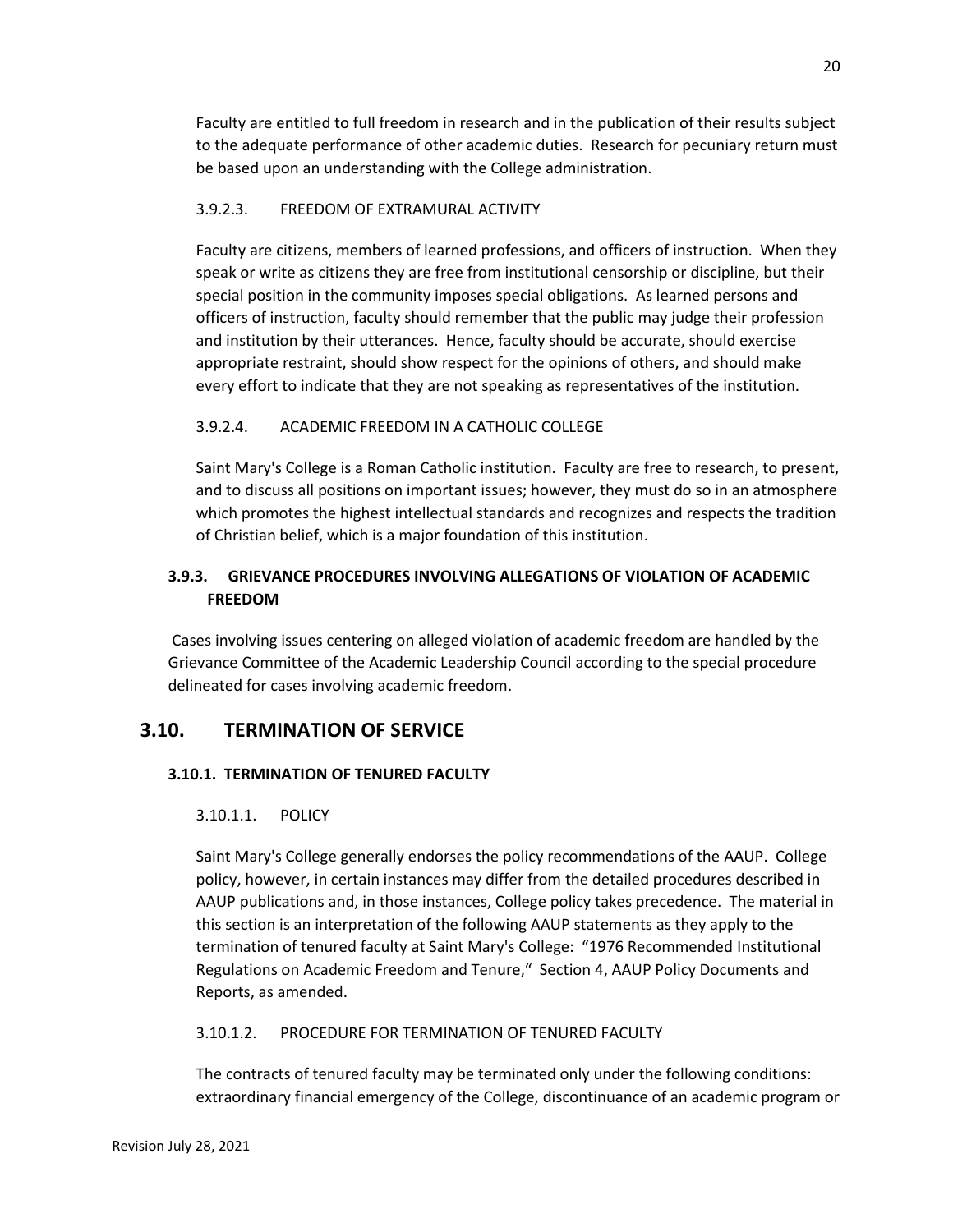Faculty are entitled to full freedom in research and in the publication of their results subject to the adequate performance of other academic duties. Research for pecuniary return must be based upon an understanding with the College administration.

## 3.9.2.3. FREEDOM OF EXTRAMURAL ACTIVITY

Faculty are citizens, members of learned professions, and officers of instruction. When they speak or write as citizens they are free from institutional censorship or discipline, but their special position in the community imposes special obligations. As learned persons and officers of instruction, faculty should remember that the public may judge their profession and institution by their utterances. Hence, faculty should be accurate, should exercise appropriate restraint, should show respect for the opinions of others, and should make every effort to indicate that they are not speaking as representatives of the institution.

## 3.9.2.4. ACADEMIC FREEDOM IN A CATHOLIC COLLEGE

Saint Mary's College is a Roman Catholic institution. Faculty are free to research, to present, and to discuss all positions on important issues; however, they must do so in an atmosphere which promotes the highest intellectual standards and recognizes and respects the tradition of Christian belief, which is a major foundation of this institution.

## **3.9.3. GRIEVANCE PROCEDURES INVOLVING ALLEGATIONS OF VIOLATION OF ACADEMIC FREEDOM**

Cases involving issues centering on alleged violation of academic freedom are handled by the Grievance Committee of the Academic Leadership Council according to the special procedure delineated for cases involving academic freedom.

## **3.10. TERMINATION OF SERVICE**

## **3.10.1. TERMINATION OF TENURED FACULTY**

## 3.10.1.1. POLICY

Saint Mary's College generally endorses the policy recommendations of the AAUP. College policy, however, in certain instances may differ from the detailed procedures described in AAUP publications and, in those instances, College policy takes precedence. The material in this section is an interpretation of the following AAUP statements as they apply to the termination of tenured faculty at Saint Mary's College: "1976 Recommended Institutional Regulations on Academic Freedom and Tenure," Section 4, AAUP Policy Documents and Reports, as amended.

## 3.10.1.2. PROCEDURE FOR TERMINATION OF TENURED FACULTY

The contracts of tenured faculty may be terminated only under the following conditions: extraordinary financial emergency of the College, discontinuance of an academic program or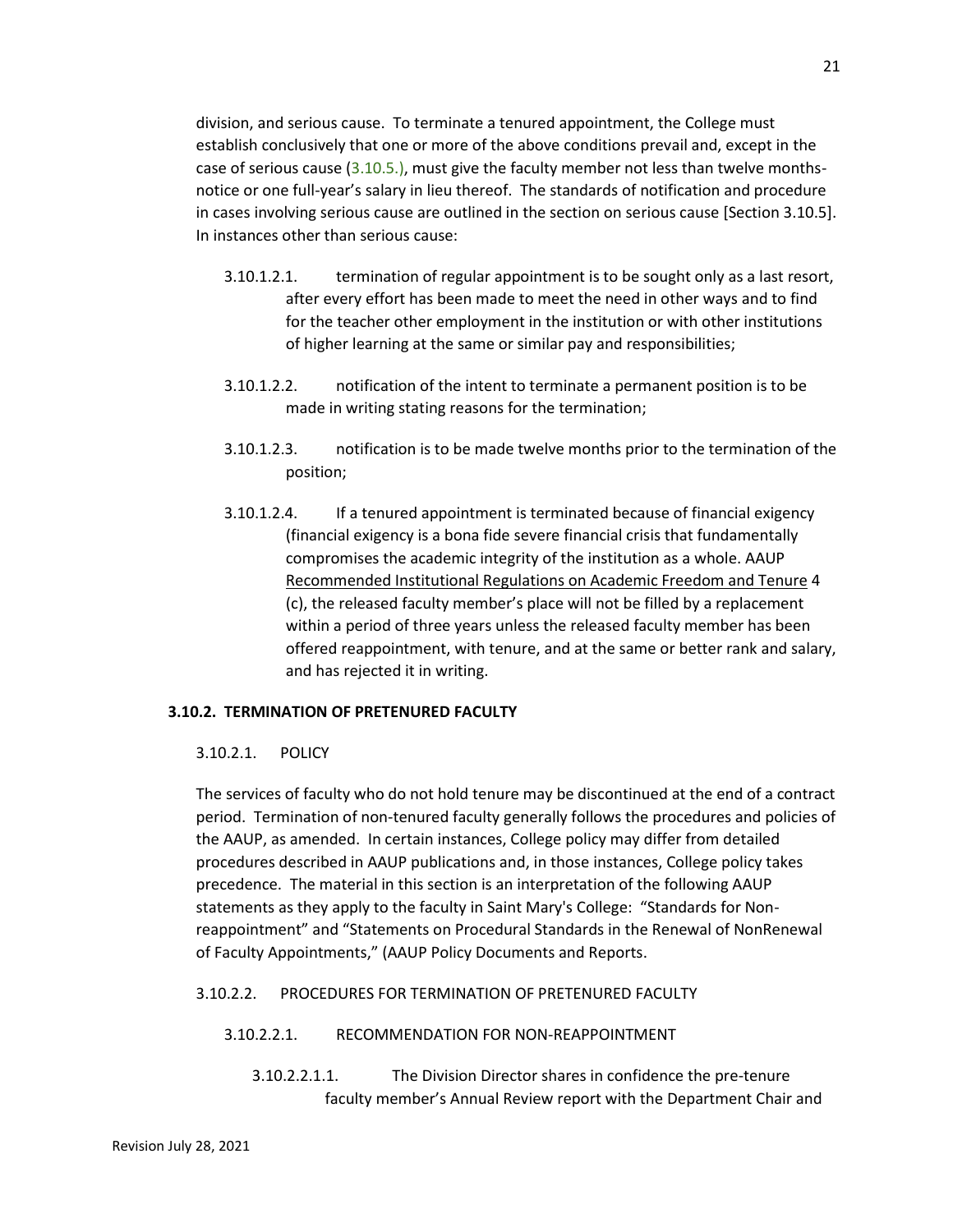division, and serious cause. To terminate a tenured appointment, the College must establish conclusively that one or more of the above conditions prevail and, except in the case of serious cause (3.10.5.), must give the faculty member not less than twelve monthsnotice or one full-year's salary in lieu thereof. The standards of notification and procedure in cases involving serious cause are outlined in the section on serious cause [Section 3.10.5]. In instances other than serious cause:

- 3.10.1.2.1. termination of regular appointment is to be sought only as a last resort, after every effort has been made to meet the need in other ways and to find for the teacher other employment in the institution or with other institutions of higher learning at the same or similar pay and responsibilities;
- 3.10.1.2.2. notification of the intent to terminate a permanent position is to be made in writing stating reasons for the termination;
- 3.10.1.2.3. notification is to be made twelve months prior to the termination of the position;
- 3.10.1.2.4. If a tenured appointment is terminated because of financial exigency (financial exigency is a bona fide severe financial crisis that fundamentally compromises the academic integrity of the institution as a whole. AAUP Recommended Institutional Regulations on Academic Freedom and Tenure 4 (c), the released faculty member's place will not be filled by a replacement within a period of three years unless the released faculty member has been offered reappointment, with tenure, and at the same or better rank and salary, and has rejected it in writing.

## **3.10.2. TERMINATION OF PRETENURED FACULTY**

## 3.10.2.1. POLICY

The services of faculty who do not hold tenure may be discontinued at the end of a contract period. Termination of non-tenured faculty generally follows the procedures and policies of the AAUP, as amended. In certain instances, College policy may differ from detailed procedures described in AAUP publications and, in those instances, College policy takes precedence. The material in this section is an interpretation of the following AAUP statements as they apply to the faculty in Saint Mary's College: "Standards for Nonreappointment" and "Statements on Procedural Standards in the Renewal of NonRenewal of Faculty Appointments," (AAUP Policy Documents and Reports.

## 3.10.2.2. PROCEDURES FOR TERMINATION OF PRETENURED FACULTY

## 3.10.2.2.1. RECOMMENDATION FOR NON-REAPPOINTMENT

3.10.2.2.1.1. The Division Director shares in confidence the pre-tenure faculty member's Annual Review report with the Department Chair and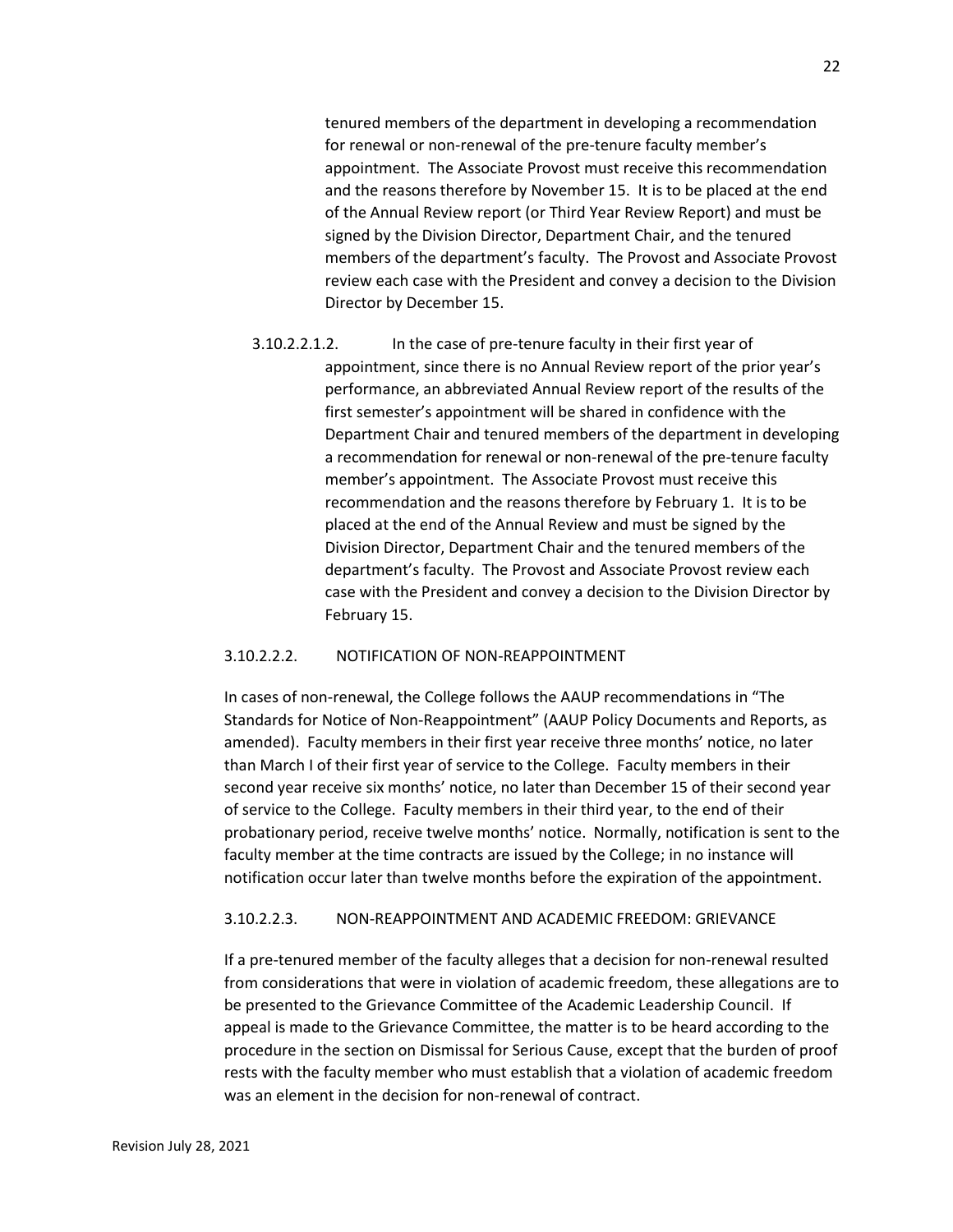tenured members of the department in developing a recommendation for renewal or non-renewal of the pre-tenure faculty member's appointment. The Associate Provost must receive this recommendation and the reasons therefore by November 15. It is to be placed at the end of the Annual Review report (or Third Year Review Report) and must be signed by the Division Director, Department Chair, and the tenured members of the department's faculty. The Provost and Associate Provost review each case with the President and convey a decision to the Division Director by December 15.

3.10.2.2.1.2. In the case of pre-tenure faculty in their first year of appointment, since there is no Annual Review report of the prior year's performance, an abbreviated Annual Review report of the results of the first semester's appointment will be shared in confidence with the Department Chair and tenured members of the department in developing a recommendation for renewal or non-renewal of the pre-tenure faculty member's appointment. The Associate Provost must receive this recommendation and the reasons therefore by February 1. It is to be placed at the end of the Annual Review and must be signed by the Division Director, Department Chair and the tenured members of the department's faculty. The Provost and Associate Provost review each case with the President and convey a decision to the Division Director by February 15.

#### 3.10.2.2.2. NOTIFICATION OF NON-REAPPOINTMENT

In cases of non-renewal, the College follows the AAUP recommendations in "The Standards for Notice of Non-Reappointment" (AAUP Policy Documents and Reports, as amended). Faculty members in their first year receive three months' notice, no later than March I of their first year of service to the College. Faculty members in their second year receive six months' notice, no later than December 15 of their second year of service to the College. Faculty members in their third year, to the end of their probationary period, receive twelve months' notice. Normally, notification is sent to the faculty member at the time contracts are issued by the College; in no instance will notification occur later than twelve months before the expiration of the appointment.

#### 3.10.2.2.3. NON-REAPPOINTMENT AND ACADEMIC FREEDOM: GRIEVANCE

If a pre-tenured member of the faculty alleges that a decision for non-renewal resulted from considerations that were in violation of academic freedom, these allegations are to be presented to the Grievance Committee of the Academic Leadership Council. If appeal is made to the Grievance Committee, the matter is to be heard according to the procedure in the section on Dismissal for Serious Cause, except that the burden of proof rests with the faculty member who must establish that a violation of academic freedom was an element in the decision for non-renewal of contract.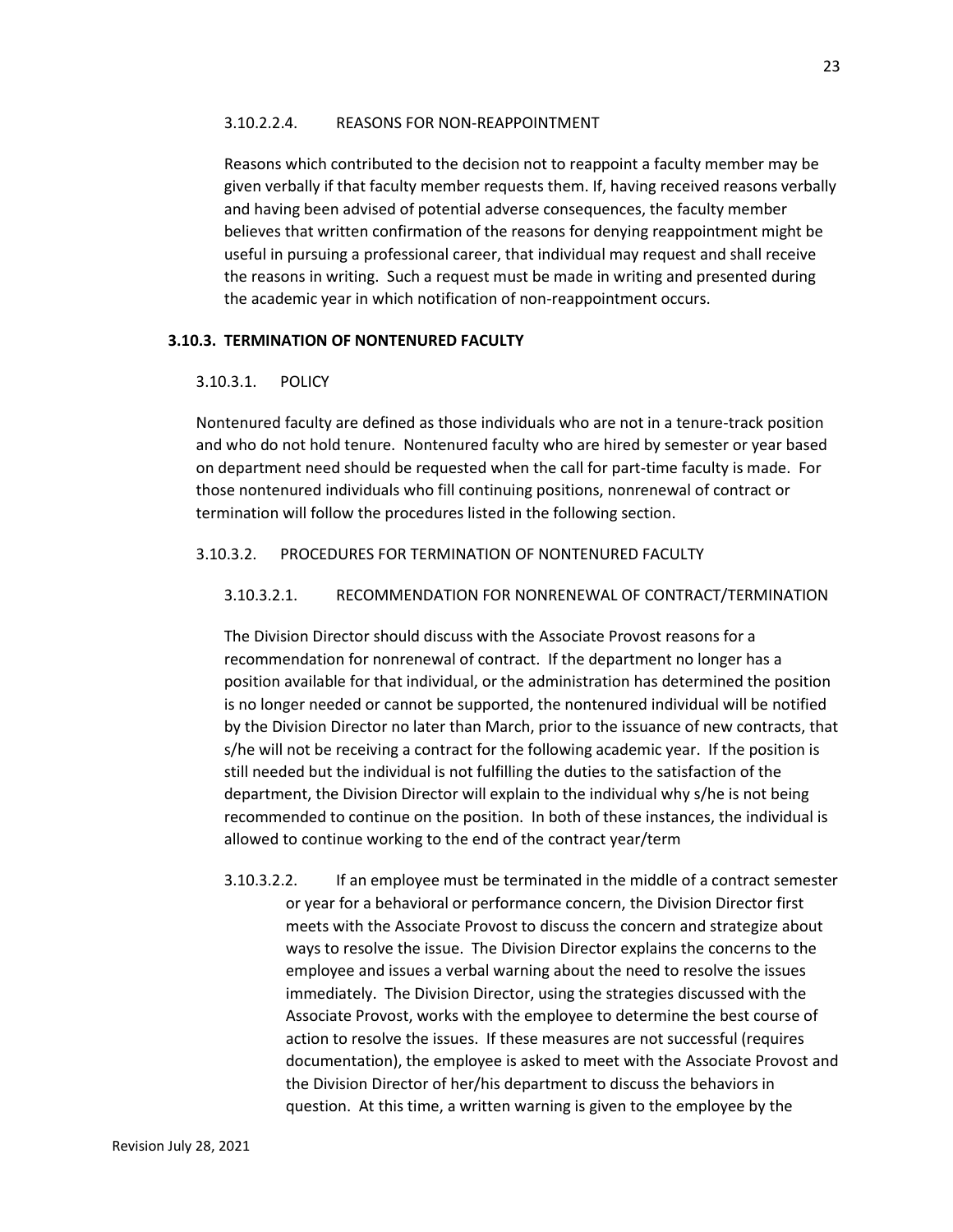#### 3.10.2.2.4. REASONS FOR NON-REAPPOINTMENT

Reasons which contributed to the decision not to reappoint a faculty member may be given verbally if that faculty member requests them. If, having received reasons verbally and having been advised of potential adverse consequences, the faculty member believes that written confirmation of the reasons for denying reappointment might be useful in pursuing a professional career, that individual may request and shall receive the reasons in writing. Such a request must be made in writing and presented during the academic year in which notification of non-reappointment occurs.

#### **3.10.3. TERMINATION OF NONTENURED FACULTY**

#### 3.10.3.1. POLICY

Nontenured faculty are defined as those individuals who are not in a tenure-track position and who do not hold tenure. Nontenured faculty who are hired by semester or year based on department need should be requested when the call for part-time faculty is made. For those nontenured individuals who fill continuing positions, nonrenewal of contract or termination will follow the procedures listed in the following section.

#### 3.10.3.2. PROCEDURES FOR TERMINATION OF NONTENURED FACULTY

#### 3.10.3.2.1. RECOMMENDATION FOR NONRENEWAL OF CONTRACT/TERMINATION

The Division Director should discuss with the Associate Provost reasons for a recommendation for nonrenewal of contract. If the department no longer has a position available for that individual, or the administration has determined the position is no longer needed or cannot be supported, the nontenured individual will be notified by the Division Director no later than March, prior to the issuance of new contracts, that s/he will not be receiving a contract for the following academic year. If the position is still needed but the individual is not fulfilling the duties to the satisfaction of the department, the Division Director will explain to the individual why s/he is not being recommended to continue on the position. In both of these instances, the individual is allowed to continue working to the end of the contract year/term

3.10.3.2.2. If an employee must be terminated in the middle of a contract semester or year for a behavioral or performance concern, the Division Director first meets with the Associate Provost to discuss the concern and strategize about ways to resolve the issue. The Division Director explains the concerns to the employee and issues a verbal warning about the need to resolve the issues immediately. The Division Director, using the strategies discussed with the Associate Provost, works with the employee to determine the best course of action to resolve the issues. If these measures are not successful (requires documentation), the employee is asked to meet with the Associate Provost and the Division Director of her/his department to discuss the behaviors in question. At this time, a written warning is given to the employee by the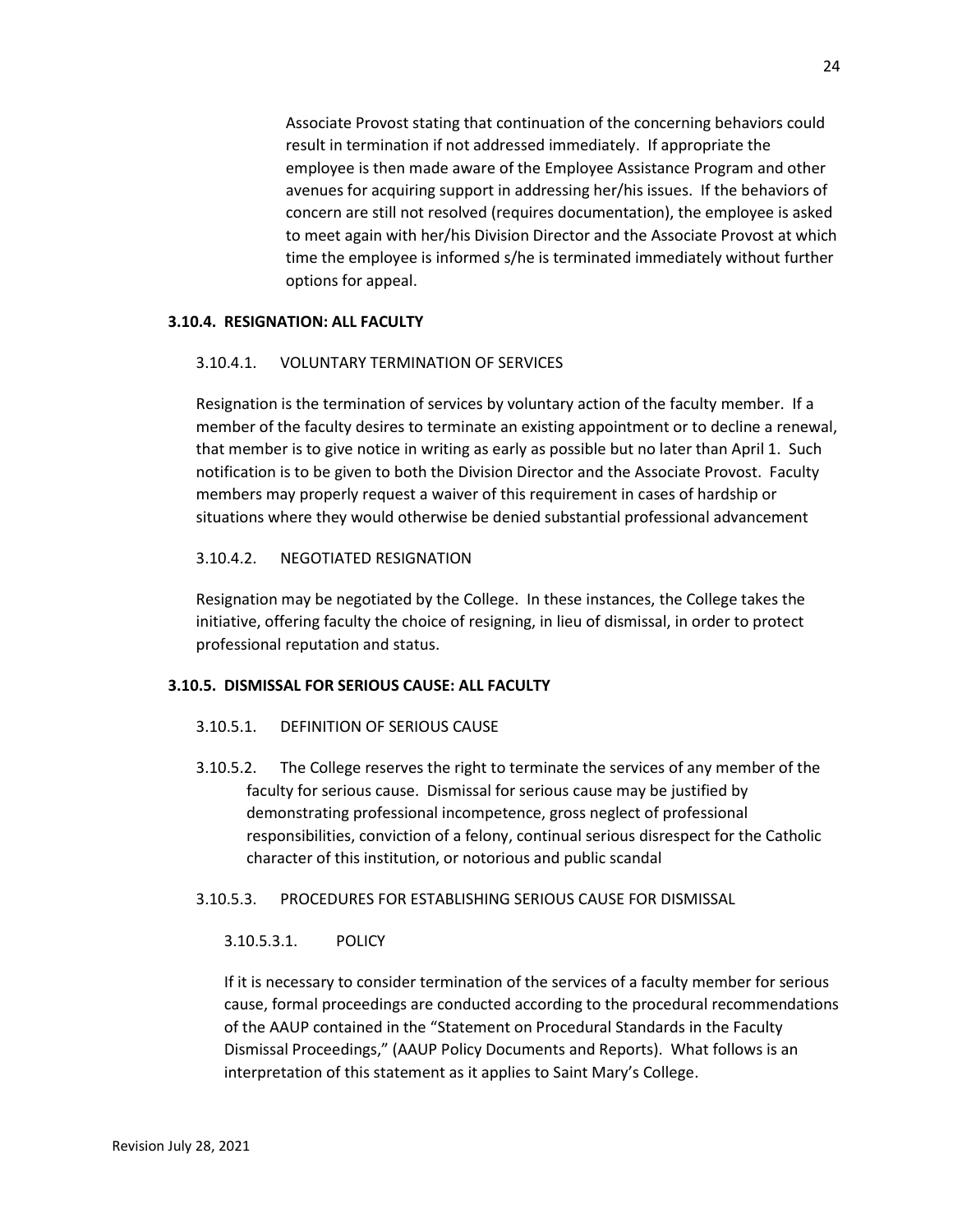Associate Provost stating that continuation of the concerning behaviors could result in termination if not addressed immediately. If appropriate the employee is then made aware of the Employee Assistance Program and other avenues for acquiring support in addressing her/his issues. If the behaviors of concern are still not resolved (requires documentation), the employee is asked to meet again with her/his Division Director and the Associate Provost at which time the employee is informed s/he is terminated immediately without further options for appeal.

#### **3.10.4. RESIGNATION: ALL FACULTY**

#### 3.10.4.1. VOLUNTARY TERMINATION OF SERVICES

Resignation is the termination of services by voluntary action of the faculty member. If a member of the faculty desires to terminate an existing appointment or to decline a renewal, that member is to give notice in writing as early as possible but no later than April 1. Such notification is to be given to both the Division Director and the Associate Provost. Faculty members may properly request a waiver of this requirement in cases of hardship or situations where they would otherwise be denied substantial professional advancement

#### 3.10.4.2. NEGOTIATED RESIGNATION

Resignation may be negotiated by the College. In these instances, the College takes the initiative, offering faculty the choice of resigning, in lieu of dismissal, in order to protect professional reputation and status.

#### **3.10.5. DISMISSAL FOR SERIOUS CAUSE: ALL FACULTY**

#### 3.10.5.1. DEFINITION OF SERIOUS CAUSE

3.10.5.2. The College reserves the right to terminate the services of any member of the faculty for serious cause. Dismissal for serious cause may be justified by demonstrating professional incompetence, gross neglect of professional responsibilities, conviction of a felony, continual serious disrespect for the Catholic character of this institution, or notorious and public scandal

#### 3.10.5.3. PROCEDURES FOR ESTABLISHING SERIOUS CAUSE FOR DISMISSAL

#### 3.10.5.3.1. POLICY

If it is necessary to consider termination of the services of a faculty member for serious cause, formal proceedings are conducted according to the procedural recommendations of the AAUP contained in the "Statement on Procedural Standards in the Faculty Dismissal Proceedings," (AAUP Policy Documents and Reports). What follows is an interpretation of this statement as it applies to Saint Mary's College.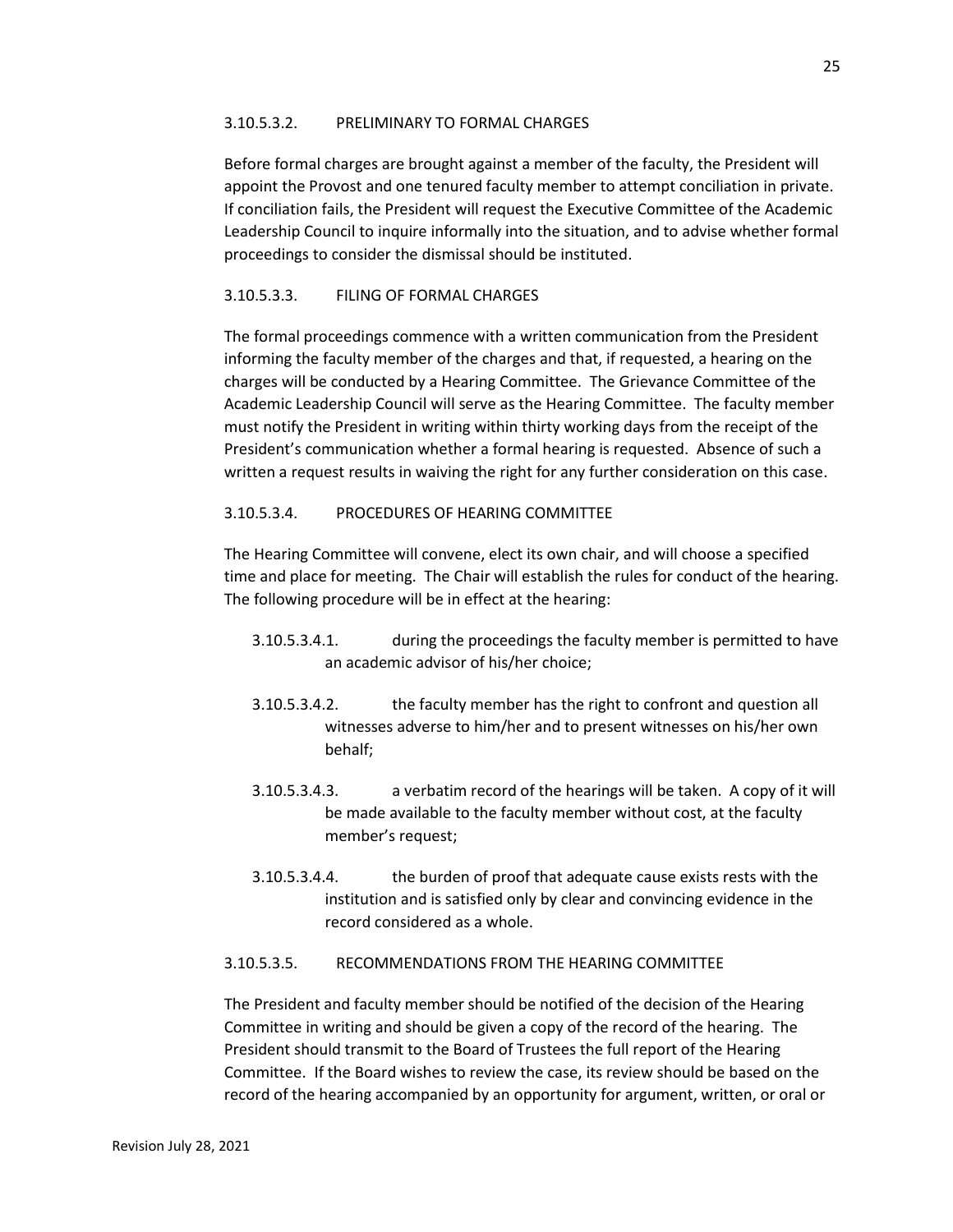#### 3.10.5.3.2. PRELIMINARY TO FORMAL CHARGES

Before formal charges are brought against a member of the faculty, the President will appoint the Provost and one tenured faculty member to attempt conciliation in private. If conciliation fails, the President will request the Executive Committee of the Academic Leadership Council to inquire informally into the situation, and to advise whether formal proceedings to consider the dismissal should be instituted.

### 3.10.5.3.3. FILING OF FORMAL CHARGES

The formal proceedings commence with a written communication from the President informing the faculty member of the charges and that, if requested, a hearing on the charges will be conducted by a Hearing Committee. The Grievance Committee of the Academic Leadership Council will serve as the Hearing Committee. The faculty member must notify the President in writing within thirty working days from the receipt of the President's communication whether a formal hearing is requested. Absence of such a written a request results in waiving the right for any further consideration on this case.

### 3.10.5.3.4. PROCEDURES OF HEARING COMMITTEE

The Hearing Committee will convene, elect its own chair, and will choose a specified time and place for meeting. The Chair will establish the rules for conduct of the hearing. The following procedure will be in effect at the hearing:

- 3.10.5.3.4.1. during the proceedings the faculty member is permitted to have an academic advisor of his/her choice;
- 3.10.5.3.4.2. the faculty member has the right to confront and question all witnesses adverse to him/her and to present witnesses on his/her own behalf;
- 3.10.5.3.4.3. a verbatim record of the hearings will be taken. A copy of it will be made available to the faculty member without cost, at the faculty member's request;
- 3.10.5.3.4.4. the burden of proof that adequate cause exists rests with the institution and is satisfied only by clear and convincing evidence in the record considered as a whole.

#### 3.10.5.3.5. RECOMMENDATIONS FROM THE HEARING COMMITTEE

The President and faculty member should be notified of the decision of the Hearing Committee in writing and should be given a copy of the record of the hearing. The President should transmit to the Board of Trustees the full report of the Hearing Committee. If the Board wishes to review the case, its review should be based on the record of the hearing accompanied by an opportunity for argument, written, or oral or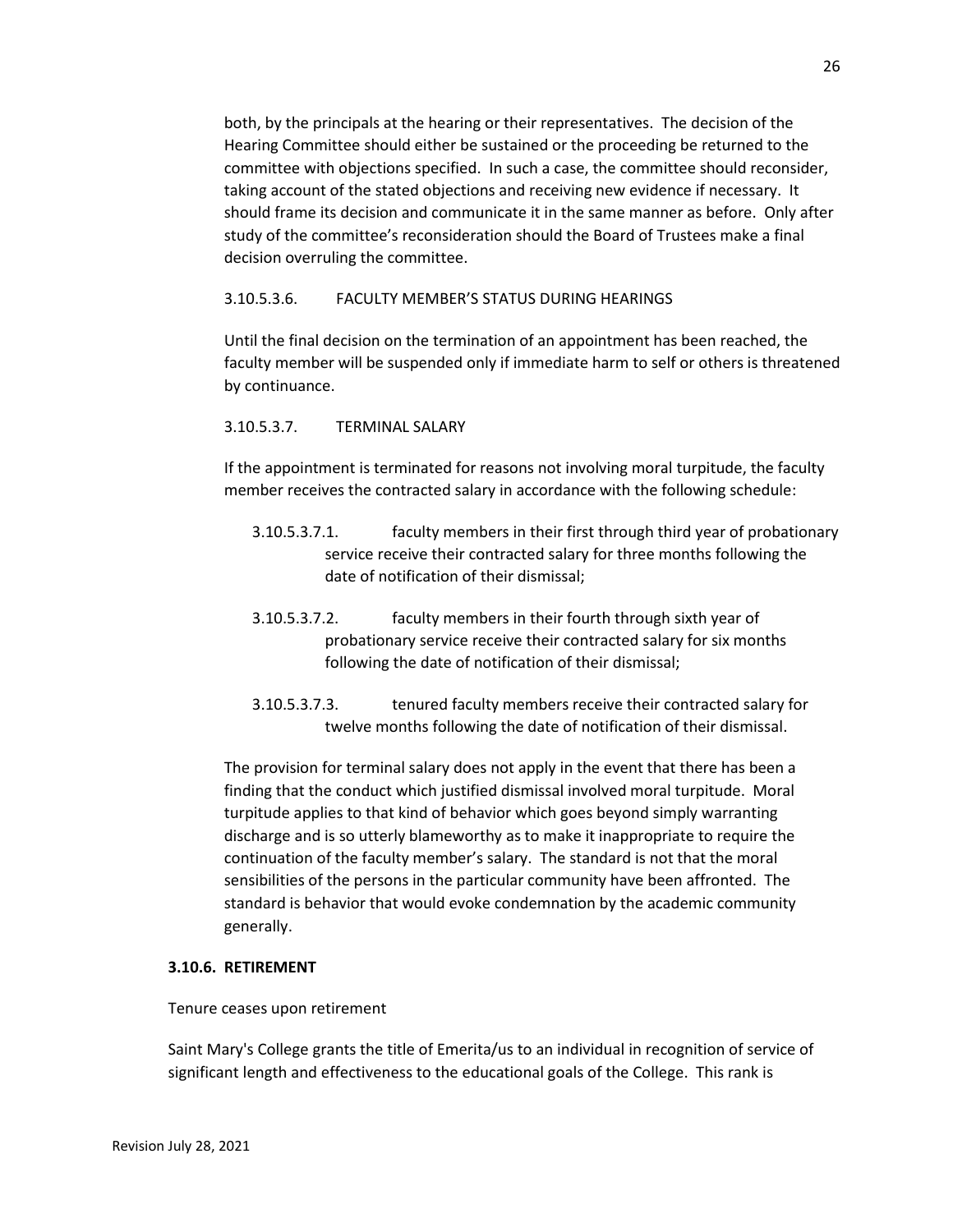both, by the principals at the hearing or their representatives. The decision of the Hearing Committee should either be sustained or the proceeding be returned to the committee with objections specified. In such a case, the committee should reconsider, taking account of the stated objections and receiving new evidence if necessary. It should frame its decision and communicate it in the same manner as before. Only after study of the committee's reconsideration should the Board of Trustees make a final decision overruling the committee.

#### 3.10.5.3.6. FACULTY MEMBER'S STATUS DURING HEARINGS

Until the final decision on the termination of an appointment has been reached, the faculty member will be suspended only if immediate harm to self or others is threatened by continuance.

#### 3.10.5.3.7. TERMINAL SALARY

If the appointment is terminated for reasons not involving moral turpitude, the faculty member receives the contracted salary in accordance with the following schedule:

- 3.10.5.3.7.1. faculty members in their first through third year of probationary service receive their contracted salary for three months following the date of notification of their dismissal;
- 3.10.5.3.7.2. faculty members in their fourth through sixth year of probationary service receive their contracted salary for six months following the date of notification of their dismissal;
- 3.10.5.3.7.3. tenured faculty members receive their contracted salary for twelve months following the date of notification of their dismissal.

The provision for terminal salary does not apply in the event that there has been a finding that the conduct which justified dismissal involved moral turpitude. Moral turpitude applies to that kind of behavior which goes beyond simply warranting discharge and is so utterly blameworthy as to make it inappropriate to require the continuation of the faculty member's salary. The standard is not that the moral sensibilities of the persons in the particular community have been affronted. The standard is behavior that would evoke condemnation by the academic community generally.

#### **3.10.6. RETIREMENT**

#### Tenure ceases upon retirement

Saint Mary's College grants the title of Emerita/us to an individual in recognition of service of significant length and effectiveness to the educational goals of the College. This rank is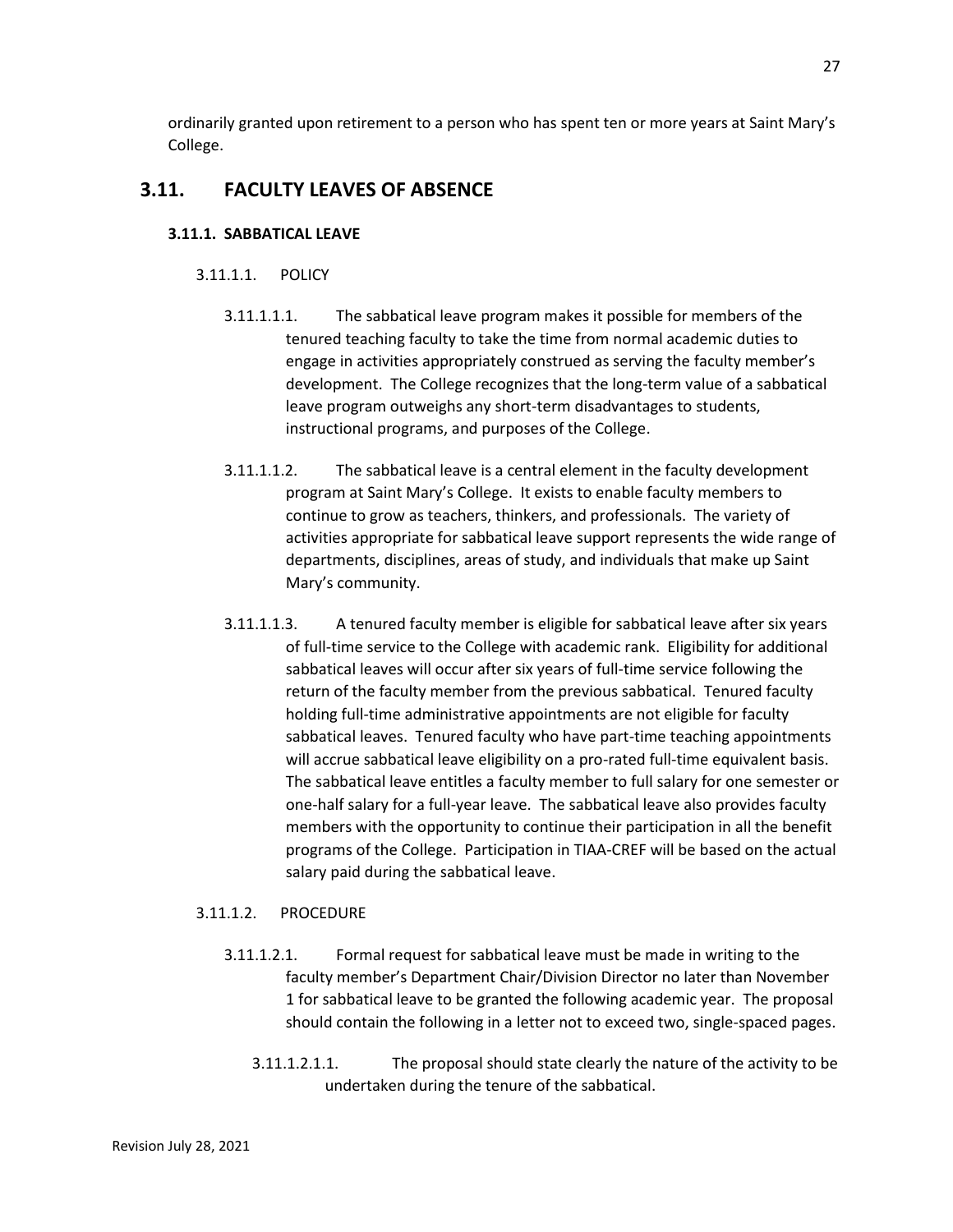ordinarily granted upon retirement to a person who has spent ten or more years at Saint Mary's College.

## **3.11. FACULTY LEAVES OF ABSENCE**

## **3.11.1. SABBATICAL LEAVE**

## 3.11.1.1. POLICY

- 3.11.1.1.1. The sabbatical leave program makes it possible for members of the tenured teaching faculty to take the time from normal academic duties to engage in activities appropriately construed as serving the faculty member's development. The College recognizes that the long-term value of a sabbatical leave program outweighs any short-term disadvantages to students, instructional programs, and purposes of the College.
- 3.11.1.1.2. The sabbatical leave is a central element in the faculty development program at Saint Mary's College. It exists to enable faculty members to continue to grow as teachers, thinkers, and professionals. The variety of activities appropriate for sabbatical leave support represents the wide range of departments, disciplines, areas of study, and individuals that make up Saint Mary's community.
- 3.11.1.1.3. A tenured faculty member is eligible for sabbatical leave after six years of full-time service to the College with academic rank. Eligibility for additional sabbatical leaves will occur after six years of full-time service following the return of the faculty member from the previous sabbatical. Tenured faculty holding full-time administrative appointments are not eligible for faculty sabbatical leaves. Tenured faculty who have part-time teaching appointments will accrue sabbatical leave eligibility on a pro-rated full-time equivalent basis. The sabbatical leave entitles a faculty member to full salary for one semester or one-half salary for a full-year leave. The sabbatical leave also provides faculty members with the opportunity to continue their participation in all the benefit programs of the College. Participation in TIAA-CREF will be based on the actual salary paid during the sabbatical leave.

## 3.11.1.2. PROCEDURE

- 3.11.1.2.1. Formal request for sabbatical leave must be made in writing to the faculty member's Department Chair/Division Director no later than November 1 for sabbatical leave to be granted the following academic year. The proposal should contain the following in a letter not to exceed two, single-spaced pages.
	- 3.11.1.2.1.1. The proposal should state clearly the nature of the activity to be undertaken during the tenure of the sabbatical.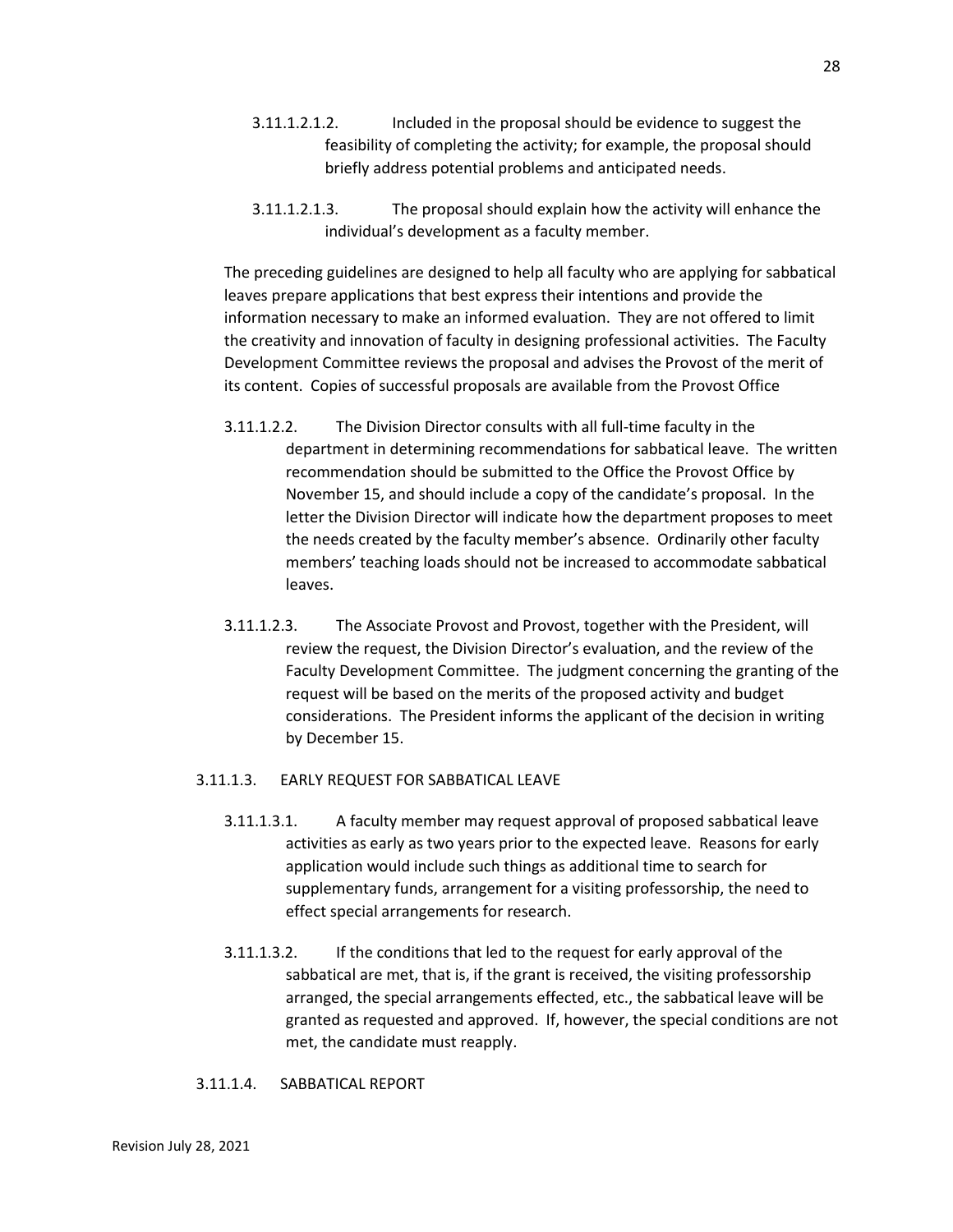- 3.11.1.2.1.2. Included in the proposal should be evidence to suggest the feasibility of completing the activity; for example, the proposal should briefly address potential problems and anticipated needs.
- 3.11.1.2.1.3. The proposal should explain how the activity will enhance the individual's development as a faculty member.

The preceding guidelines are designed to help all faculty who are applying for sabbatical leaves prepare applications that best express their intentions and provide the information necessary to make an informed evaluation. They are not offered to limit the creativity and innovation of faculty in designing professional activities. The Faculty Development Committee reviews the proposal and advises the Provost of the merit of its content. Copies of successful proposals are available from the Provost Office

- 3.11.1.2.2. The Division Director consults with all full-time faculty in the department in determining recommendations for sabbatical leave. The written recommendation should be submitted to the Office the Provost Office by November 15, and should include a copy of the candidate's proposal. In the letter the Division Director will indicate how the department proposes to meet the needs created by the faculty member's absence. Ordinarily other faculty members' teaching loads should not be increased to accommodate sabbatical leaves.
- 3.11.1.2.3. The Associate Provost and Provost, together with the President, will review the request, the Division Director's evaluation, and the review of the Faculty Development Committee. The judgment concerning the granting of the request will be based on the merits of the proposed activity and budget considerations. The President informs the applicant of the decision in writing by December 15.

### 3.11.1.3. EARLY REQUEST FOR SABBATICAL LEAVE

- 3.11.1.3.1. A faculty member may request approval of proposed sabbatical leave activities as early as two years prior to the expected leave. Reasons for early application would include such things as additional time to search for supplementary funds, arrangement for a visiting professorship, the need to effect special arrangements for research.
- 3.11.1.3.2. If the conditions that led to the request for early approval of the sabbatical are met, that is, if the grant is received, the visiting professorship arranged, the special arrangements effected, etc., the sabbatical leave will be granted as requested and approved. If, however, the special conditions are not met, the candidate must reapply.
- 3.11.1.4. SABBATICAL REPORT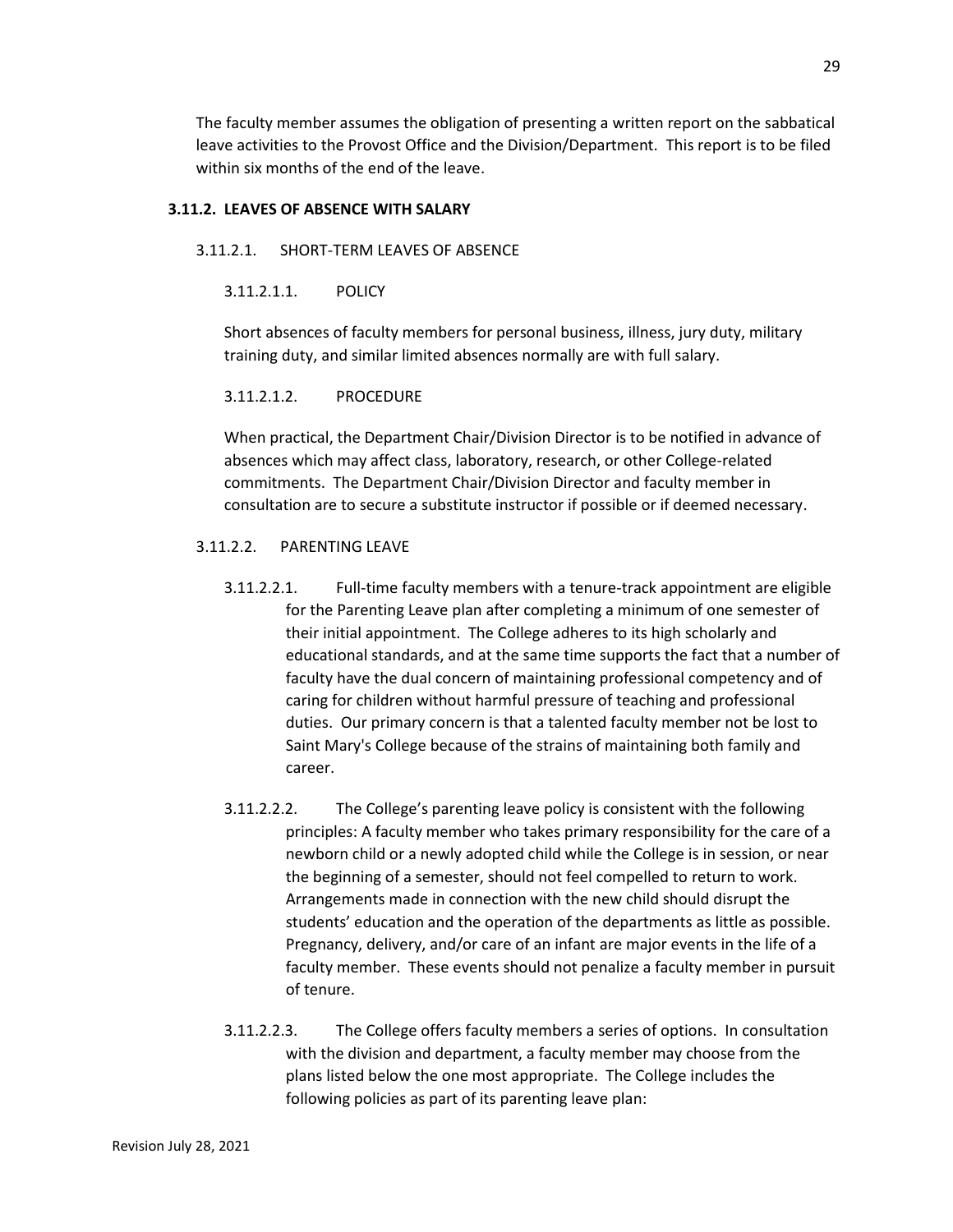The faculty member assumes the obligation of presenting a written report on the sabbatical leave activities to the Provost Office and the Division/Department. This report is to be filed within six months of the end of the leave.

### **3.11.2. LEAVES OF ABSENCE WITH SALARY**

#### 3.11.2.1. SHORT-TERM LEAVES OF ABSENCE

3.11.2.1.1. POLICY

Short absences of faculty members for personal business, illness, jury duty, military training duty, and similar limited absences normally are with full salary.

### 3.11.2.1.2. PROCEDURE

When practical, the Department Chair/Division Director is to be notified in advance of absences which may affect class, laboratory, research, or other College-related commitments. The Department Chair/Division Director and faculty member in consultation are to secure a substitute instructor if possible or if deemed necessary.

### 3.11.2.2. PARENTING LEAVE

- 3.11.2.2.1. Full-time faculty members with a tenure-track appointment are eligible for the Parenting Leave plan after completing a minimum of one semester of their initial appointment. The College adheres to its high scholarly and educational standards, and at the same time supports the fact that a number of faculty have the dual concern of maintaining professional competency and of caring for children without harmful pressure of teaching and professional duties. Our primary concern is that a talented faculty member not be lost to Saint Mary's College because of the strains of maintaining both family and career.
- 3.11.2.2.2. The College's parenting leave policy is consistent with the following principles: A faculty member who takes primary responsibility for the care of a newborn child or a newly adopted child while the College is in session, or near the beginning of a semester, should not feel compelled to return to work. Arrangements made in connection with the new child should disrupt the students' education and the operation of the departments as little as possible. Pregnancy, delivery, and/or care of an infant are major events in the life of a faculty member. These events should not penalize a faculty member in pursuit of tenure.
- 3.11.2.2.3. The College offers faculty members a series of options. In consultation with the division and department, a faculty member may choose from the plans listed below the one most appropriate. The College includes the following policies as part of its parenting leave plan: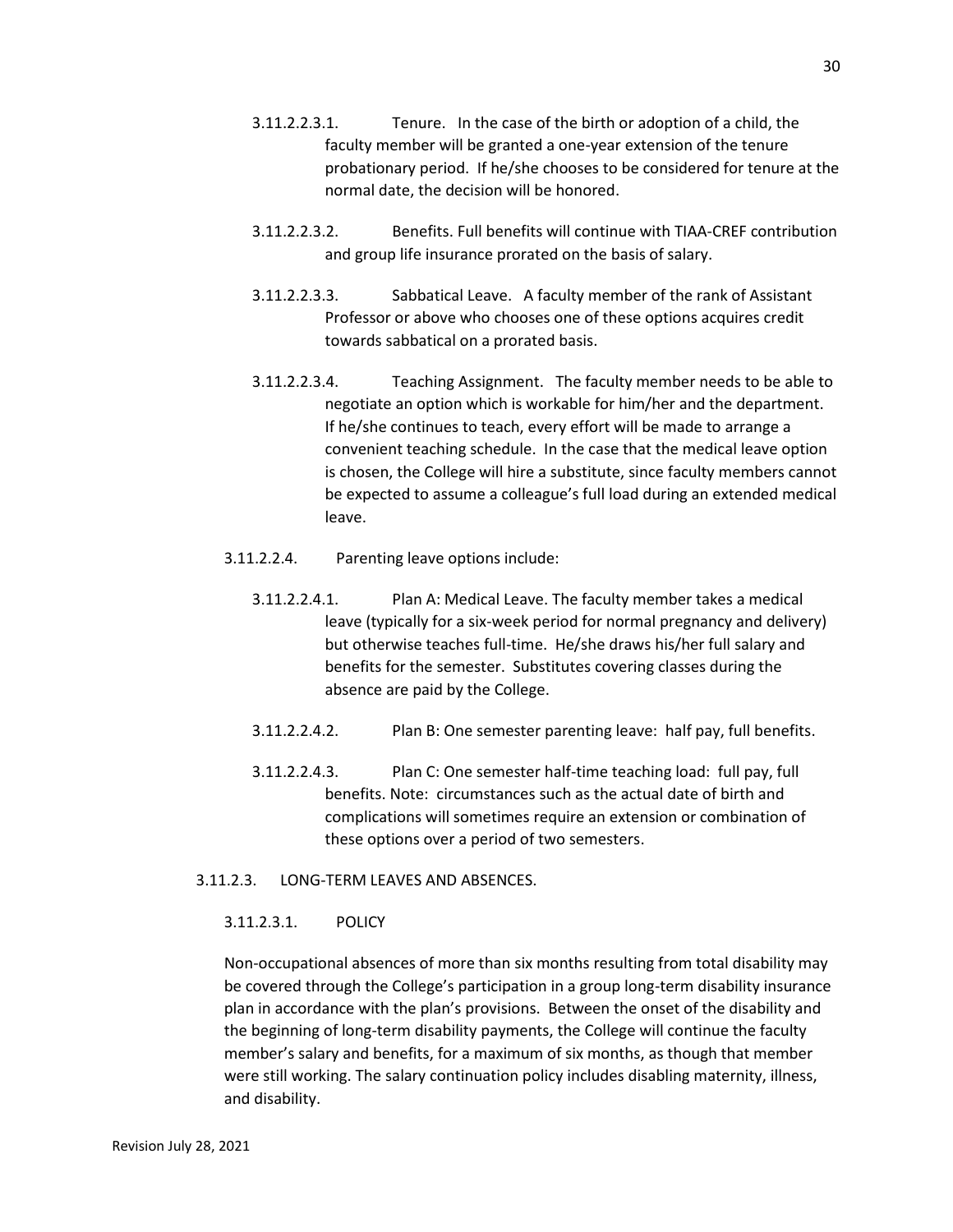- 3.11.2.2.3.1. Tenure. In the case of the birth or adoption of a child, the faculty member will be granted a one-year extension of the tenure probationary period. If he/she chooses to be considered for tenure at the normal date, the decision will be honored.
- 3.11.2.2.3.2. Benefits. Full benefits will continue with TIAA-CREF contribution and group life insurance prorated on the basis of salary.
- 3.11.2.2.3.3. Sabbatical Leave. A faculty member of the rank of Assistant Professor or above who chooses one of these options acquires credit towards sabbatical on a prorated basis.
- 3.11.2.2.3.4. Teaching Assignment. The faculty member needs to be able to negotiate an option which is workable for him/her and the department. If he/she continues to teach, every effort will be made to arrange a convenient teaching schedule. In the case that the medical leave option is chosen, the College will hire a substitute, since faculty members cannot be expected to assume a colleague's full load during an extended medical leave.
- 3.11.2.2.4. Parenting leave options include:
	- 3.11.2.2.4.1. Plan A: Medical Leave. The faculty member takes a medical leave (typically for a six-week period for normal pregnancy and delivery) but otherwise teaches full-time. He/she draws his/her full salary and benefits for the semester. Substitutes covering classes during the absence are paid by the College.
	- 3.11.2.2.4.2. Plan B: One semester parenting leave: half pay, full benefits.
	- 3.11.2.2.4.3. Plan C: One semester half-time teaching load: full pay, full benefits. Note: circumstances such as the actual date of birth and complications will sometimes require an extension or combination of these options over a period of two semesters.

### 3.11.2.3. LONG-TERM LEAVES AND ABSENCES.

#### 3.11.2.3.1. POLICY

Non-occupational absences of more than six months resulting from total disability may be covered through the College's participation in a group long-term disability insurance plan in accordance with the plan's provisions. Between the onset of the disability and the beginning of long-term disability payments, the College will continue the faculty member's salary and benefits, for a maximum of six months, as though that member were still working. The salary continuation policy includes disabling maternity, illness, and disability.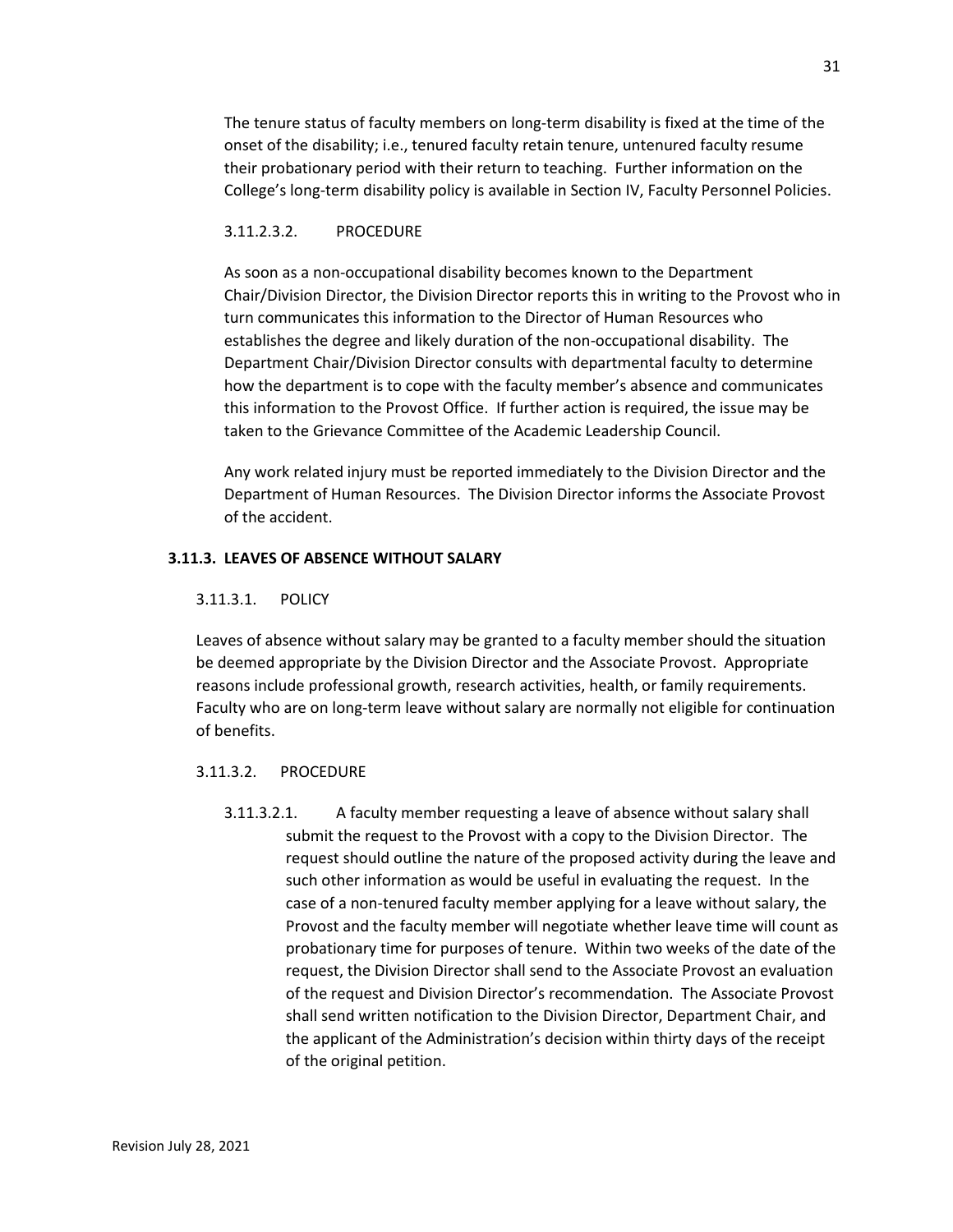The tenure status of faculty members on long-term disability is fixed at the time of the onset of the disability; i.e., tenured faculty retain tenure, untenured faculty resume their probationary period with their return to teaching. Further information on the College's long-term disability policy is available in Section IV, Faculty Personnel Policies.

#### 3.11.2.3.2. PROCEDURE

As soon as a non-occupational disability becomes known to the Department Chair/Division Director, the Division Director reports this in writing to the Provost who in turn communicates this information to the Director of Human Resources who establishes the degree and likely duration of the non-occupational disability. The Department Chair/Division Director consults with departmental faculty to determine how the department is to cope with the faculty member's absence and communicates this information to the Provost Office. If further action is required, the issue may be taken to the Grievance Committee of the Academic Leadership Council.

Any work related injury must be reported immediately to the Division Director and the Department of Human Resources. The Division Director informs the Associate Provost of the accident.

#### **3.11.3. LEAVES OF ABSENCE WITHOUT SALARY**

#### 3.11.3.1. POLICY

Leaves of absence without salary may be granted to a faculty member should the situation be deemed appropriate by the Division Director and the Associate Provost. Appropriate reasons include professional growth, research activities, health, or family requirements. Faculty who are on long-term leave without salary are normally not eligible for continuation of benefits.

#### 3.11.3.2. PROCEDURE

3.11.3.2.1. A faculty member requesting a leave of absence without salary shall submit the request to the Provost with a copy to the Division Director. The request should outline the nature of the proposed activity during the leave and such other information as would be useful in evaluating the request. In the case of a non-tenured faculty member applying for a leave without salary, the Provost and the faculty member will negotiate whether leave time will count as probationary time for purposes of tenure. Within two weeks of the date of the request, the Division Director shall send to the Associate Provost an evaluation of the request and Division Director's recommendation. The Associate Provost shall send written notification to the Division Director, Department Chair, and the applicant of the Administration's decision within thirty days of the receipt of the original petition.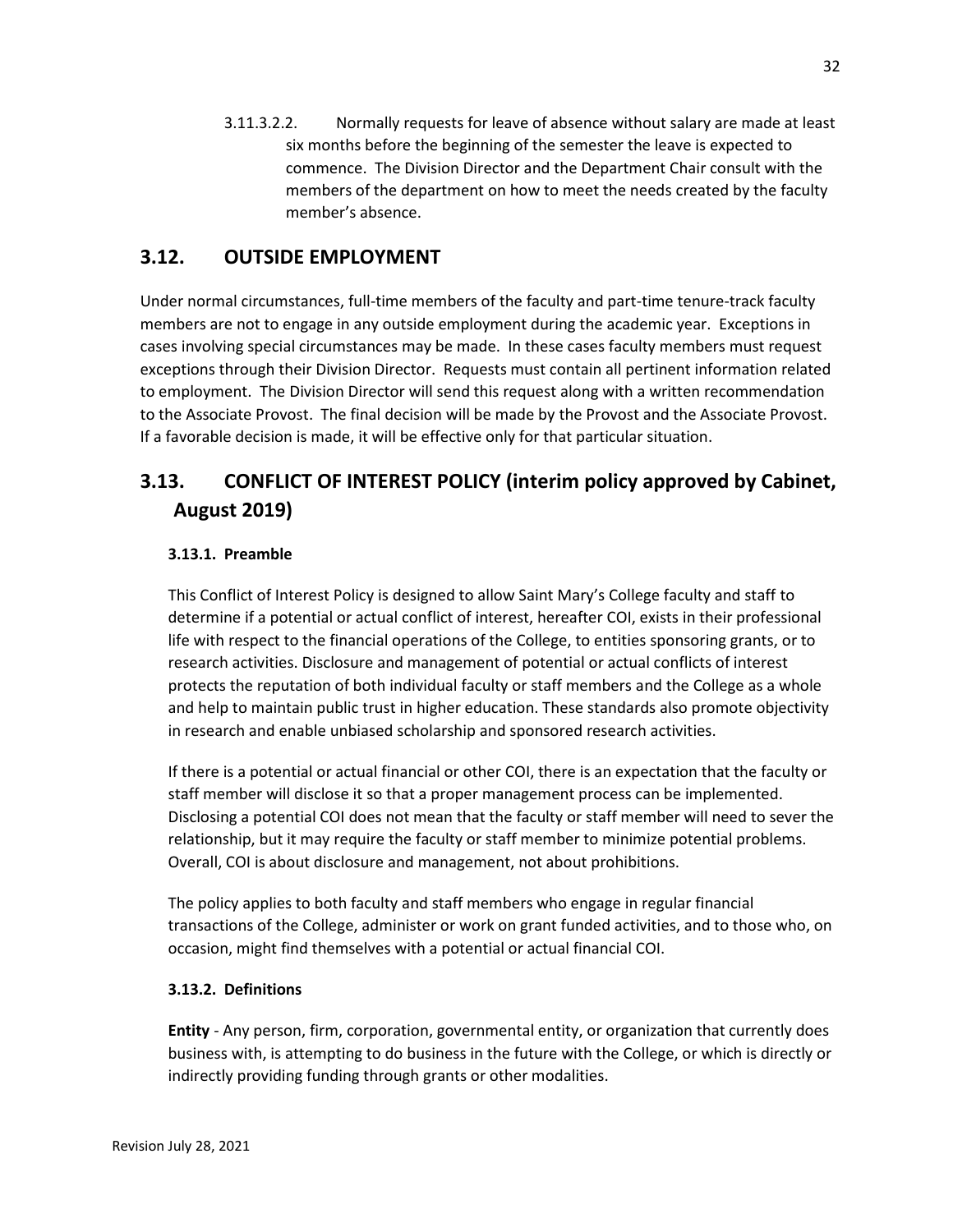3.11.3.2.2. Normally requests for leave of absence without salary are made at least six months before the beginning of the semester the leave is expected to commence. The Division Director and the Department Chair consult with the members of the department on how to meet the needs created by the faculty member's absence.

## **3.12. OUTSIDE EMPLOYMENT**

Under normal circumstances, full-time members of the faculty and part-time tenure-track faculty members are not to engage in any outside employment during the academic year. Exceptions in cases involving special circumstances may be made. In these cases faculty members must request exceptions through their Division Director. Requests must contain all pertinent information related to employment. The Division Director will send this request along with a written recommendation to the Associate Provost. The final decision will be made by the Provost and the Associate Provost. If a favorable decision is made, it will be effective only for that particular situation.

# **3.13. CONFLICT OF INTEREST POLICY (interim policy approved by Cabinet, August 2019)**

## **3.13.1. Preamble**

This Conflict of Interest Policy is designed to allow Saint Mary's College faculty and staff to determine if a potential or actual conflict of interest, hereafter COI, exists in their professional life with respect to the financial operations of the College, to entities sponsoring grants, or to research activities. Disclosure and management of potential or actual conflicts of interest protects the reputation of both individual faculty or staff members and the College as a whole and help to maintain public trust in higher education. These standards also promote objectivity in research and enable unbiased scholarship and sponsored research activities.

If there is a potential or actual financial or other COI, there is an expectation that the faculty or staff member will disclose it so that a proper management process can be implemented. Disclosing a potential COI does not mean that the faculty or staff member will need to sever the relationship, but it may require the faculty or staff member to minimize potential problems. Overall, COI is about disclosure and management, not about prohibitions.

The policy applies to both faculty and staff members who engage in regular financial transactions of the College, administer or work on grant funded activities, and to those who, on occasion, might find themselves with a potential or actual financial COI.

## **3.13.2. Definitions**

**Entity** - Any person, firm, corporation, governmental entity, or organization that currently does business with, is attempting to do business in the future with the College, or which is directly or indirectly providing funding through grants or other modalities.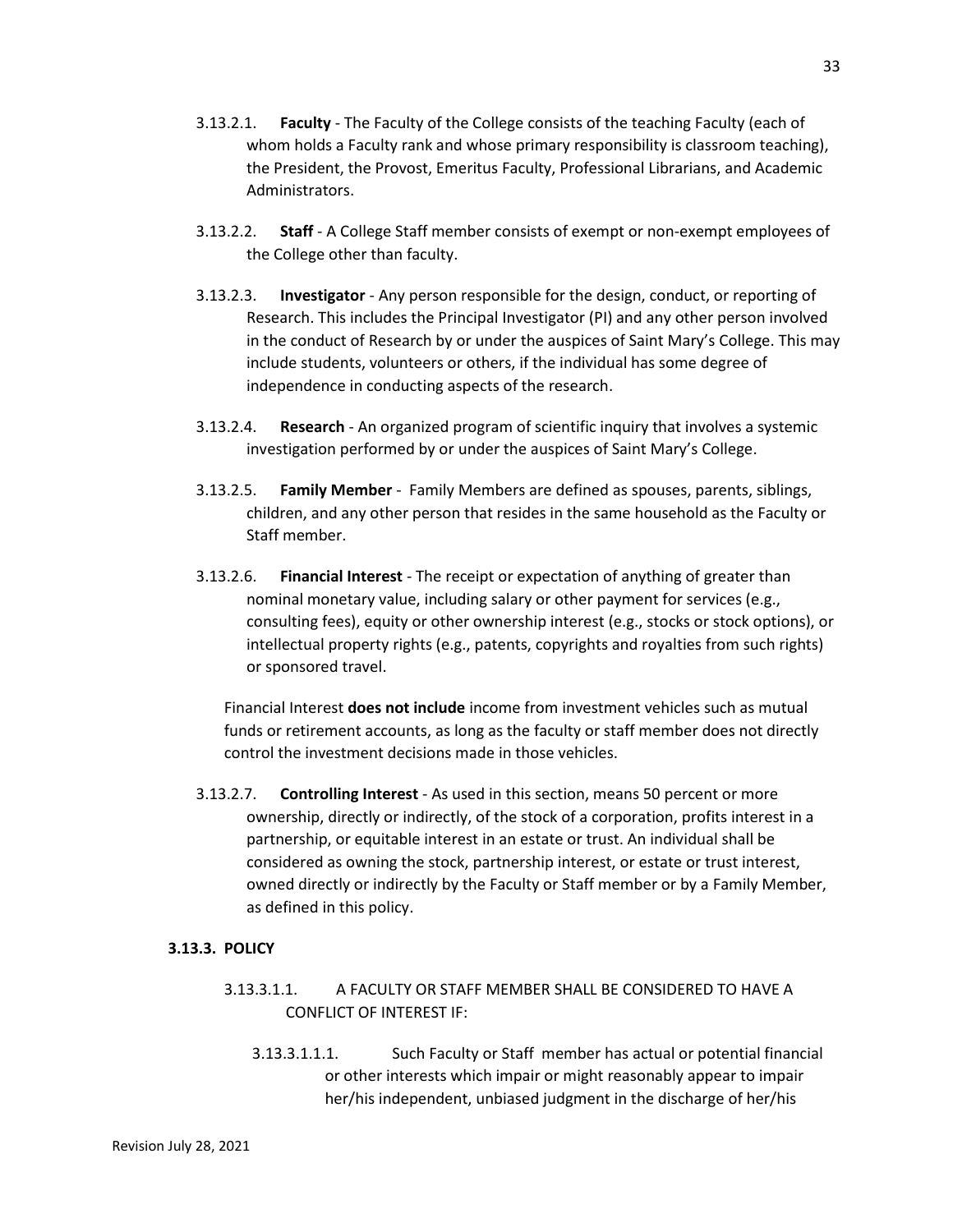- 3.13.2.1. **Faculty** The Faculty of the College consists of the teaching Faculty (each of whom holds a Faculty rank and whose primary responsibility is classroom teaching), the President, the Provost, Emeritus Faculty, Professional Librarians, and Academic Administrators.
- 3.13.2.2. **Staff** A College Staff member consists of exempt or non-exempt employees of the College other than faculty.
- 3.13.2.3. **Investigator** Any person responsible for the design, conduct, or reporting of Research. This includes the Principal Investigator (PI) and any other person involved in the conduct of Research by or under the auspices of Saint Mary's College. This may include students, volunteers or others, if the individual has some degree of independence in conducting aspects of the research.
- 3.13.2.4. **Research** An organized program of scientific inquiry that involves a systemic investigation performed by or under the auspices of Saint Mary's College.
- 3.13.2.5. **Family Member** Family Members are defined as spouses, parents, siblings, children, and any other person that resides in the same household as the Faculty or Staff member.
- 3.13.2.6. **Financial Interest** The receipt or expectation of anything of greater than nominal monetary value, including salary or other payment for services (e.g., consulting fees), equity or other ownership interest (e.g., stocks or stock options), or intellectual property rights (e.g., patents, copyrights and royalties from such rights) or sponsored travel.

Financial Interest **does not include** income from investment vehicles such as mutual funds or retirement accounts, as long as the faculty or staff member does not directly control the investment decisions made in those vehicles.

3.13.2.7. **Controlling Interest** - As used in this section, means 50 percent or more ownership, directly or indirectly, of the stock of a corporation, profits interest in a partnership, or equitable interest in an estate or trust. An individual shall be considered as owning the stock, partnership interest, or estate or trust interest, owned directly or indirectly by the Faculty or Staff member or by a Family Member, as defined in this policy.

#### **3.13.3. POLICY**

- 3.13.3.1.1. A FACULTY OR STAFF MEMBER SHALL BE CONSIDERED TO HAVE A CONFLICT OF INTEREST IF:
	- 3.13.3.1.1.1. Such Faculty or Staff member has actual or potential financial or other interests which impair or might reasonably appear to impair her/his independent, unbiased judgment in the discharge of her/his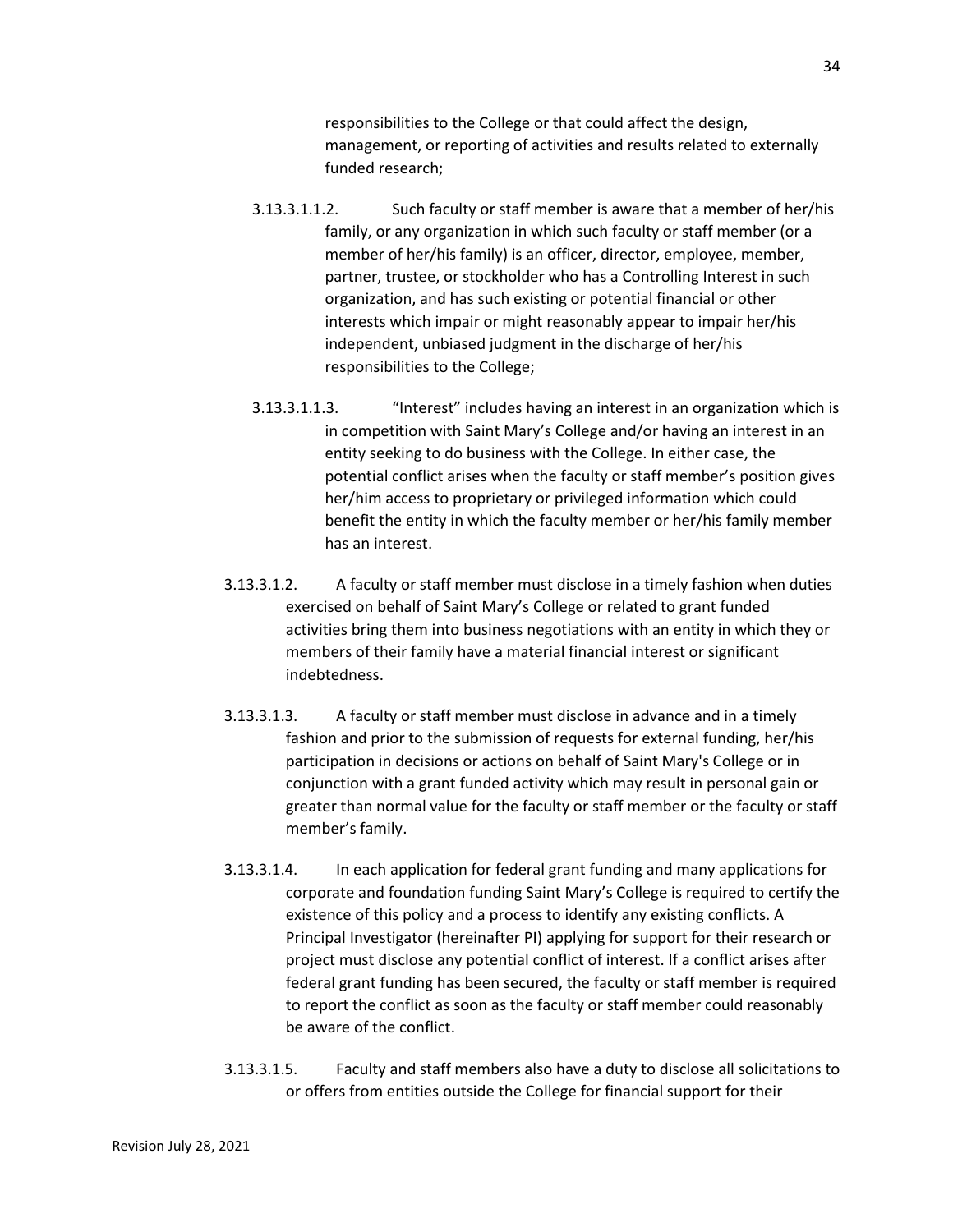responsibilities to the College or that could affect the design, management, or reporting of activities and results related to externally funded research;

- 3.13.3.1.1.2. Such faculty or staff member is aware that a member of her/his family, or any organization in which such faculty or staff member (or a member of her/his family) is an officer, director, employee, member, partner, trustee, or stockholder who has a Controlling Interest in such organization, and has such existing or potential financial or other interests which impair or might reasonably appear to impair her/his independent, unbiased judgment in the discharge of her/his responsibilities to the College;
- 3.13.3.1.1.3. "Interest" includes having an interest in an organization which is in competition with Saint Mary's College and/or having an interest in an entity seeking to do business with the College. In either case, the potential conflict arises when the faculty or staff member's position gives her/him access to proprietary or privileged information which could benefit the entity in which the faculty member or her/his family member has an interest.
- 3.13.3.1.2. A faculty or staff member must disclose in a timely fashion when duties exercised on behalf of Saint Mary's College or related to grant funded activities bring them into business negotiations with an entity in which they or members of their family have a material financial interest or significant indebtedness.
- 3.13.3.1.3. A faculty or staff member must disclose in advance and in a timely fashion and prior to the submission of requests for external funding, her/his participation in decisions or actions on behalf of Saint Mary's College or in conjunction with a grant funded activity which may result in personal gain or greater than normal value for the faculty or staff member or the faculty or staff member's family.
- 3.13.3.1.4. In each application for federal grant funding and many applications for corporate and foundation funding Saint Mary's College is required to certify the existence of this policy and a process to identify any existing conflicts. A Principal Investigator (hereinafter PI) applying for support for their research or project must disclose any potential conflict of interest. If a conflict arises after federal grant funding has been secured, the faculty or staff member is required to report the conflict as soon as the faculty or staff member could reasonably be aware of the conflict.
- 3.13.3.1.5. Faculty and staff members also have a duty to disclose all solicitations to or offers from entities outside the College for financial support for their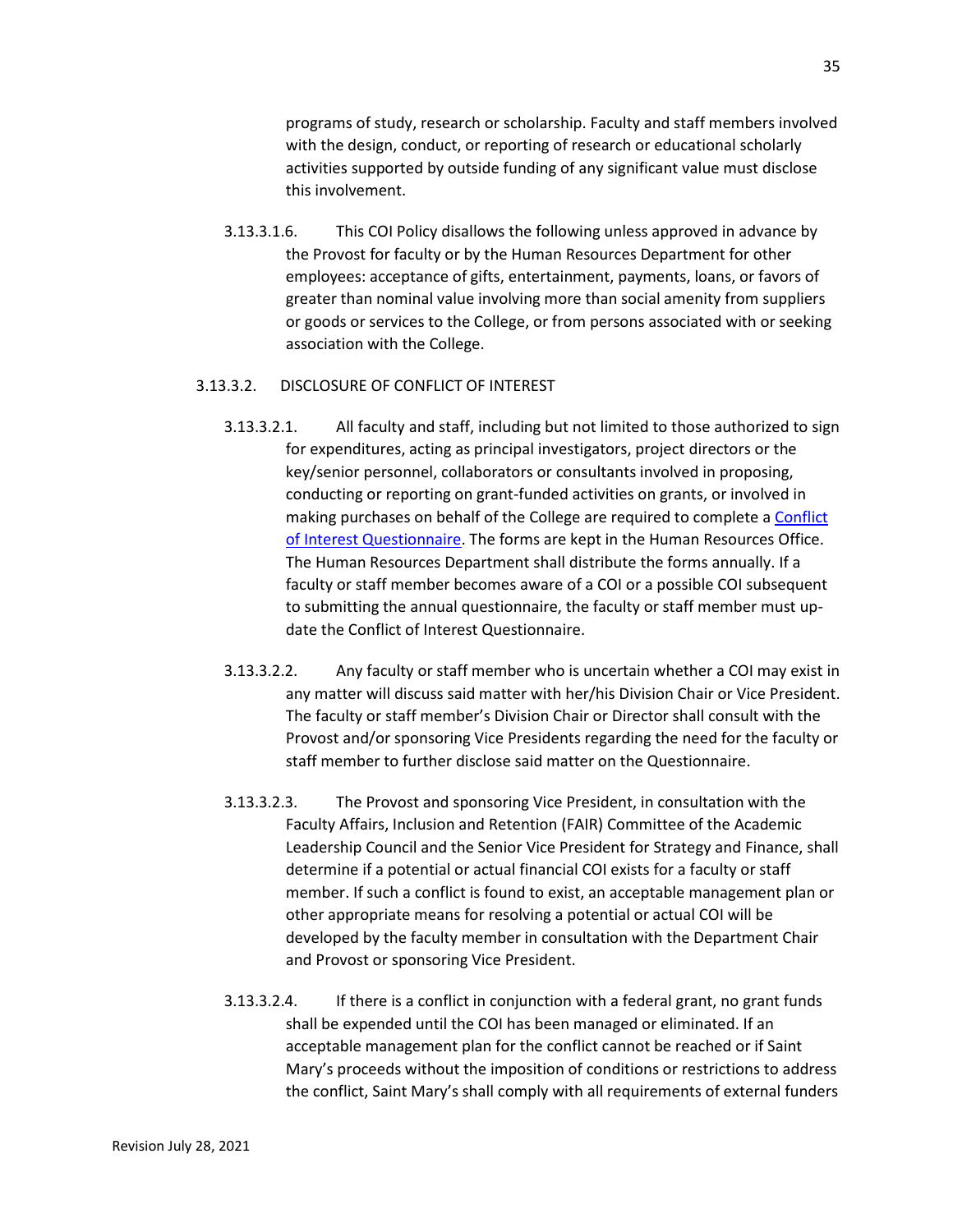programs of study, research or scholarship. Faculty and staff members involved with the design, conduct, or reporting of research or educational scholarly activities supported by outside funding of any significant value must disclose this involvement.

3.13.3.1.6. This COI Policy disallows the following unless approved in advance by the Provost for faculty or by the Human Resources Department for other employees: acceptance of gifts, entertainment, payments, loans, or favors of greater than nominal value involving more than social amenity from suppliers or goods or services to the College, or from persons associated with or seeking association with the College.

#### 3.13.3.2. DISCLOSURE OF CONFLICT OF INTEREST

- 3.13.3.2.1. All faculty and staff, including but not limited to those authorized to sign for expenditures, acting as principal investigators, project directors or the key/senior personnel, collaborators or consultants involved in proposing, conducting or reporting on grant-funded activities on grants, or involved in making purchases on behalf of the College are required to complete a [Conflict](http://handbook.saintmarys.edu/sites/default/files/files/Conflict-of-Interest-Questionnaire-2008.pdf)  [of Interest Questionnaire.](http://handbook.saintmarys.edu/sites/default/files/files/Conflict-of-Interest-Questionnaire-2008.pdf) The forms are kept in the Human Resources Office. The Human Resources Department shall distribute the forms annually. If a faculty or staff member becomes aware of a COI or a possible COI subsequent to submitting the annual questionnaire, the faculty or staff member must update the Conflict of Interest Questionnaire.
- 3.13.3.2.2. Any faculty or staff member who is uncertain whether a COI may exist in any matter will discuss said matter with her/his Division Chair or Vice President. The faculty or staff member's Division Chair or Director shall consult with the Provost and/or sponsoring Vice Presidents regarding the need for the faculty or staff member to further disclose said matter on the Questionnaire.
- 3.13.3.2.3. The Provost and sponsoring Vice President, in consultation with the Faculty Affairs, Inclusion and Retention (FAIR) Committee of the Academic Leadership Council and the Senior Vice President for Strategy and Finance, shall determine if a potential or actual financial COI exists for a faculty or staff member. If such a conflict is found to exist, an acceptable management plan or other appropriate means for resolving a potential or actual COI will be developed by the faculty member in consultation with the Department Chair and Provost or sponsoring Vice President.
- 3.13.3.2.4. If there is a conflict in conjunction with a federal grant, no grant funds shall be expended until the COI has been managed or eliminated. If an acceptable management plan for the conflict cannot be reached or if Saint Mary's proceeds without the imposition of conditions or restrictions to address the conflict, Saint Mary's shall comply with all requirements of external funders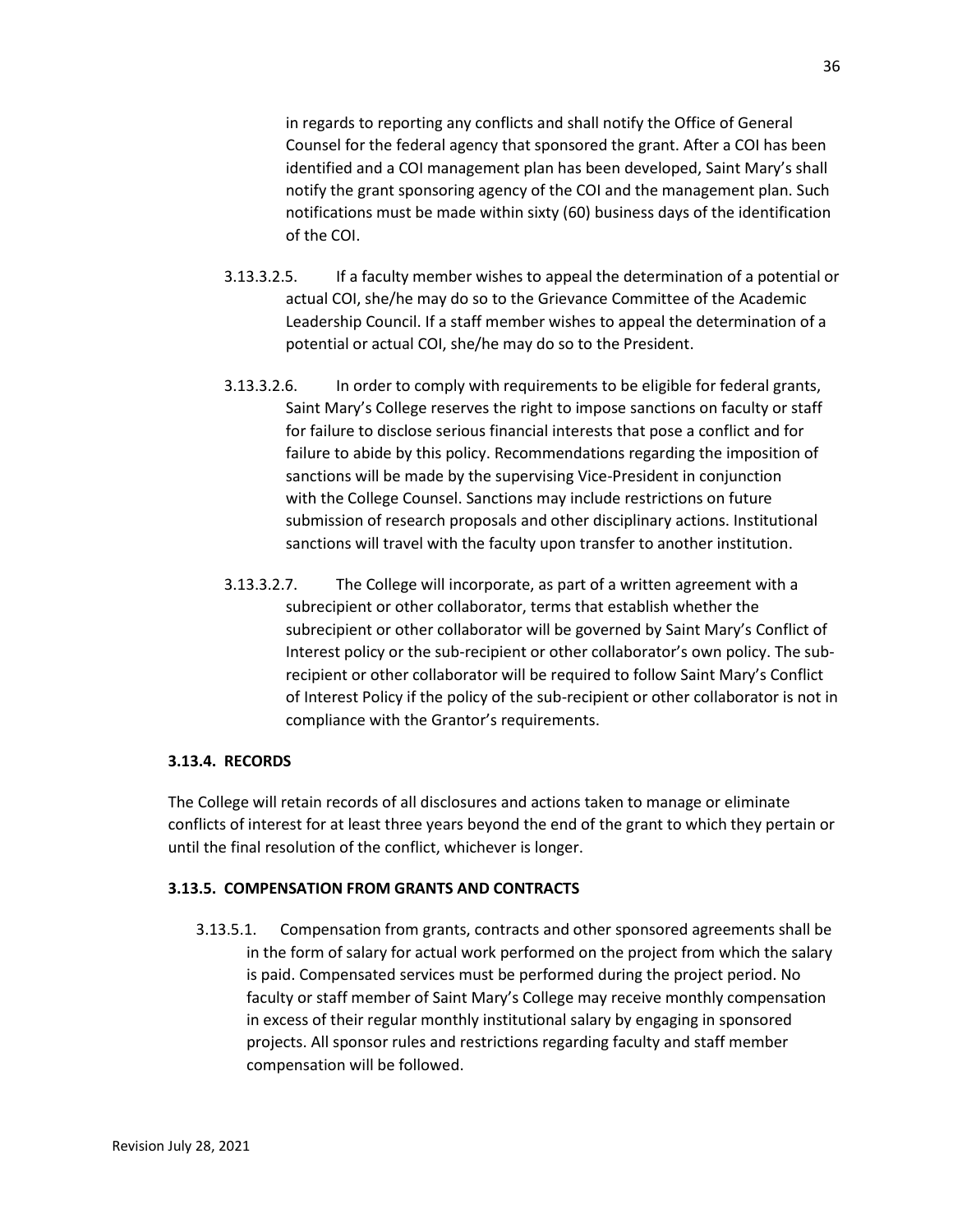36

in regards to reporting any conflicts and shall notify the Office of General Counsel for the federal agency that sponsored the grant. After a COI has been identified and a COI management plan has been developed, Saint Mary's shall notify the grant sponsoring agency of the COI and the management plan. Such notifications must be made within sixty (60) business days of the identification of the COI.

- 3.13.3.2.5. If a faculty member wishes to appeal the determination of a potential or actual COI, she/he may do so to the Grievance Committee of the Academic Leadership Council. If a staff member wishes to appeal the determination of a potential or actual COI, she/he may do so to the President.
- 3.13.3.2.6. In order to comply with requirements to be eligible for federal grants, Saint Mary's College reserves the right to impose sanctions on faculty or staff for failure to disclose serious financial interests that pose a conflict and for failure to abide by this policy. Recommendations regarding the imposition of sanctions will be made by the supervising Vice-President in conjunction with the College Counsel. Sanctions may include restrictions on future submission of research proposals and other disciplinary actions. Institutional sanctions will travel with the faculty upon transfer to another institution.
- 3.13.3.2.7. The College will incorporate, as part of a written agreement with a subrecipient or other collaborator, terms that establish whether the subrecipient or other collaborator will be governed by Saint Mary's Conflict of Interest policy or the sub-recipient or other collaborator's own policy. The subrecipient or other collaborator will be required to follow Saint Mary's Conflict of Interest Policy if the policy of the sub-recipient or other collaborator is not in compliance with the Grantor's requirements.

## **3.13.4. RECORDS**

The College will retain records of all disclosures and actions taken to manage or eliminate conflicts of interest for at least three years beyond the end of the grant to which they pertain or until the final resolution of the conflict, whichever is longer.

## **3.13.5. COMPENSATION FROM GRANTS AND CONTRACTS**

3.13.5.1. Compensation from grants, contracts and other sponsored agreements shall be in the form of salary for actual work performed on the project from which the salary is paid. Compensated services must be performed during the project period. No faculty or staff member of Saint Mary's College may receive monthly compensation in excess of their regular monthly institutional salary by engaging in sponsored projects. All sponsor rules and restrictions regarding faculty and staff member compensation will be followed.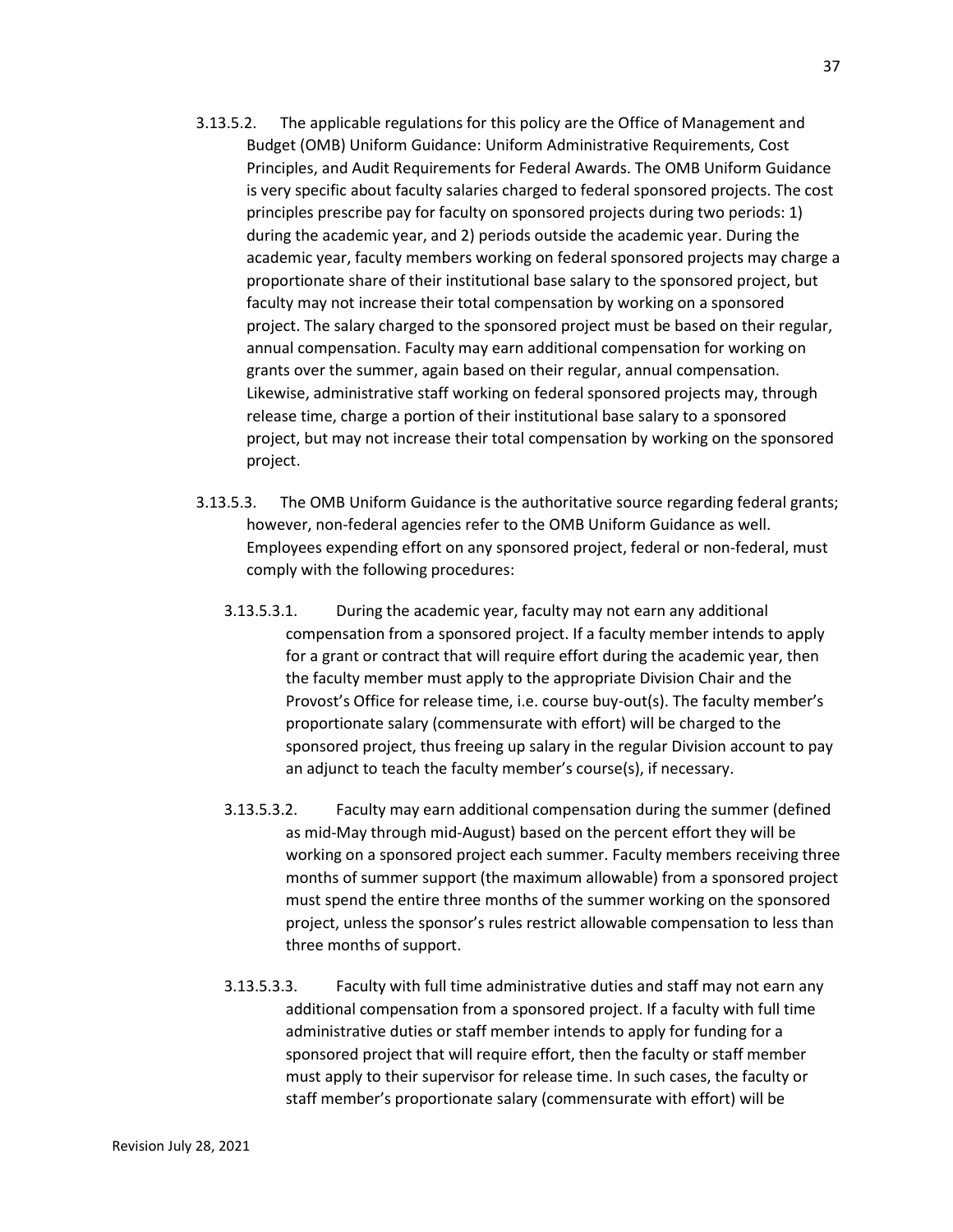- 3.13.5.2. The applicable regulations for this policy are the Office of Management and Budget (OMB) Uniform Guidance: Uniform Administrative Requirements, Cost Principles, and Audit Requirements for Federal Awards. The OMB Uniform Guidance is very specific about faculty salaries charged to federal sponsored projects. The cost principles prescribe pay for faculty on sponsored projects during two periods: 1) during the academic year, and 2) periods outside the academic year. During the academic year, faculty members working on federal sponsored projects may charge a proportionate share of their institutional base salary to the sponsored project, but faculty may not increase their total compensation by working on a sponsored project. The salary charged to the sponsored project must be based on their regular, annual compensation. Faculty may earn additional compensation for working on grants over the summer, again based on their regular, annual compensation. Likewise, administrative staff working on federal sponsored projects may, through release time, charge a portion of their institutional base salary to a sponsored project, but may not increase their total compensation by working on the sponsored project.
- 3.13.5.3. The OMB Uniform Guidance is the authoritative source regarding federal grants; however, non-federal agencies refer to the OMB Uniform Guidance as well. Employees expending effort on any sponsored project, federal or non-federal, must comply with the following procedures:
	- 3.13.5.3.1. During the academic year, faculty may not earn any additional compensation from a sponsored project. If a faculty member intends to apply for a grant or contract that will require effort during the academic year, then the faculty member must apply to the appropriate Division Chair and the Provost's Office for release time, i.e. course buy-out(s). The faculty member's proportionate salary (commensurate with effort) will be charged to the sponsored project, thus freeing up salary in the regular Division account to pay an adjunct to teach the faculty member's course(s), if necessary.
	- 3.13.5.3.2. Faculty may earn additional compensation during the summer (defined as mid-May through mid-August) based on the percent effort they will be working on a sponsored project each summer. Faculty members receiving three months of summer support (the maximum allowable) from a sponsored project must spend the entire three months of the summer working on the sponsored project, unless the sponsor's rules restrict allowable compensation to less than three months of support.
	- 3.13.5.3.3. Faculty with full time administrative duties and staff may not earn any additional compensation from a sponsored project. If a faculty with full time administrative duties or staff member intends to apply for funding for a sponsored project that will require effort, then the faculty or staff member must apply to their supervisor for release time. In such cases, the faculty or staff member's proportionate salary (commensurate with effort) will be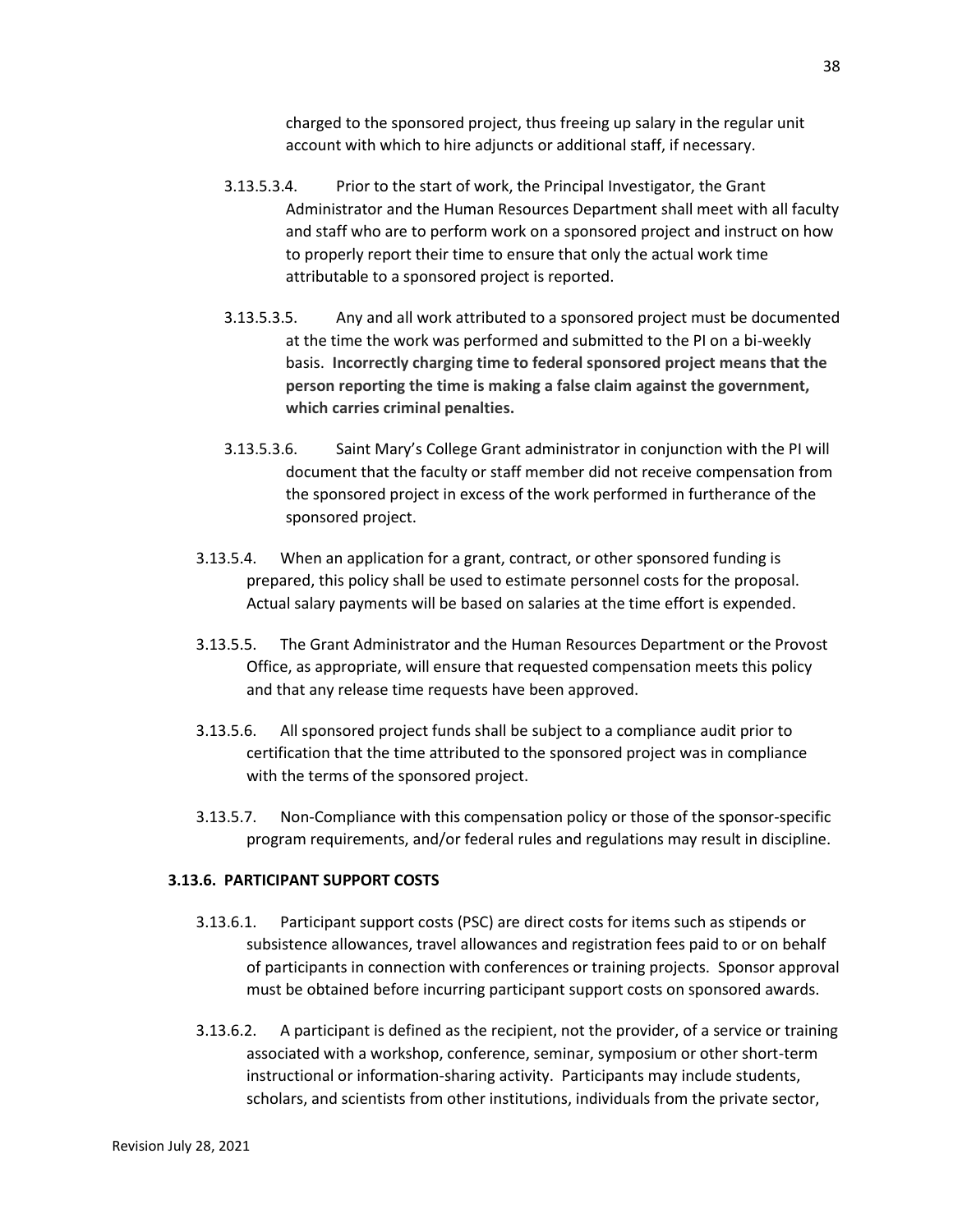charged to the sponsored project, thus freeing up salary in the regular unit account with which to hire adjuncts or additional staff, if necessary.

- 3.13.5.3.4. Prior to the start of work, the Principal Investigator, the Grant Administrator and the Human Resources Department shall meet with all faculty and staff who are to perform work on a sponsored project and instruct on how to properly report their time to ensure that only the actual work time attributable to a sponsored project is reported.
- 3.13.5.3.5. Any and all work attributed to a sponsored project must be documented at the time the work was performed and submitted to the PI on a bi-weekly basis. **Incorrectly charging time to federal sponsored project means that the person reporting the time is making a false claim against the government, which carries criminal penalties.**
- 3.13.5.3.6. Saint Mary's College Grant administrator in conjunction with the PI will document that the faculty or staff member did not receive compensation from the sponsored project in excess of the work performed in furtherance of the sponsored project.
- 3.13.5.4. When an application for a grant, contract, or other sponsored funding is prepared, this policy shall be used to estimate personnel costs for the proposal. Actual salary payments will be based on salaries at the time effort is expended.
- 3.13.5.5. The Grant Administrator and the Human Resources Department or the Provost Office, as appropriate, will ensure that requested compensation meets this policy and that any release time requests have been approved.
- 3.13.5.6. All sponsored project funds shall be subject to a compliance audit prior to certification that the time attributed to the sponsored project was in compliance with the terms of the sponsored project.
- 3.13.5.7. Non-Compliance with this compensation policy or those of the sponsor-specific program requirements, and/or federal rules and regulations may result in discipline.

## **3.13.6. PARTICIPANT SUPPORT COSTS**

- 3.13.6.1. Participant support costs (PSC) are direct costs for items such as stipends or subsistence allowances, travel allowances and registration fees paid to or on behalf of participants in connection with conferences or training projects. Sponsor approval must be obtained before incurring participant support costs on sponsored awards.
- 3.13.6.2. A participant is defined as the recipient, not the provider, of a service or training associated with a workshop, conference, seminar, symposium or other short-term instructional or information-sharing activity. Participants may include students, scholars, and scientists from other institutions, individuals from the private sector,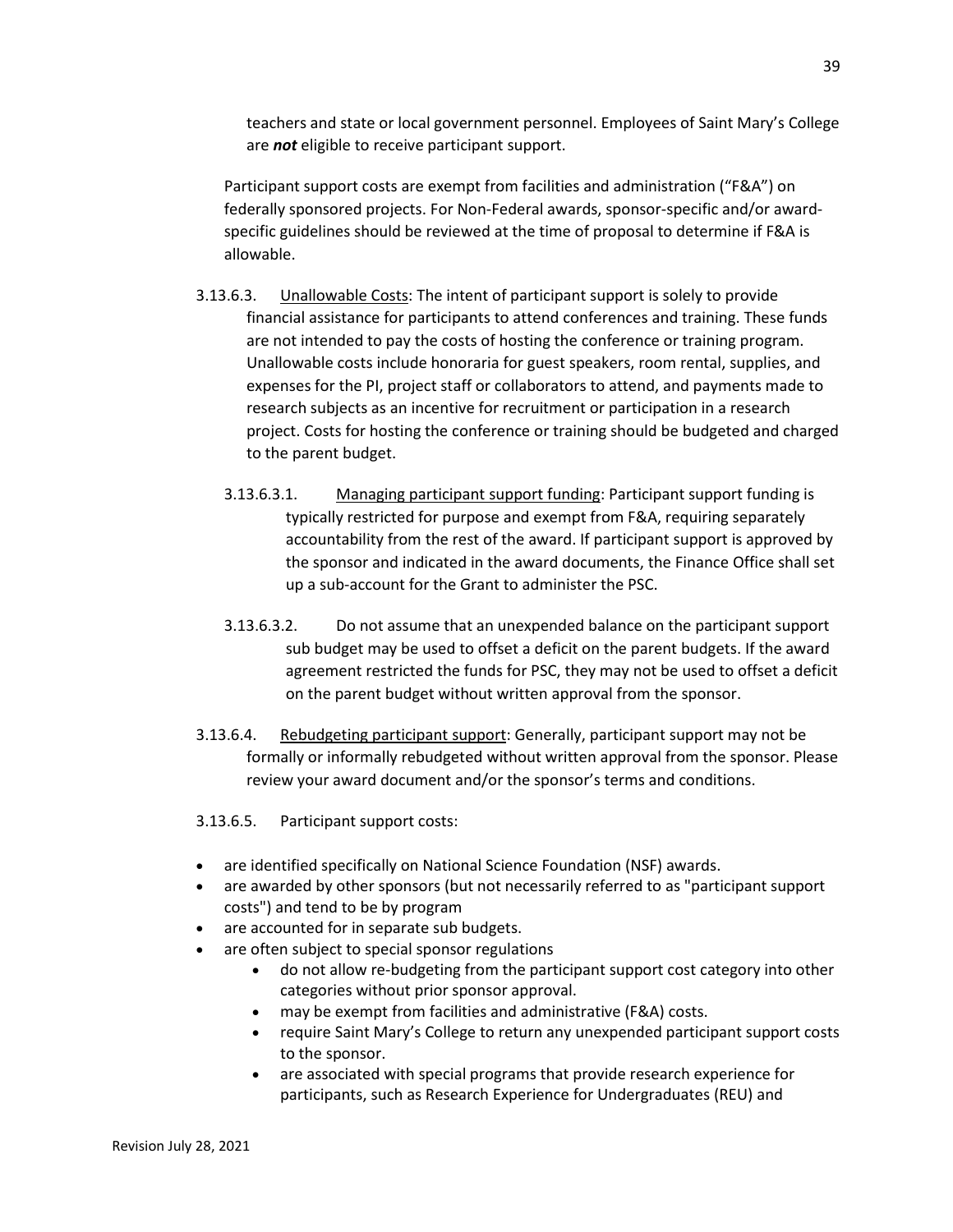39

teachers and state or local government personnel. Employees of Saint Mary's College are *not* eligible to receive participant support.

Participant support costs are exempt from facilities and administration ("F&A") on federally sponsored projects. For Non-Federal awards, sponsor-specific and/or awardspecific guidelines should be reviewed at the time of proposal to determine if F&A is allowable.

- 3.13.6.3. Unallowable Costs: The intent of participant support is solely to provide financial assistance for participants to attend conferences and training. These funds are not intended to pay the costs of hosting the conference or training program. Unallowable costs include honoraria for guest speakers, room rental, supplies, and expenses for the PI, project staff or collaborators to attend, and payments made to research subjects as an incentive for recruitment or participation in a research project. Costs for hosting the conference or training should be budgeted and charged to the parent budget.
	- 3.13.6.3.1. Managing participant support funding: Participant support funding is typically restricted for purpose and exempt from F&A, requiring separately accountability from the rest of the award. If participant support is approved by the sponsor and indicated in the award documents, the Finance Office shall set up a sub-account for the Grant to administer the PSC.
	- 3.13.6.3.2. Do not assume that an unexpended balance on the participant support sub budget may be used to offset a deficit on the parent budgets. If the award agreement restricted the funds for PSC, they may not be used to offset a deficit on the parent budget without written approval from the sponsor.
- 3.13.6.4. Rebudgeting participant support: Generally, participant support may not be formally or informally rebudgeted without written approval from the sponsor. Please review your award document and/or the sponsor's terms and conditions.
- 3.13.6.5. Participant support costs:
- are identified specifically on National Science Foundation (NSF) awards.
- are awarded by other sponsors (but not necessarily referred to as "participant support costs") and tend to be by program
- are accounted for in separate sub budgets.
- are often subject to special sponsor regulations
	- do not allow re-budgeting from the participant support cost category into other categories without prior sponsor approval.
	- may be exempt from facilities and administrative (F&A) costs.
	- require Saint Mary's College to return any unexpended participant support costs to the sponsor.
	- are associated with special programs that provide research experience for participants, such as Research Experience for Undergraduates (REU) and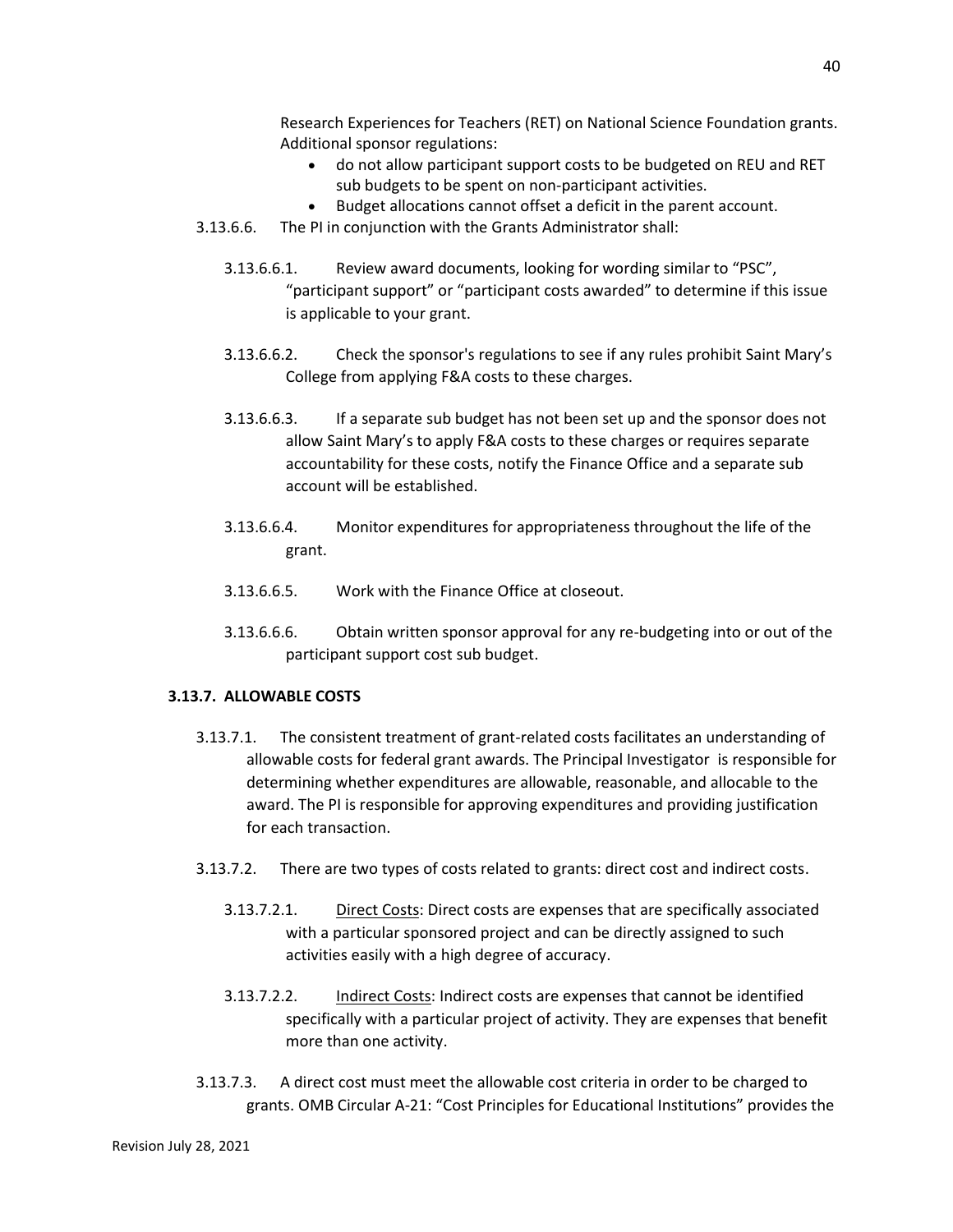Research Experiences for Teachers (RET) on National Science Foundation grants. Additional sponsor regulations:

- do not allow participant support costs to be budgeted on REU and RET sub budgets to be spent on non-participant activities.
- Budget allocations cannot offset a deficit in the parent account.
- 3.13.6.6. The PI in conjunction with the Grants Administrator shall:
	- 3.13.6.6.1. Review award documents, looking for wording similar to "PSC", "participant support" or "participant costs awarded" to determine if this issue is applicable to your grant.
	- 3.13.6.6.2. Check the sponsor's regulations to see if any rules prohibit Saint Mary's College from applying F&A costs to these charges.
	- 3.13.6.6.3. If a separate sub budget has not been set up and the sponsor does not allow Saint Mary's to apply F&A costs to these charges or requires separate accountability for these costs, notify the Finance Office and a separate sub account will be established.
	- 3.13.6.6.4. Monitor expenditures for appropriateness throughout the life of the grant.
	- 3.13.6.6.5. Work with the Finance Office at closeout.
	- 3.13.6.6.6. Obtain written sponsor approval for any re-budgeting into or out of the participant support cost sub budget.

#### **3.13.7. ALLOWABLE COSTS**

- 3.13.7.1. The consistent treatment of grant-related costs facilitates an understanding of allowable costs for federal grant awards. The Principal Investigator is responsible for determining whether expenditures are allowable, reasonable, and allocable to the award. The PI is responsible for approving expenditures and providing justification for each transaction.
- 3.13.7.2. There are two types of costs related to grants: direct cost and indirect costs.
	- 3.13.7.2.1. Direct Costs: Direct costs are expenses that are specifically associated with a particular sponsored project and can be directly assigned to such activities easily with a high degree of accuracy.
	- 3.13.7.2.2. Indirect Costs: Indirect costs are expenses that cannot be identified specifically with a particular project of activity. They are expenses that benefit more than one activity.
- 3.13.7.3. A direct cost must meet the allowable cost criteria in order to be charged to grants. OMB Circular A-21: "Cost Principles for Educational Institutions" provides the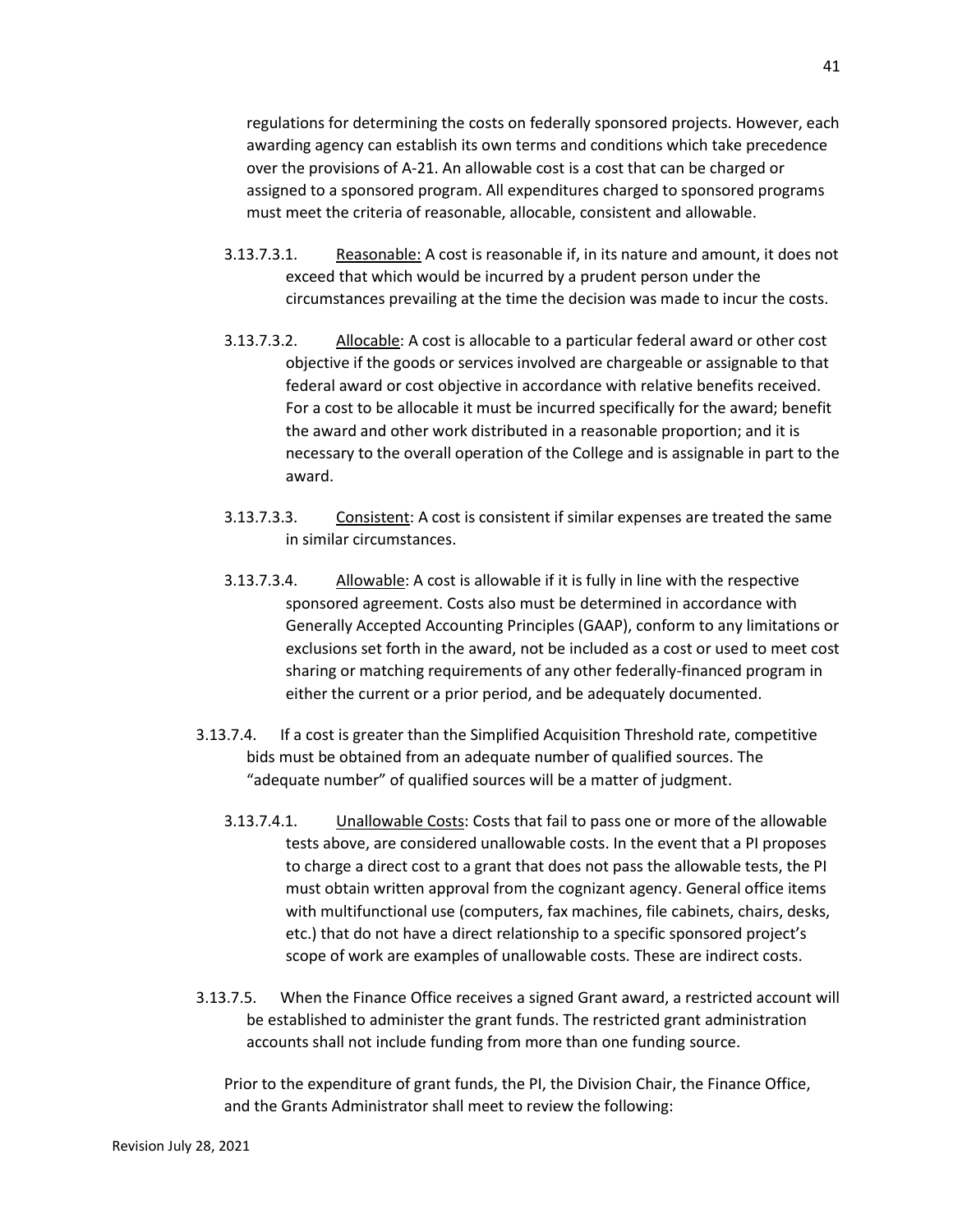regulations for determining the costs on federally sponsored projects. However, each awarding agency can establish its own terms and conditions which take precedence over the provisions of A-21. An allowable cost is a cost that can be charged or assigned to a sponsored program. All expenditures charged to sponsored programs must meet the criteria of reasonable, allocable, consistent and allowable.

- 3.13.7.3.1. Reasonable: A cost is reasonable if, in its nature and amount, it does not exceed that which would be incurred by a prudent person under the circumstances prevailing at the time the decision was made to incur the costs.
- 3.13.7.3.2. Allocable: A cost is allocable to a particular federal award or other cost objective if the goods or services involved are chargeable or assignable to that federal award or cost objective in accordance with relative benefits received. For a cost to be allocable it must be incurred specifically for the award; benefit the award and other work distributed in a reasonable proportion; and it is necessary to the overall operation of the College and is assignable in part to the award.
- 3.13.7.3.3. Consistent: A cost is consistent if similar expenses are treated the same in similar circumstances.
- 3.13.7.3.4. Allowable: A cost is allowable if it is fully in line with the respective sponsored agreement. Costs also must be determined in accordance with Generally Accepted Accounting Principles (GAAP), conform to any limitations or exclusions set forth in the award, not be included as a cost or used to meet cost sharing or matching requirements of any other federally-financed program in either the current or a prior period, and be adequately documented.
- 3.13.7.4. If a cost is greater than the Simplified Acquisition Threshold rate, competitive bids must be obtained from an adequate number of qualified sources. The "adequate number" of qualified sources will be a matter of judgment.
	- 3.13.7.4.1. Unallowable Costs: Costs that fail to pass one or more of the allowable tests above, are considered unallowable costs. In the event that a PI proposes to charge a direct cost to a grant that does not pass the allowable tests, the PI must obtain written approval from the cognizant agency. General office items with multifunctional use (computers, fax machines, file cabinets, chairs, desks, etc.) that do not have a direct relationship to a specific sponsored project's scope of work are examples of unallowable costs. These are indirect costs.
- 3.13.7.5. When the Finance Office receives a signed Grant award, a restricted account will be established to administer the grant funds. The restricted grant administration accounts shall not include funding from more than one funding source.

Prior to the expenditure of grant funds, the PI, the Division Chair, the Finance Office, and the Grants Administrator shall meet to review the following: